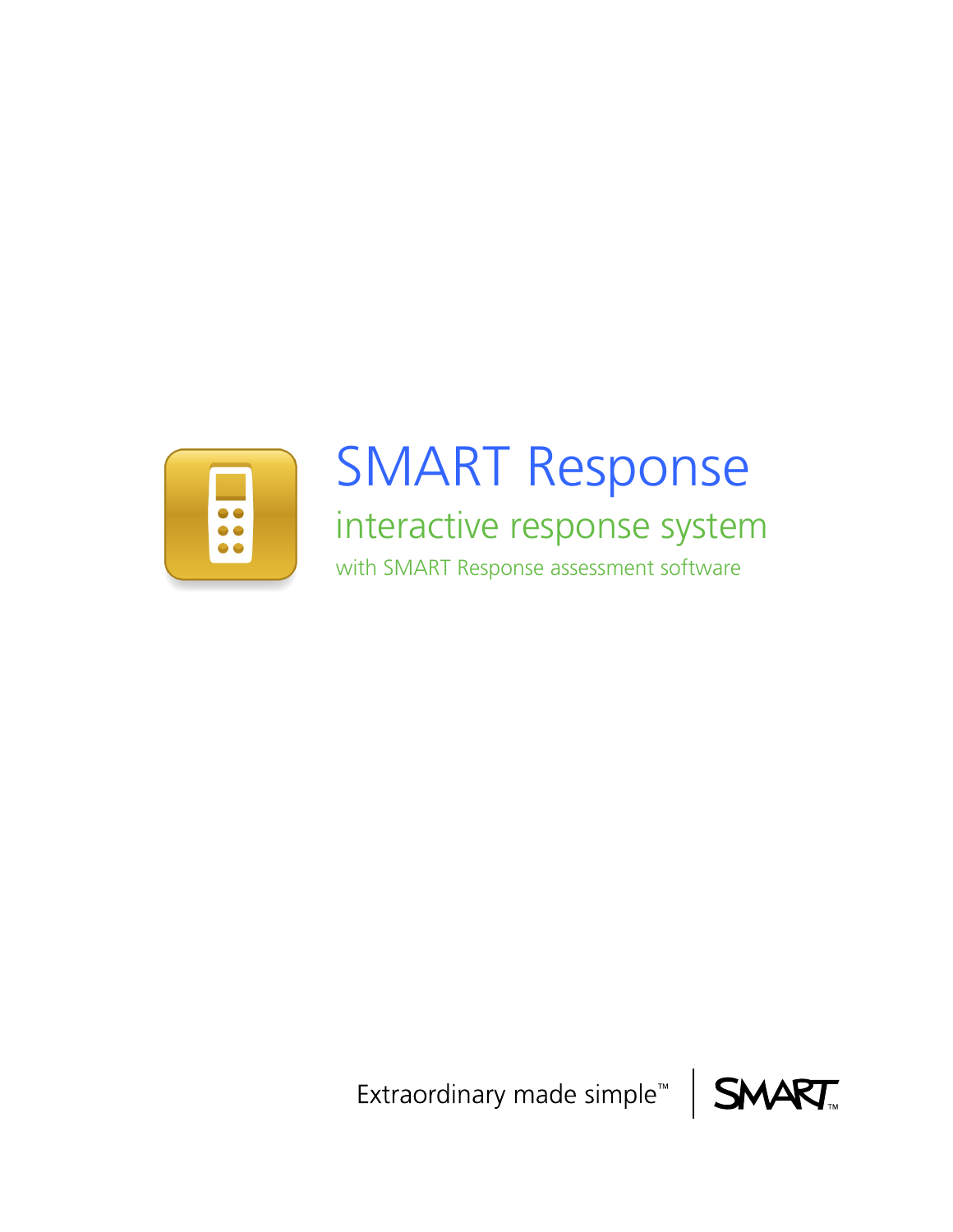

# SMART Response interactive response system with SMART Response assessment software

Extraordinary made simple<sup>™</sup>

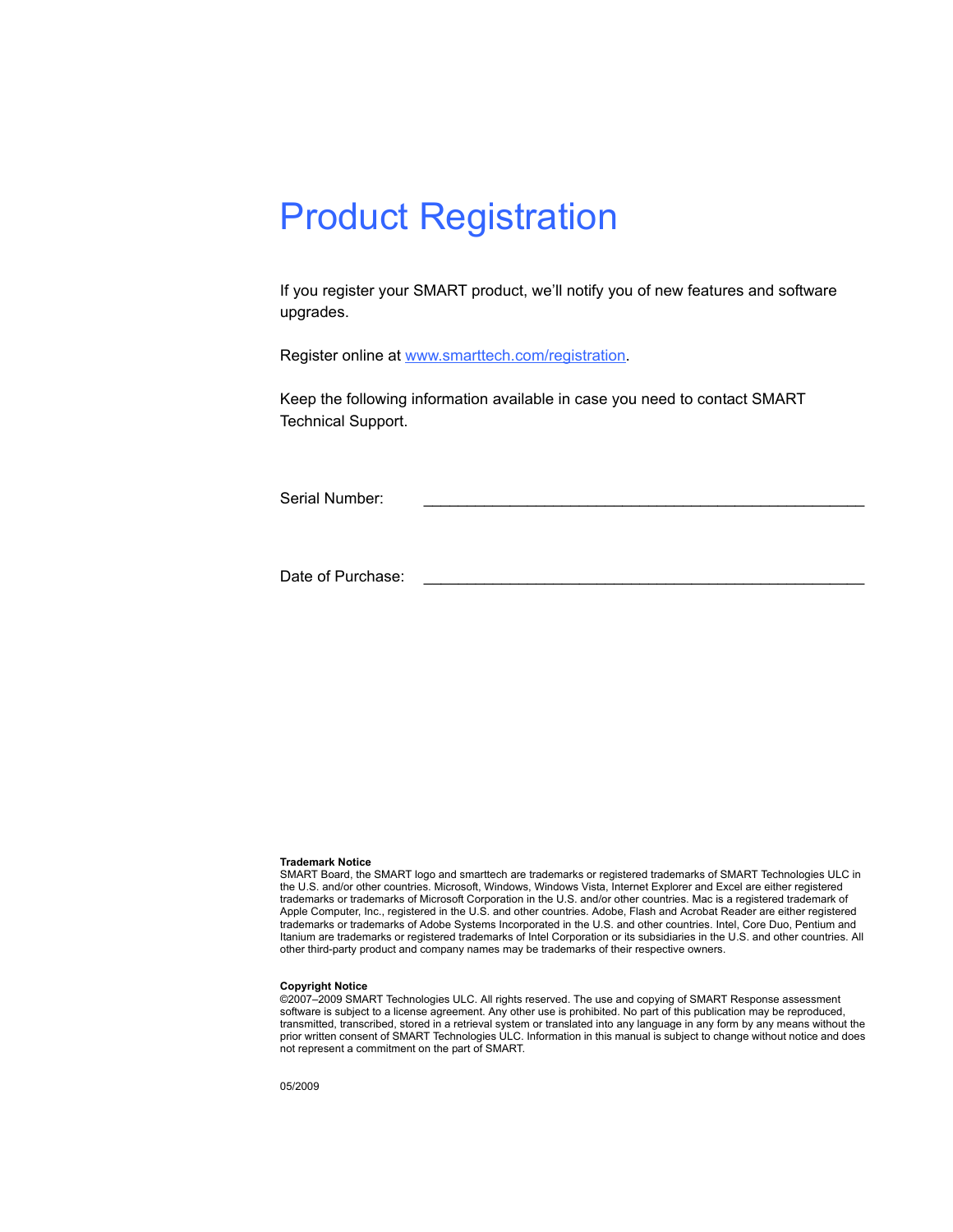# Product Registration

If you register your SMART product, we'll notify you of new features and software upgrades.

Register online at www.smarttech.com/registration.

Keep the following information available in case you need to contact SMART Technical Support.

Serial Number:

Date of Purchase:

#### **Trademark Notice**

SMART Board, the SMART logo and smarttech are trademarks or registered trademarks of SMART Technologies ULC in the U.S. and/or other countries. Microsoft, Windows, Windows Vista, Internet Explorer and Excel are either registered trademarks or trademarks of Microsoft Corporation in the U.S. and/or other countries. Mac is a registered trademark of Apple Computer, Inc., registered in the U.S. and other countries. Adobe, Flash and Acrobat Reader are either registered trademarks or trademarks of Adobe Systems Incorporated in the U.S. and other countries. Intel, Core Duo, Pentium and Itanium are trademarks or registered trademarks of Intel Corporation or its subsidiaries in the U.S. and other countries. All other third-party product and company names may be trademarks of their respective owners.

#### **Copyright Notice**

©2007–2009 SMART Technologies ULC. All rights reserved. The use and copying of SMART Response assessment<br>software is subject to a license agreement. Any other use is prohibited. No part of this publication may be reproduce transmitted, transcribed, stored in a retrieval system or translated into any language in any form by any means without the prior written consent of SMART Technologies ULC. Information in this manual is subject to change without notice and does not represent a commitment on the part of SMART.

05/2009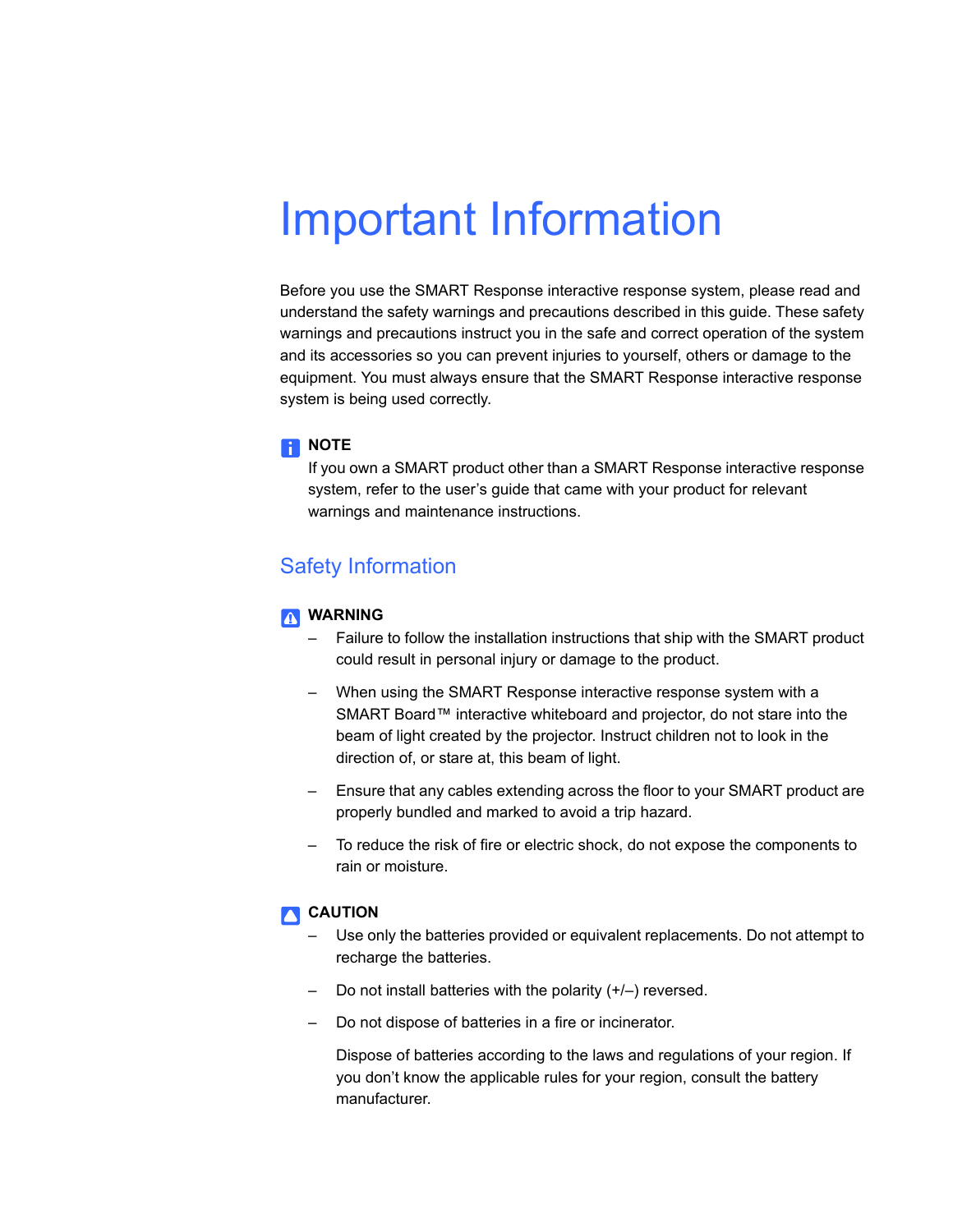# <span id="page-2-0"></span>Important Information

Before you use the SMART Response interactive response system, please read and understand the safety warnings and precautions described in this guide. These safety warnings and precautions instruct you in the safe and correct operation of the system and its accessories so you can prevent injuries to yourself, others or damage to the equipment. You must always ensure that the SMART Response interactive response system is being used correctly.

#### **NOTE**

If you own a SMART product other than a SMART Response interactive response system, refer to the user's guide that came with your product for relevant warnings and maintenance instructions.

### <span id="page-2-1"></span>Safety Information

#### **M** WARNING

- Failure to follow the installation instructions that ship with the SMART product could result in personal injury or damage to the product.
- When using the SMART Response interactive response system with a SMART Board™ interactive whiteboard and projector, do not stare into the beam of light created by the projector. Instruct children not to look in the direction of, or stare at, this beam of light.
- Ensure that any cables extending across the floor to your SMART product are properly bundled and marked to avoid a trip hazard.
- To reduce the risk of fire or electric shock, do not expose the components to rain or moisture.

#### **R** CAUTION

- Use only the batteries provided or equivalent replacements. Do not attempt to recharge the batteries.
- Do not install batteries with the polarity (+/–) reversed.
- Do not dispose of batteries in a fire or incinerator.

Dispose of batteries according to the laws and regulations of your region. If you don't know the applicable rules for your region, consult the battery manufacturer.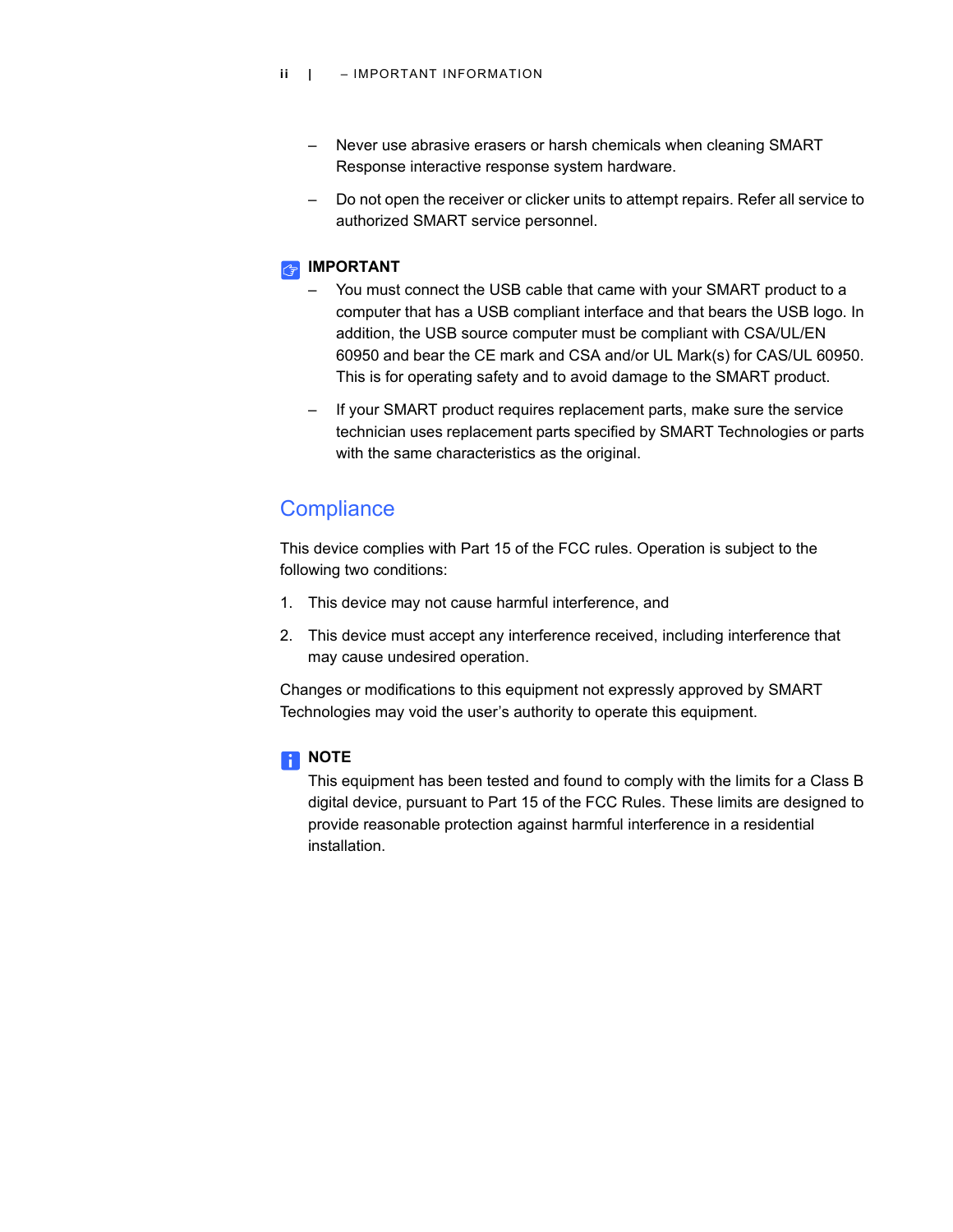- Never use abrasive erasers or harsh chemicals when cleaning SMART Response interactive response system hardware.
- Do not open the receiver or clicker units to attempt repairs. Refer all service to authorized SMART service personnel.

#### **P**IMPORTANT

- You must connect the USB cable that came with your SMART product to a computer that has a USB compliant interface and that bears the USB logo. In addition, the USB source computer must be compliant with CSA/UL/EN 60950 and bear the CE mark and CSA and/or UL Mark(s) for CAS/UL 60950. This is for operating safety and to avoid damage to the SMART product.
- If your SMART product requires replacement parts, make sure the service technician uses replacement parts specified by SMART Technologies or parts with the same characteristics as the original.

### <span id="page-3-0"></span>**Compliance**

This device complies with Part 15 of the FCC rules. Operation is subject to the following two conditions:

- 1. This device may not cause harmful interference, and
- 2. This device must accept any interference received, including interference that may cause undesired operation.

Changes or modifications to this equipment not expressly approved by SMART Technologies may void the user's authority to operate this equipment.

#### **NOTE**

This equipment has been tested and found to comply with the limits for a Class B digital device, pursuant to Part 15 of the FCC Rules. These limits are designed to provide reasonable protection against harmful interference in a residential installation.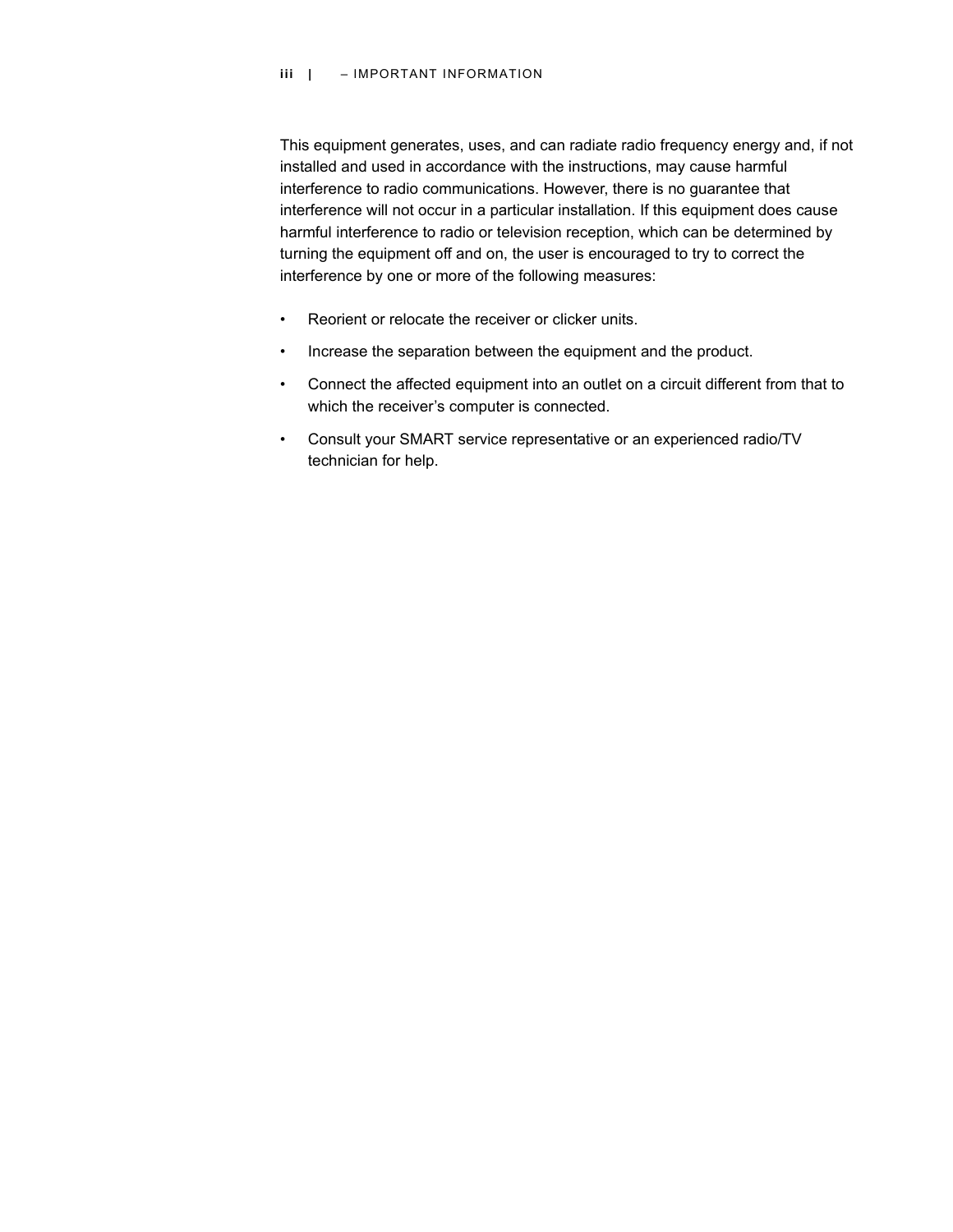This equipment generates, uses, and can radiate radio frequency energy and, if not installed and used in accordance with the instructions, may cause harmful interference to radio communications. However, there is no guarantee that interference will not occur in a particular installation. If this equipment does cause harmful interference to radio or television reception, which can be determined by turning the equipment off and on, the user is encouraged to try to correct the interference by one or more of the following measures:

- Reorient or relocate the receiver or clicker units.
- Increase the separation between the equipment and the product.
- Connect the affected equipment into an outlet on a circuit different from that to which the receiver's computer is connected.
- Consult your SMART service representative or an experienced radio/TV technician for help.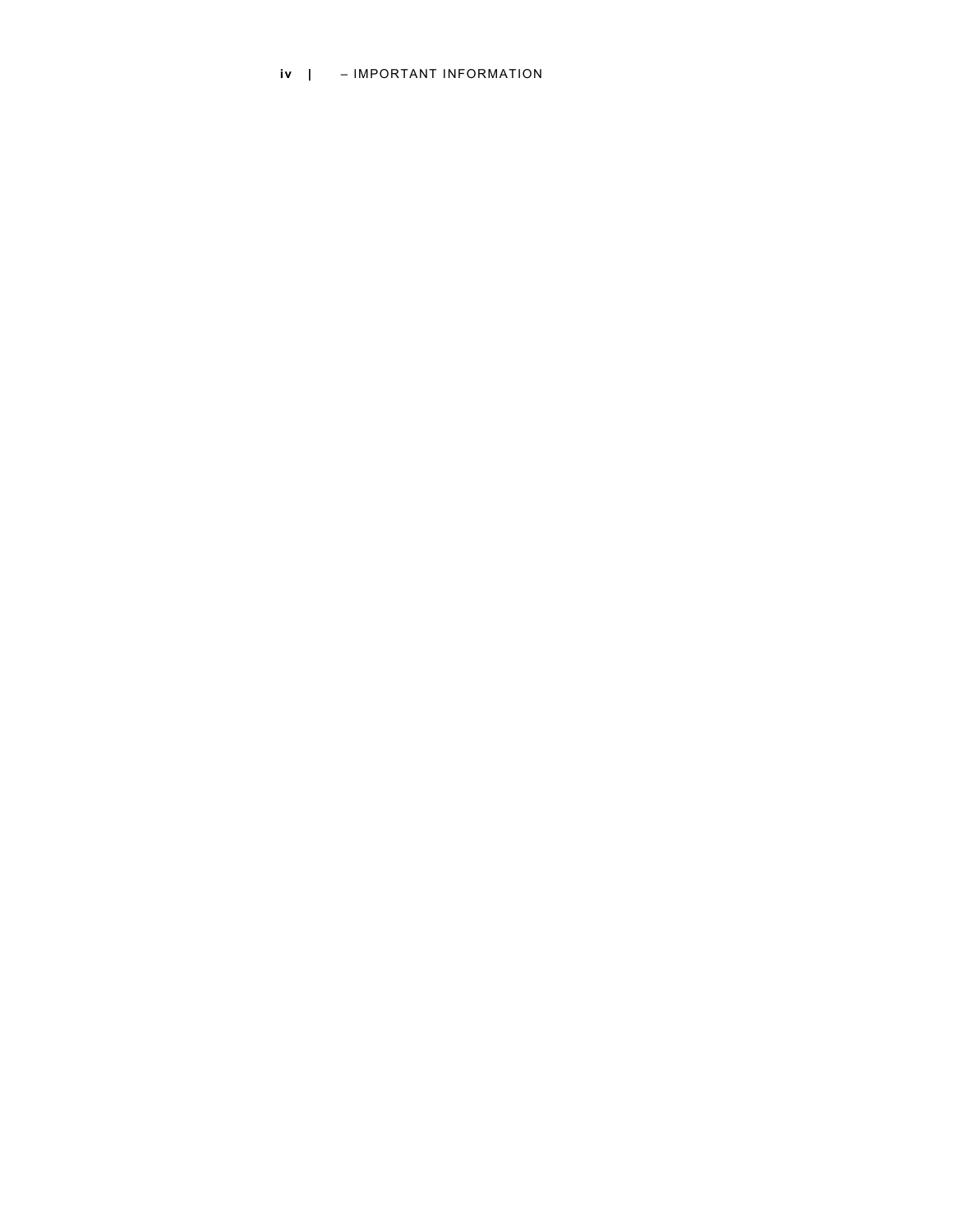#### **iv |** – IMPORTANT INFORMATION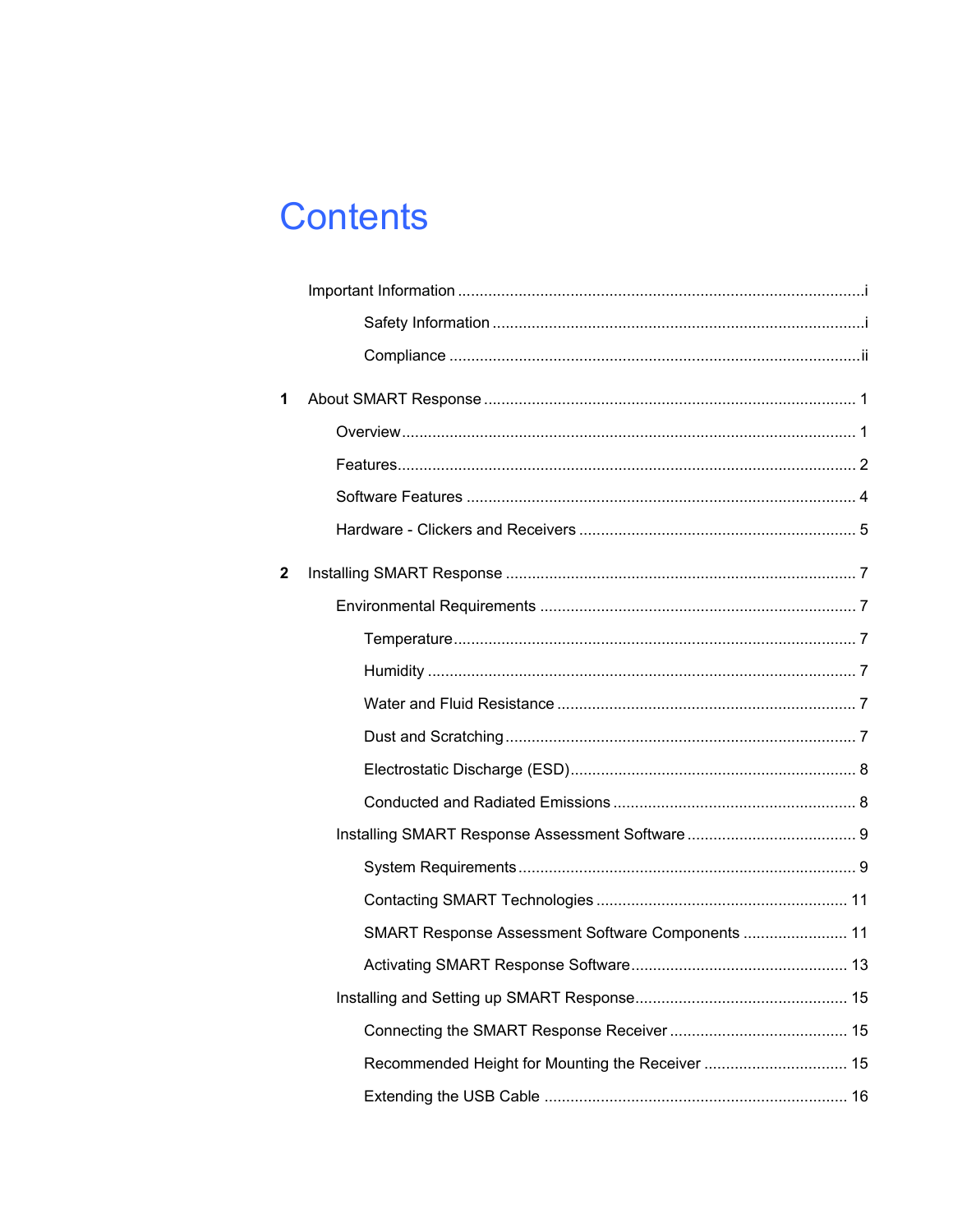# **Contents**

| 1            |                                                   |
|--------------|---------------------------------------------------|
|              |                                                   |
|              |                                                   |
|              |                                                   |
|              |                                                   |
| $\mathbf{2}$ |                                                   |
|              |                                                   |
|              |                                                   |
|              |                                                   |
|              |                                                   |
|              |                                                   |
|              |                                                   |
|              |                                                   |
|              |                                                   |
|              |                                                   |
|              |                                                   |
|              | SMART Response Assessment Software Components  11 |
|              |                                                   |
|              |                                                   |
|              |                                                   |
|              |                                                   |
|              |                                                   |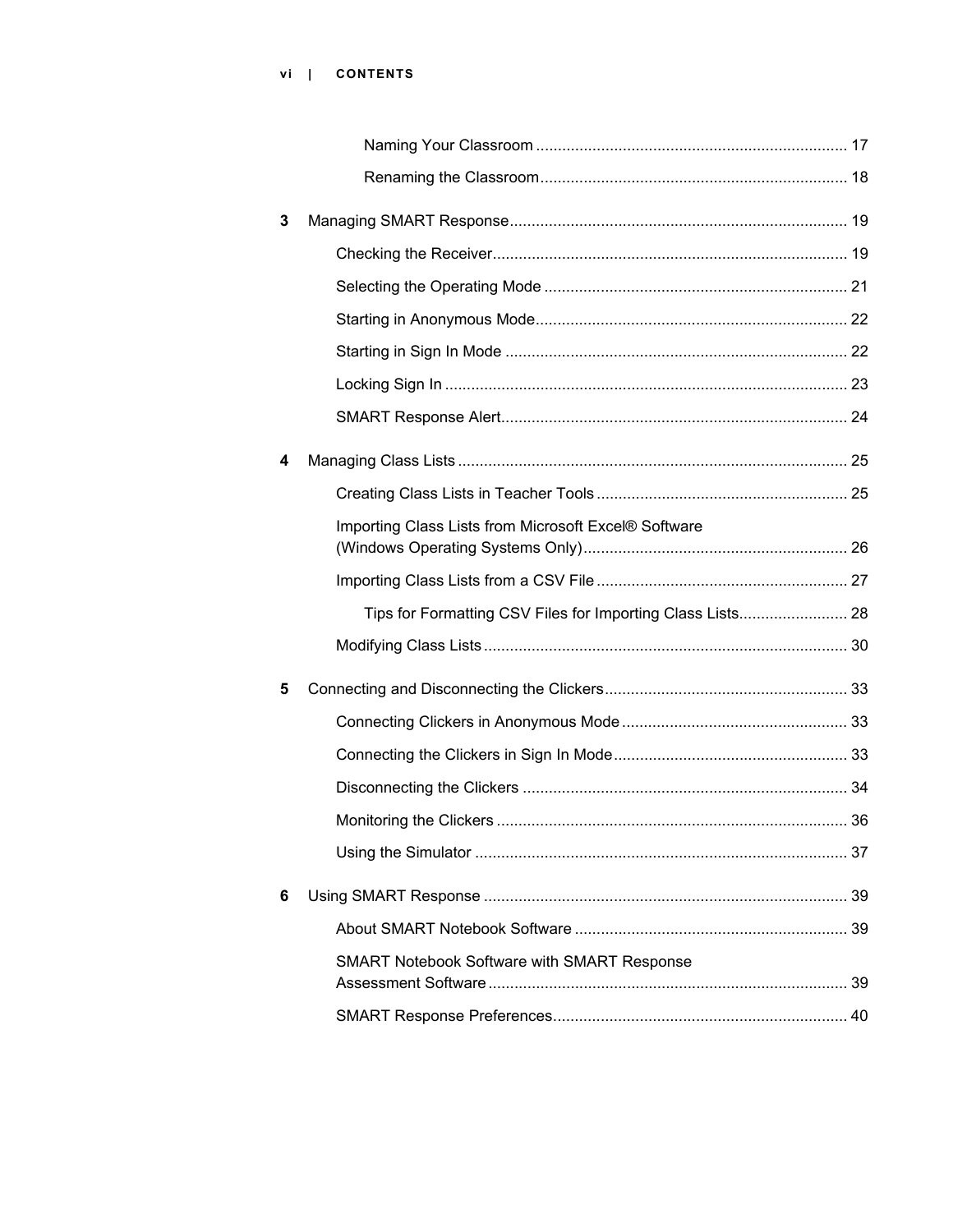| 3 |                                                            |  |
|---|------------------------------------------------------------|--|
|   |                                                            |  |
|   |                                                            |  |
|   |                                                            |  |
|   |                                                            |  |
|   |                                                            |  |
|   |                                                            |  |
| 4 |                                                            |  |
|   |                                                            |  |
|   | Importing Class Lists from Microsoft Excel® Software       |  |
|   |                                                            |  |
|   | Tips for Formatting CSV Files for Importing Class Lists 28 |  |
|   |                                                            |  |
| 5 |                                                            |  |
|   |                                                            |  |
|   |                                                            |  |
|   |                                                            |  |
|   |                                                            |  |
|   |                                                            |  |
| 6 |                                                            |  |
|   |                                                            |  |
|   | <b>SMART Notebook Software with SMART Response</b>         |  |
|   |                                                            |  |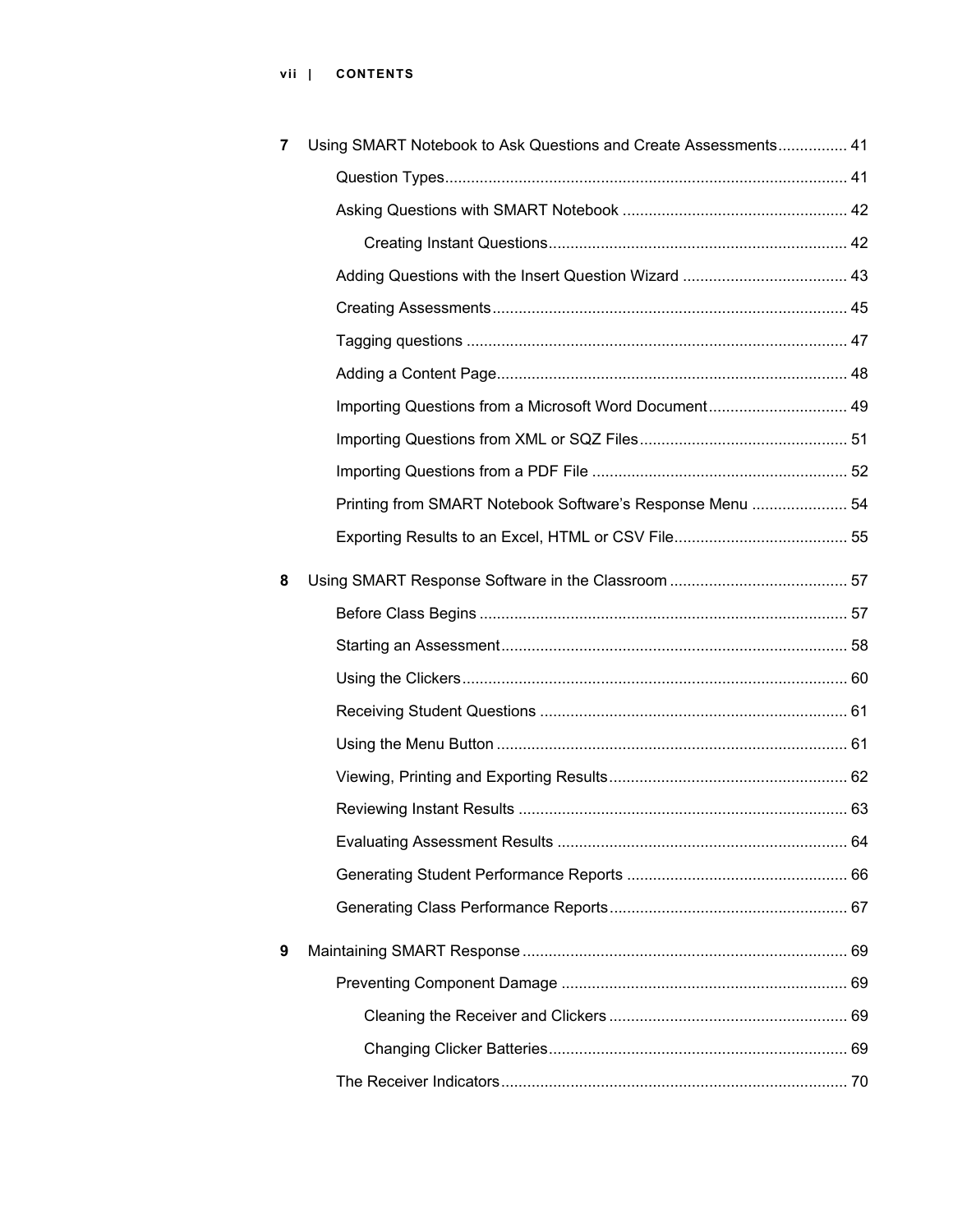| 7 | Using SMART Notebook to Ask Questions and Create Assessments 41 |  |
|---|-----------------------------------------------------------------|--|
|   |                                                                 |  |
|   |                                                                 |  |
|   |                                                                 |  |
|   |                                                                 |  |
|   |                                                                 |  |
|   |                                                                 |  |
|   |                                                                 |  |
|   | Importing Questions from a Microsoft Word Document 49           |  |
|   |                                                                 |  |
|   |                                                                 |  |
|   | Printing from SMART Notebook Software's Response Menu  54       |  |
|   |                                                                 |  |
| 8 |                                                                 |  |
|   |                                                                 |  |
|   |                                                                 |  |
|   |                                                                 |  |
|   |                                                                 |  |
|   |                                                                 |  |
|   |                                                                 |  |
|   |                                                                 |  |
|   |                                                                 |  |
|   |                                                                 |  |
|   |                                                                 |  |
| 9 |                                                                 |  |
|   |                                                                 |  |
|   |                                                                 |  |
|   |                                                                 |  |
|   |                                                                 |  |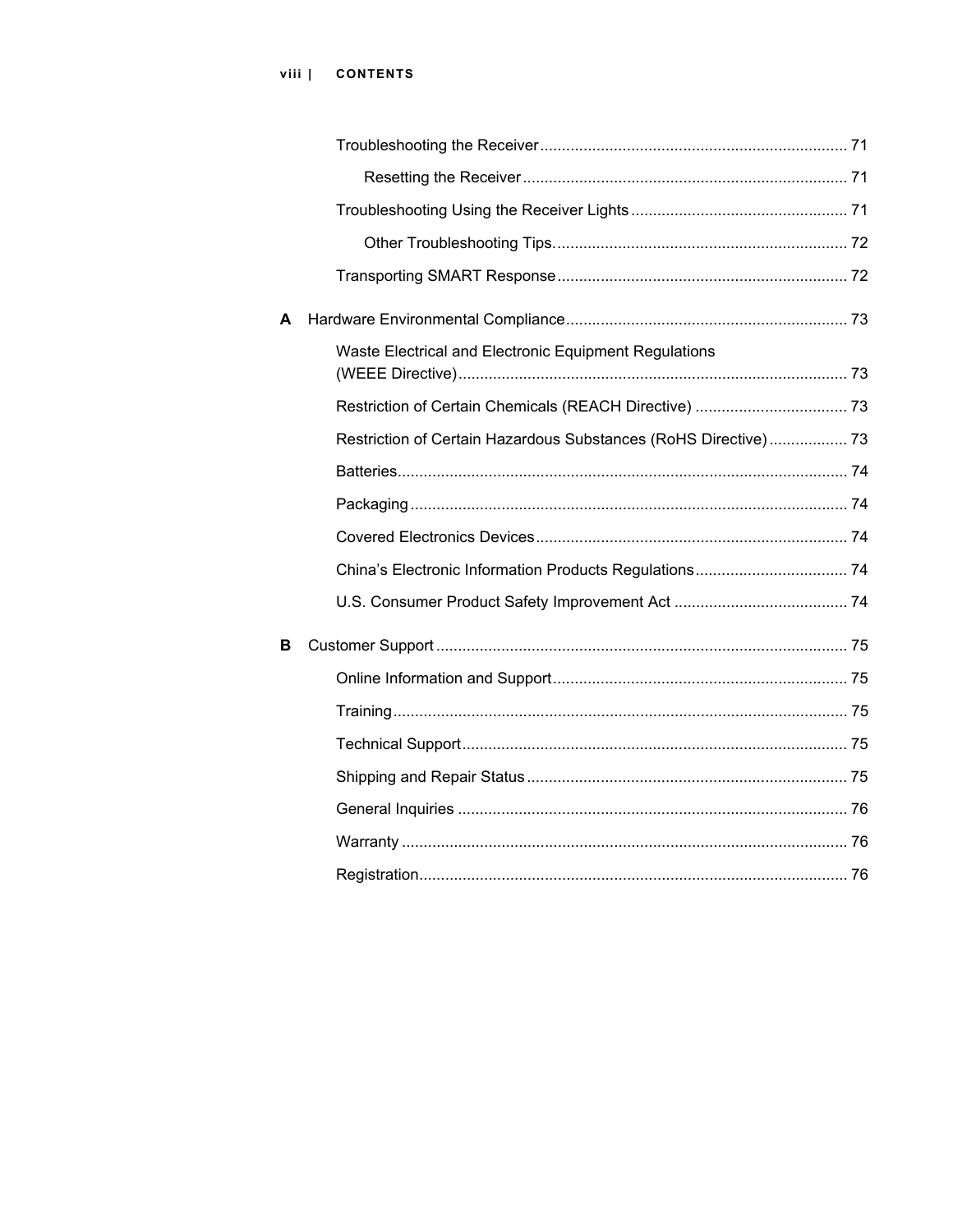| A |                                                                 |  |
|---|-----------------------------------------------------------------|--|
|   | Waste Electrical and Electronic Equipment Regulations           |  |
|   |                                                                 |  |
|   | Restriction of Certain Hazardous Substances (RoHS Directive) 73 |  |
|   |                                                                 |  |
|   |                                                                 |  |
|   |                                                                 |  |
|   |                                                                 |  |
|   |                                                                 |  |
| в |                                                                 |  |
|   |                                                                 |  |
|   |                                                                 |  |
|   |                                                                 |  |
|   |                                                                 |  |
|   |                                                                 |  |
|   |                                                                 |  |
|   |                                                                 |  |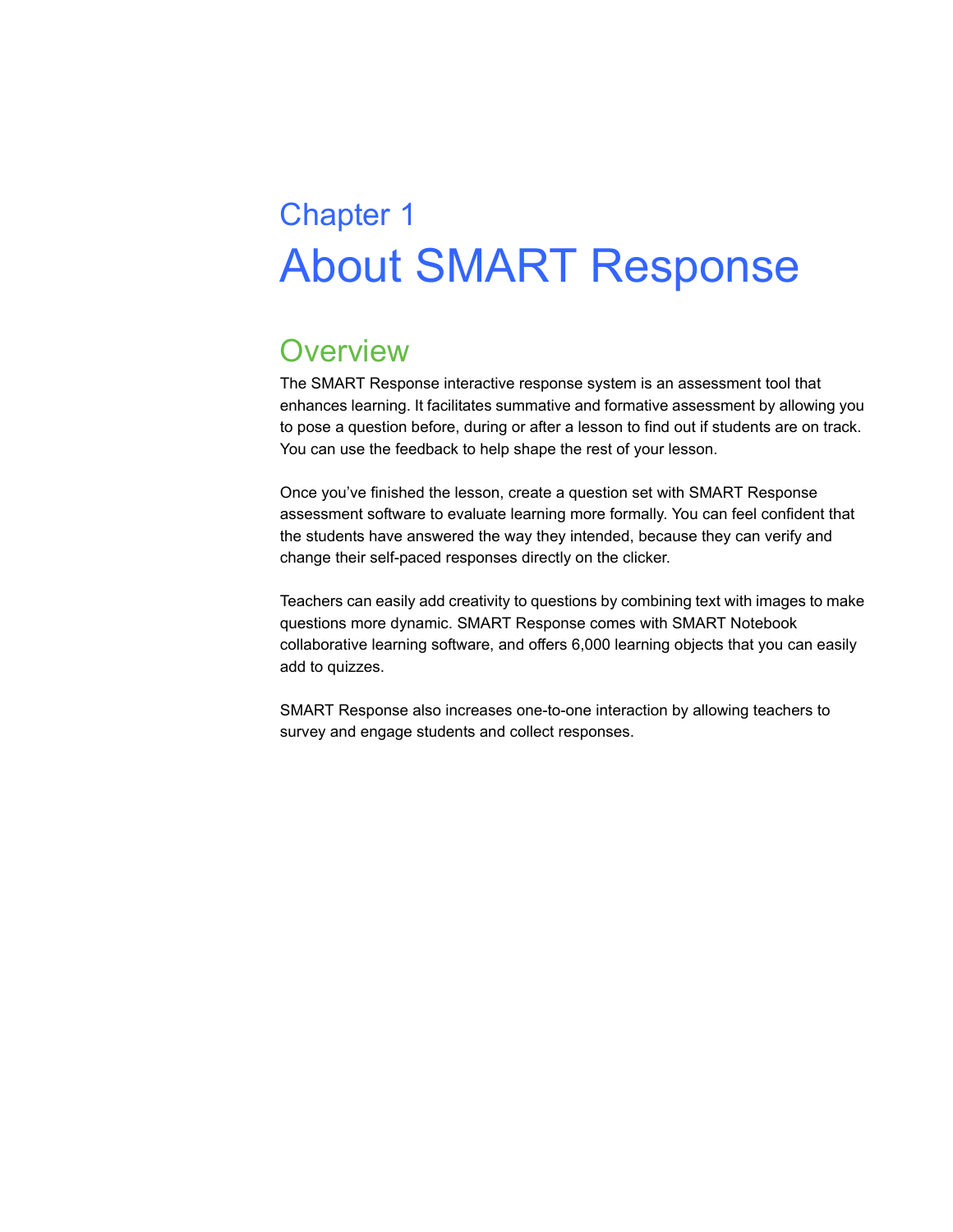# <span id="page-10-1"></span><span id="page-10-0"></span>Chapter 1 About SMART Response

## <span id="page-10-2"></span>**Overview**

The SMART Response interactive response system is an assessment tool that enhances learning. It facilitates summative and formative assessment by allowing you to pose a question before, during or after a lesson to find out if students are on track. You can use the feedback to help shape the rest of your lesson.

Once you've finished the lesson, create a question set with SMART Response assessment software to evaluate learning more formally. You can feel confident that the students have answered the way they intended, because they can verify and change their self-paced responses directly on the clicker.

Teachers can easily add creativity to questions by combining text with images to make questions more dynamic. SMART Response comes with SMART Notebook collaborative learning software, and offers 6,000 learning objects that you can easily add to quizzes.

SMART Response also increases one-to-one interaction by allowing teachers to survey and engage students and collect responses.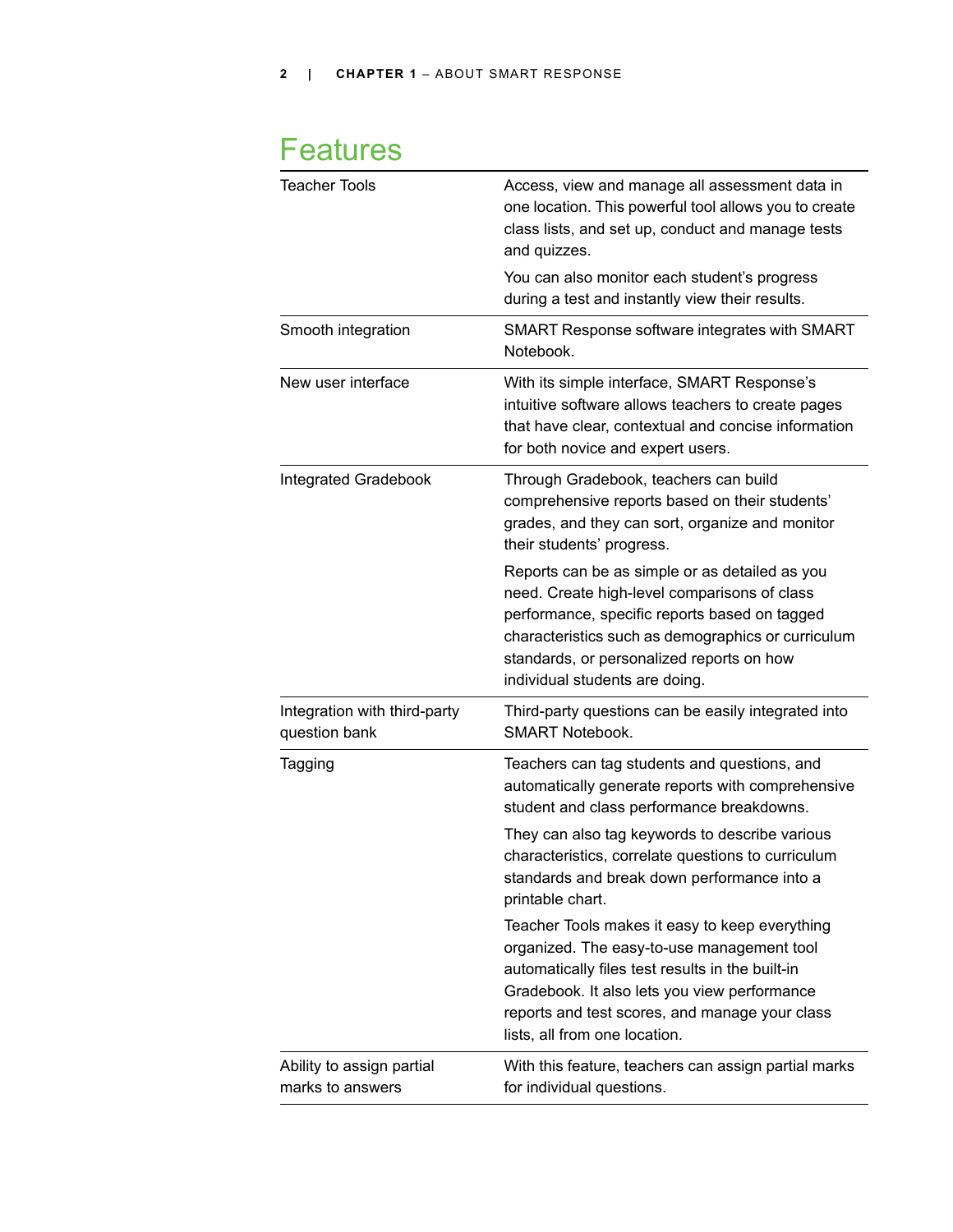# <span id="page-11-0"></span>Features

| <b>Teacher Tools</b>                          | Access, view and manage all assessment data in<br>one location. This powerful tool allows you to create<br>class lists, and set up, conduct and manage tests<br>and quizzes.                                                                                                         |
|-----------------------------------------------|--------------------------------------------------------------------------------------------------------------------------------------------------------------------------------------------------------------------------------------------------------------------------------------|
|                                               | You can also monitor each student's progress<br>during a test and instantly view their results.                                                                                                                                                                                      |
| Smooth integration                            | SMART Response software integrates with SMART<br>Notebook.                                                                                                                                                                                                                           |
| New user interface                            | With its simple interface, SMART Response's<br>intuitive software allows teachers to create pages<br>that have clear, contextual and concise information<br>for both novice and expert users.                                                                                        |
| <b>Integrated Gradebook</b>                   | Through Gradebook, teachers can build<br>comprehensive reports based on their students'<br>grades, and they can sort, organize and monitor<br>their students' progress.                                                                                                              |
|                                               | Reports can be as simple or as detailed as you<br>need. Create high-level comparisons of class<br>performance, specific reports based on tagged<br>characteristics such as demographics or curriculum<br>standards, or personalized reports on how<br>individual students are doing. |
| Integration with third-party<br>question bank | Third-party questions can be easily integrated into<br><b>SMART Notebook.</b>                                                                                                                                                                                                        |
| Tagging                                       | Teachers can tag students and questions, and<br>automatically generate reports with comprehensive<br>student and class performance breakdowns.                                                                                                                                       |
|                                               | They can also tag keywords to describe various<br>characteristics, correlate questions to curriculum<br>standards and break down performance into a<br>printable chart.                                                                                                              |
|                                               | Teacher Tools makes it easy to keep everything<br>organized. The easy-to-use management tool<br>automatically files test results in the built-in<br>Gradebook. It also lets you view performance<br>reports and test scores, and manage your class<br>lists, all from one location.  |
| Ability to assign partial<br>marks to answers | With this feature, teachers can assign partial marks<br>for individual questions.                                                                                                                                                                                                    |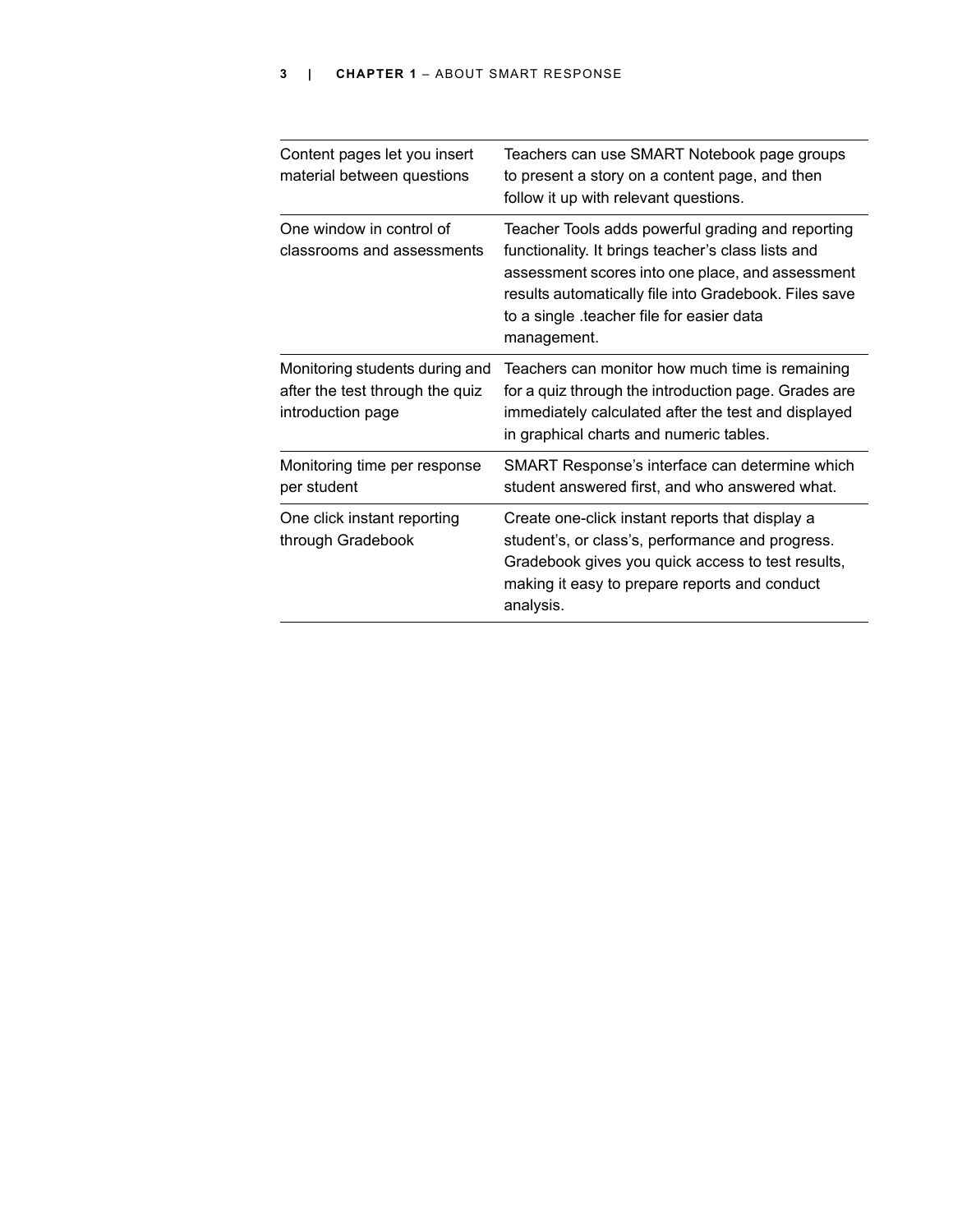| Content pages let you insert<br>material between questions                             | Teachers can use SMART Notebook page groups<br>to present a story on a content page, and then<br>follow it up with relevant questions.                                                                                                                                           |
|----------------------------------------------------------------------------------------|----------------------------------------------------------------------------------------------------------------------------------------------------------------------------------------------------------------------------------------------------------------------------------|
| One window in control of<br>classrooms and assessments                                 | Teacher Tools adds powerful grading and reporting<br>functionality. It brings teacher's class lists and<br>assessment scores into one place, and assessment<br>results automatically file into Gradebook. Files save<br>to a single .teacher file for easier data<br>management. |
| Monitoring students during and<br>after the test through the quiz<br>introduction page | Teachers can monitor how much time is remaining<br>for a quiz through the introduction page. Grades are<br>immediately calculated after the test and displayed<br>in graphical charts and numeric tables.                                                                        |
| Monitoring time per response<br>per student                                            | SMART Response's interface can determine which<br>student answered first, and who answered what.                                                                                                                                                                                 |
| One click instant reporting<br>through Gradebook                                       | Create one-click instant reports that display a<br>student's, or class's, performance and progress.<br>Gradebook gives you quick access to test results,<br>making it easy to prepare reports and conduct<br>analysis.                                                           |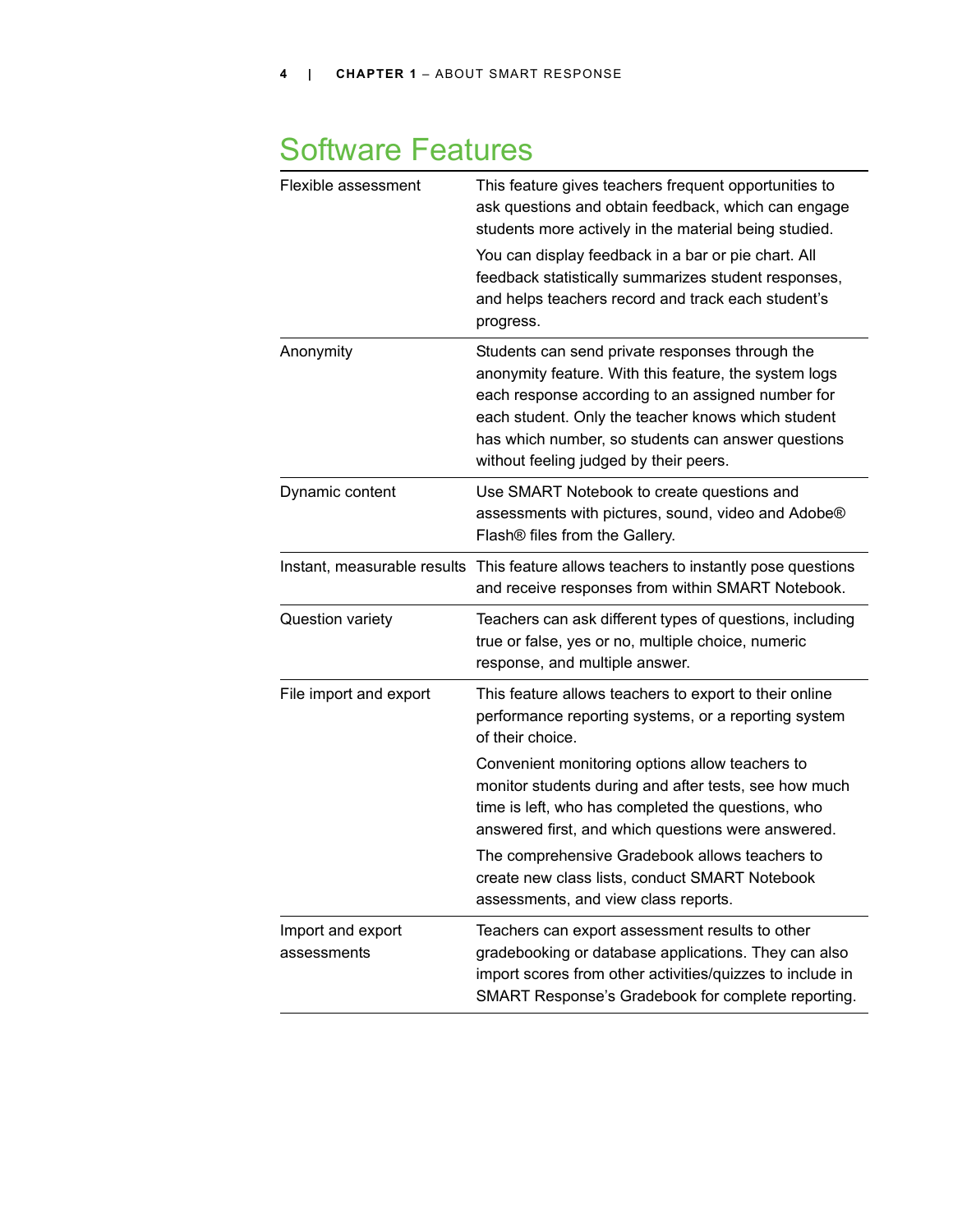# <span id="page-13-0"></span>Software Features

| Flexible assessment              | This feature gives teachers frequent opportunities to<br>ask questions and obtain feedback, which can engage<br>students more actively in the material being studied.                                                                                                                                               |  |
|----------------------------------|---------------------------------------------------------------------------------------------------------------------------------------------------------------------------------------------------------------------------------------------------------------------------------------------------------------------|--|
|                                  | You can display feedback in a bar or pie chart. All<br>feedback statistically summarizes student responses,<br>and helps teachers record and track each student's<br>progress.                                                                                                                                      |  |
| Anonymity                        | Students can send private responses through the<br>anonymity feature. With this feature, the system logs<br>each response according to an assigned number for<br>each student. Only the teacher knows which student<br>has which number, so students can answer questions<br>without feeling judged by their peers. |  |
| Dynamic content                  | Use SMART Notebook to create questions and<br>assessments with pictures, sound, video and Adobe®<br>Flash® files from the Gallery.                                                                                                                                                                                  |  |
|                                  | Instant, measurable results This feature allows teachers to instantly pose questions<br>and receive responses from within SMART Notebook.                                                                                                                                                                           |  |
| Question variety                 | Teachers can ask different types of questions, including<br>true or false, yes or no, multiple choice, numeric<br>response, and multiple answer.                                                                                                                                                                    |  |
| File import and export           | This feature allows teachers to export to their online<br>performance reporting systems, or a reporting system<br>of their choice.                                                                                                                                                                                  |  |
|                                  | Convenient monitoring options allow teachers to<br>monitor students during and after tests, see how much<br>time is left, who has completed the questions, who<br>answered first, and which questions were answered.                                                                                                |  |
|                                  | The comprehensive Gradebook allows teachers to<br>create new class lists, conduct SMART Notebook<br>assessments, and view class reports.                                                                                                                                                                            |  |
| Import and export<br>assessments | Teachers can export assessment results to other<br>gradebooking or database applications. They can also<br>import scores from other activities/quizzes to include in<br>SMART Response's Gradebook for complete reporting.                                                                                          |  |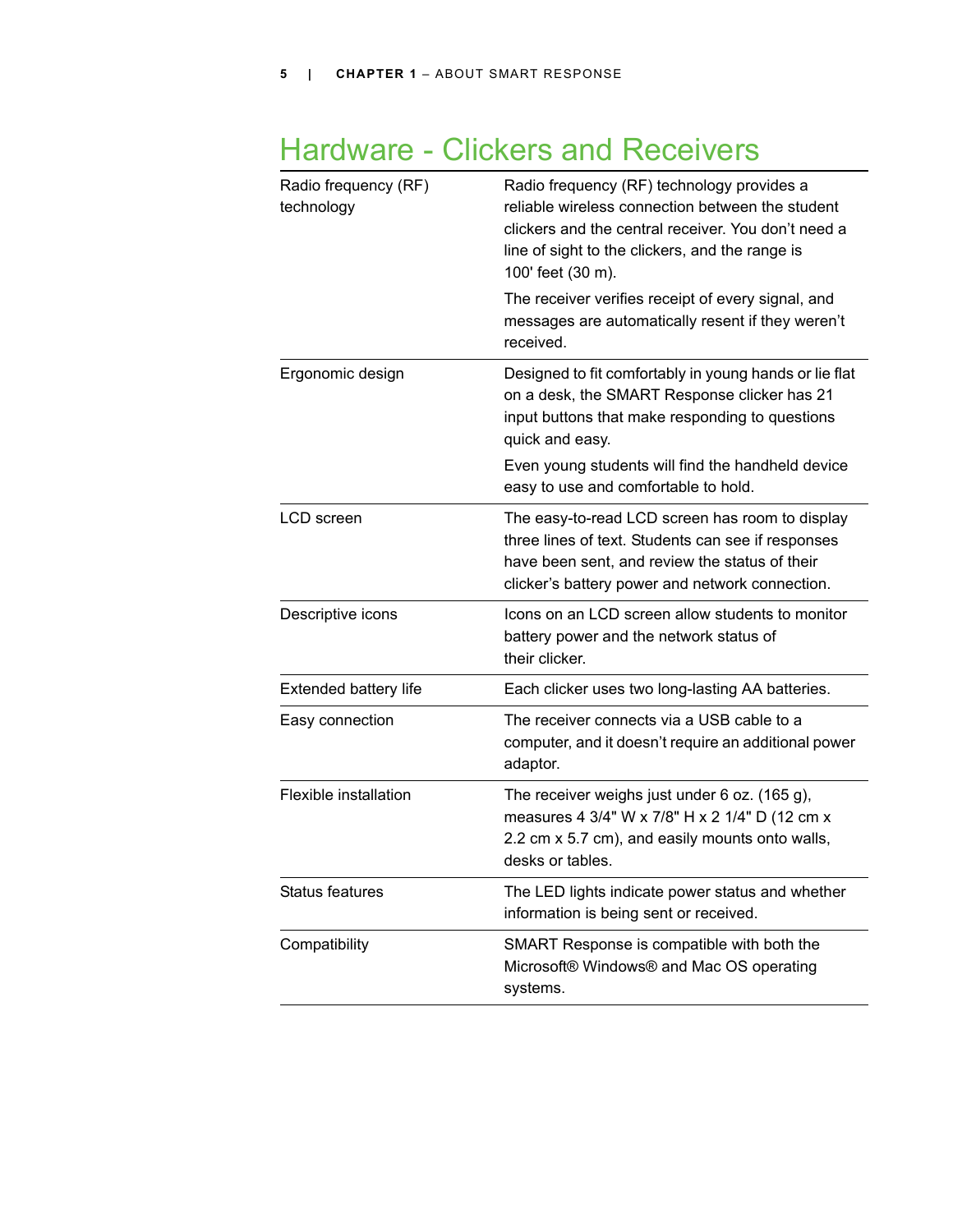# <span id="page-14-0"></span>Hardware - Clickers and Receivers

| Radio frequency (RF)<br>technology | Radio frequency (RF) technology provides a<br>reliable wireless connection between the student<br>clickers and the central receiver. You don't need a<br>line of sight to the clickers, and the range is<br>100' feet (30 m). |
|------------------------------------|-------------------------------------------------------------------------------------------------------------------------------------------------------------------------------------------------------------------------------|
|                                    | The receiver verifies receipt of every signal, and<br>messages are automatically resent if they weren't<br>received.                                                                                                          |
| Ergonomic design                   | Designed to fit comfortably in young hands or lie flat<br>on a desk, the SMART Response clicker has 21<br>input buttons that make responding to questions<br>quick and easy.                                                  |
|                                    | Even young students will find the handheld device<br>easy to use and comfortable to hold.                                                                                                                                     |
| <b>LCD</b> screen                  | The easy-to-read LCD screen has room to display<br>three lines of text. Students can see if responses<br>have been sent, and review the status of their<br>clicker's battery power and network connection.                    |
| Descriptive icons                  | Icons on an LCD screen allow students to monitor<br>battery power and the network status of<br>their clicker.                                                                                                                 |
| Extended battery life              | Each clicker uses two long-lasting AA batteries.                                                                                                                                                                              |
| Easy connection                    | The receiver connects via a USB cable to a<br>computer, and it doesn't require an additional power<br>adaptor.                                                                                                                |
| Flexible installation              | The receiver weighs just under 6 oz. (165 g),<br>measures 4 3/4" W x 7/8" H x 2 1/4" D (12 cm x<br>2.2 cm x 5.7 cm), and easily mounts onto walls,<br>desks or tables.                                                        |
| Status features                    | The LED lights indicate power status and whether<br>information is being sent or received.                                                                                                                                    |
| Compatibility                      | SMART Response is compatible with both the<br>Microsoft® Windows® and Mac OS operating<br>systems.                                                                                                                            |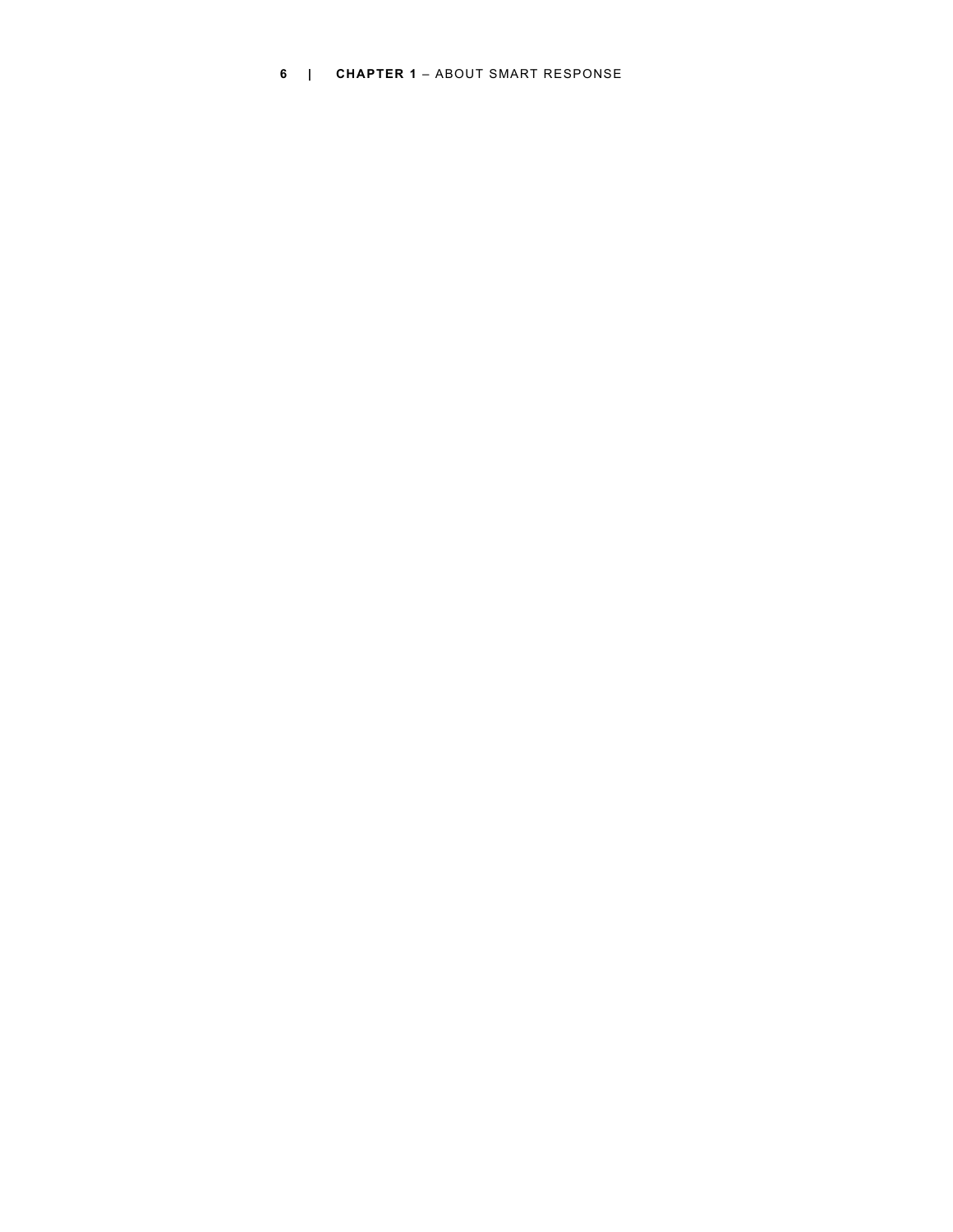#### **6 | CHAPTER 1** – ABOUT SMART RESPONSE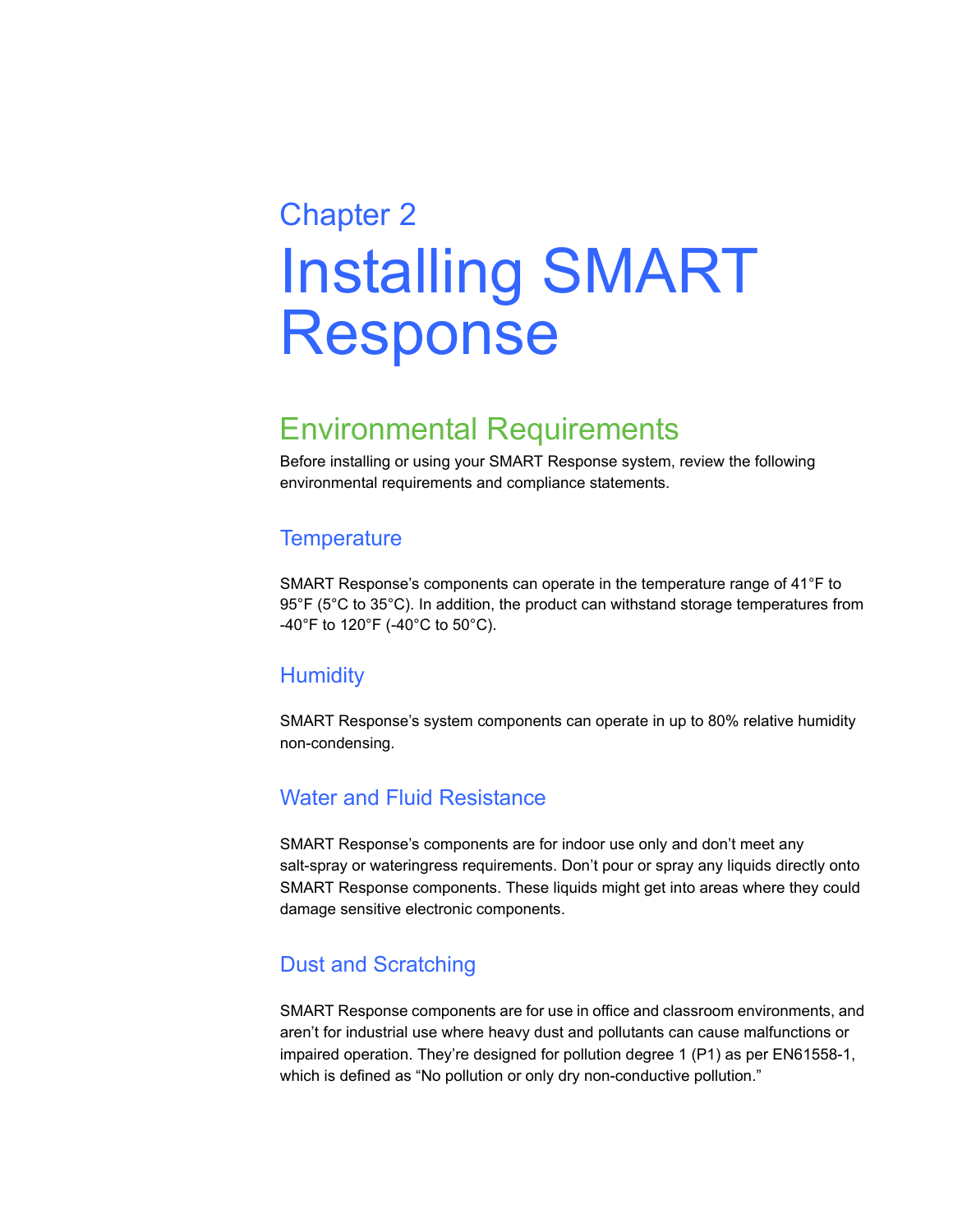# <span id="page-16-1"></span><span id="page-16-0"></span>Chapter 2 Installing SMART Response

## <span id="page-16-2"></span>Environmental Requirements

Before installing or using your SMART Response system, review the following environmental requirements and compliance statements.

### <span id="page-16-3"></span>**Temperature**

SMART Response's components can operate in the temperature range of 41°F to 95°F (5°C to 35°C). In addition, the product can withstand storage temperatures from -40°F to 120°F (-40°C to 50°C).

### <span id="page-16-4"></span>**Humidity**

SMART Response's system components can operate in up to 80% relative humidity non-condensing.

## <span id="page-16-5"></span>Water and Fluid Resistance

SMART Response's components are for indoor use only and don't meet any salt-spray or wateringress requirements. Don't pour or spray any liquids directly onto SMART Response components. These liquids might get into areas where they could damage sensitive electronic components.

## <span id="page-16-6"></span>Dust and Scratching

SMART Response components are for use in office and classroom environments, and aren't for industrial use where heavy dust and pollutants can cause malfunctions or impaired operation. They're designed for pollution degree 1 (P1) as per EN61558-1, which is defined as "No pollution or only dry non-conductive pollution."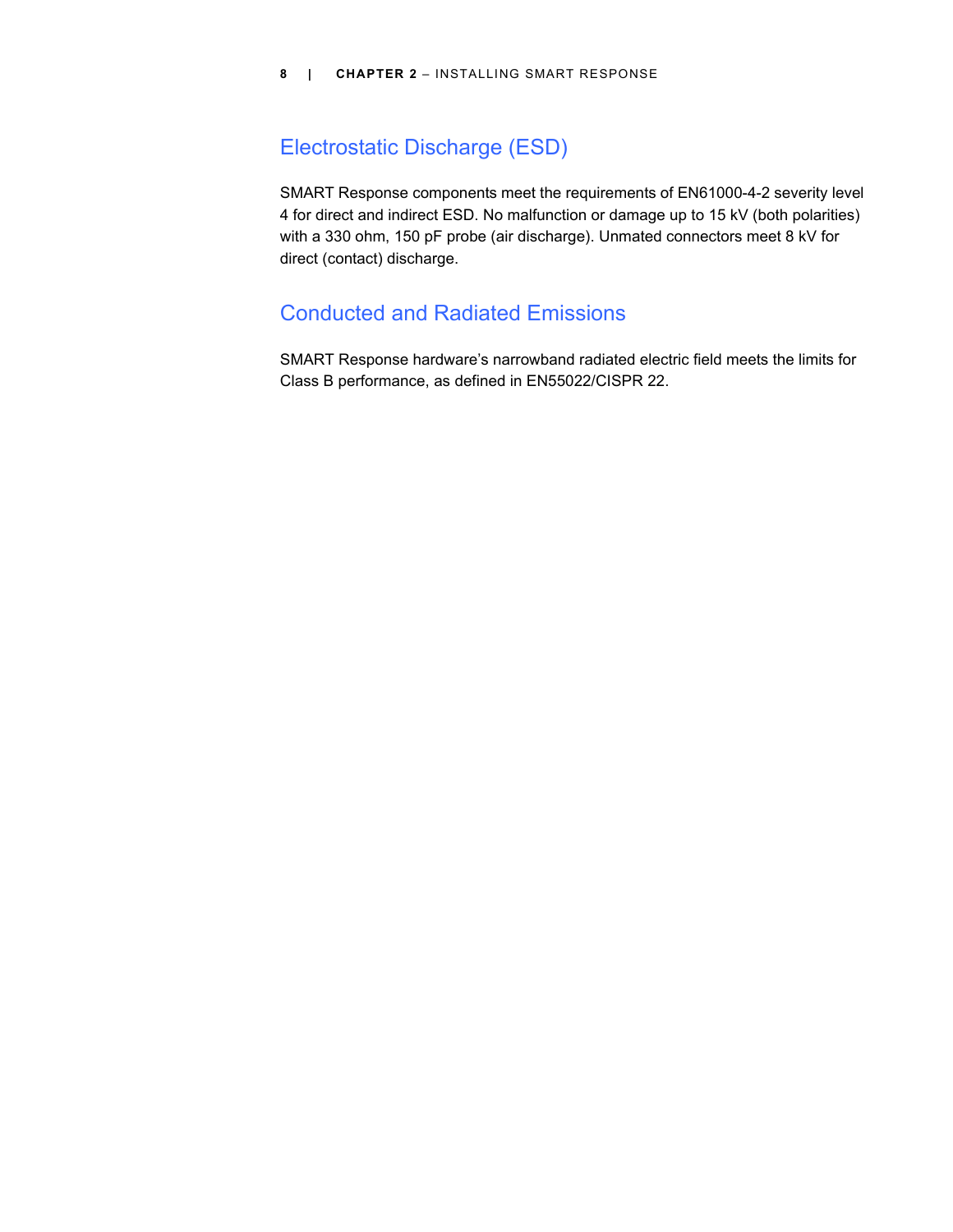### <span id="page-17-0"></span>Electrostatic Discharge (ESD)

SMART Response components meet the requirements of EN61000-4-2 severity level 4 for direct and indirect ESD. No malfunction or damage up to 15 kV (both polarities) with a 330 ohm, 150 pF probe (air discharge). Unmated connectors meet 8 kV for direct (contact) discharge.

### <span id="page-17-1"></span>Conducted and Radiated Emissions

SMART Response hardware's narrowband radiated electric field meets the limits for Class B performance, as defined in EN55022/CISPR 22.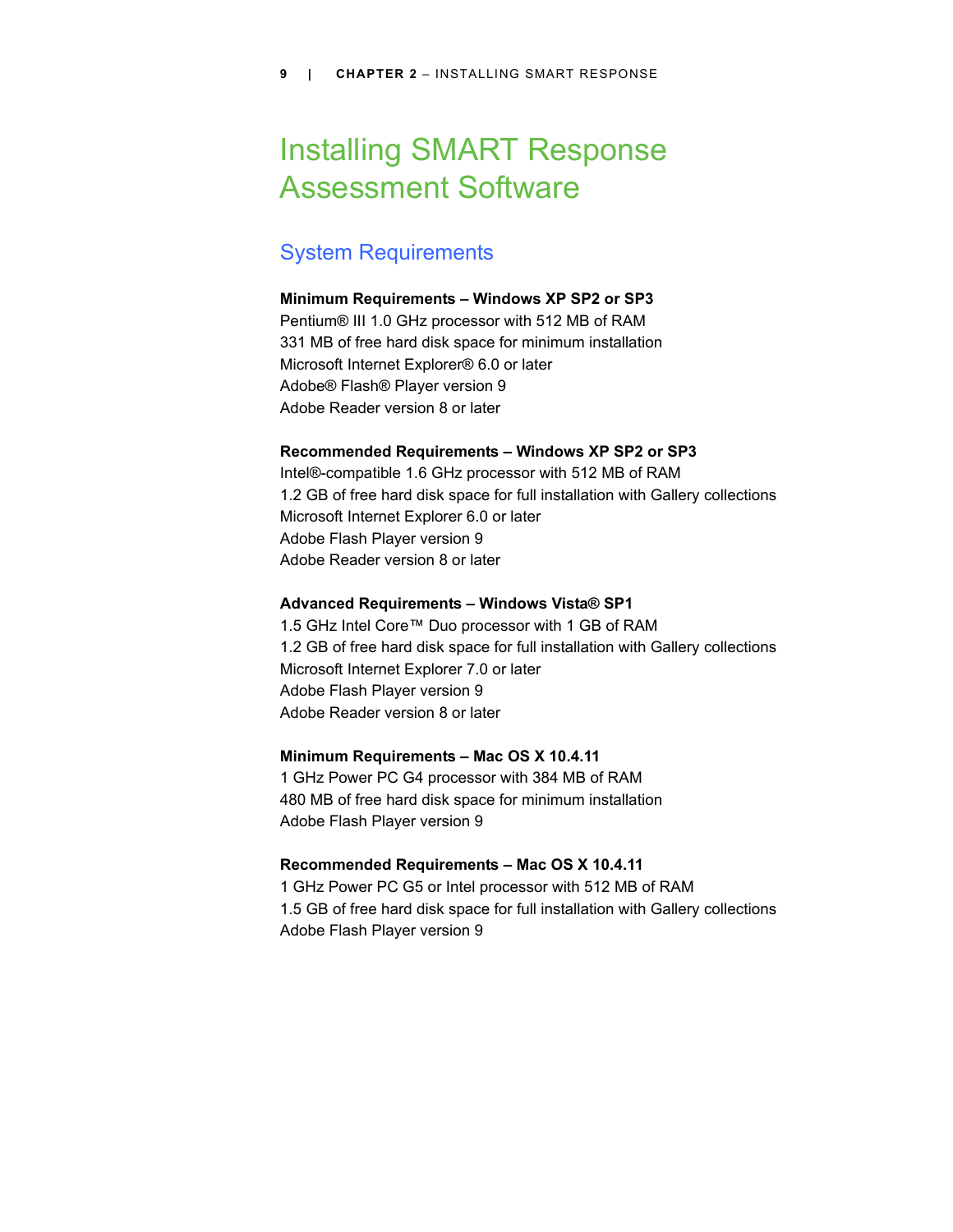# <span id="page-18-0"></span>Installing SMART Response Assessment Software

### <span id="page-18-1"></span>System Requirements

#### **Minimum Requirements – Windows XP SP2 or SP3**

Pentium® III 1.0 GHz processor with 512 MB of RAM 331 MB of free hard disk space for minimum installation Microsoft Internet Explorer® 6.0 or later Adobe® Flash® Player version 9 Adobe Reader version 8 or later

#### **Recommended Requirements – Windows XP SP2 or SP3**

Intel®-compatible 1.6 GHz processor with 512 MB of RAM 1.2 GB of free hard disk space for full installation with Gallery collections Microsoft Internet Explorer 6.0 or later Adobe Flash Player version 9 Adobe Reader version 8 or later

#### **Advanced Requirements – Windows Vista® SP1**

1.5 GHz Intel Core™ Duo processor with 1 GB of RAM 1.2 GB of free hard disk space for full installation with Gallery collections Microsoft Internet Explorer 7.0 or later Adobe Flash Player version 9 Adobe Reader version 8 or later

#### **Minimum Requirements – Mac OS X 10.4.11**

1 GHz Power PC G4 processor with 384 MB of RAM 480 MB of free hard disk space for minimum installation Adobe Flash Player version 9

#### **Recommended Requirements – Mac OS X 10.4.11**

1 GHz Power PC G5 or Intel processor with 512 MB of RAM 1.5 GB of free hard disk space for full installation with Gallery collections Adobe Flash Player version 9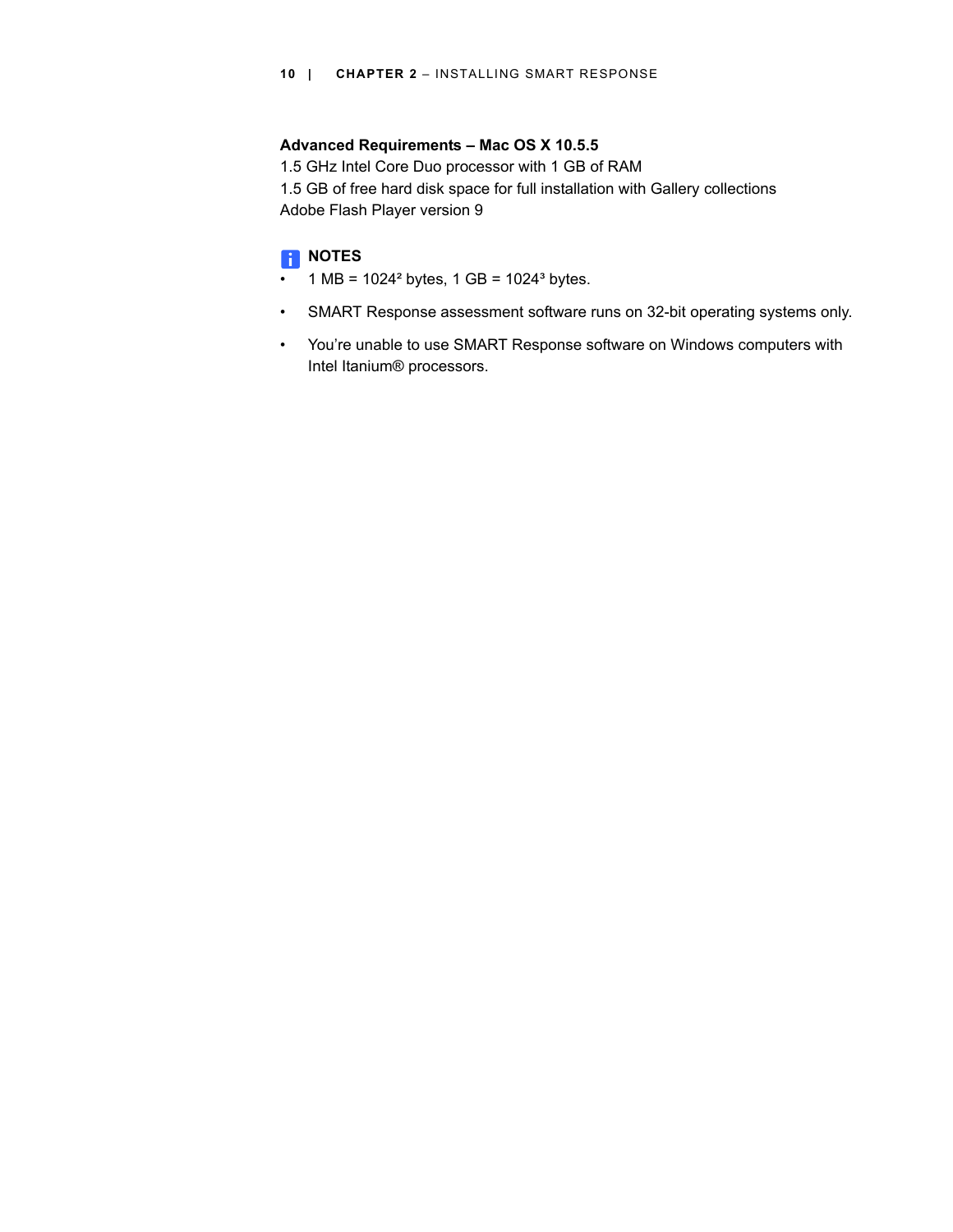#### **Advanced Requirements – Mac OS X 10.5.5**

1.5 GHz Intel Core Duo processor with 1 GB of RAM 1.5 GB of free hard disk space for full installation with Gallery collections Adobe Flash Player version 9

#### **NOTES**

- $1 \text{ MB} = 1024^2 \text{ bytes}$ ,  $1 \text{ GB} = 1024^3 \text{ bytes}$ .
- SMART Response assessment software runs on 32-bit operating systems only.
- You're unable to use SMART Response software on Windows computers with Intel Itanium® processors.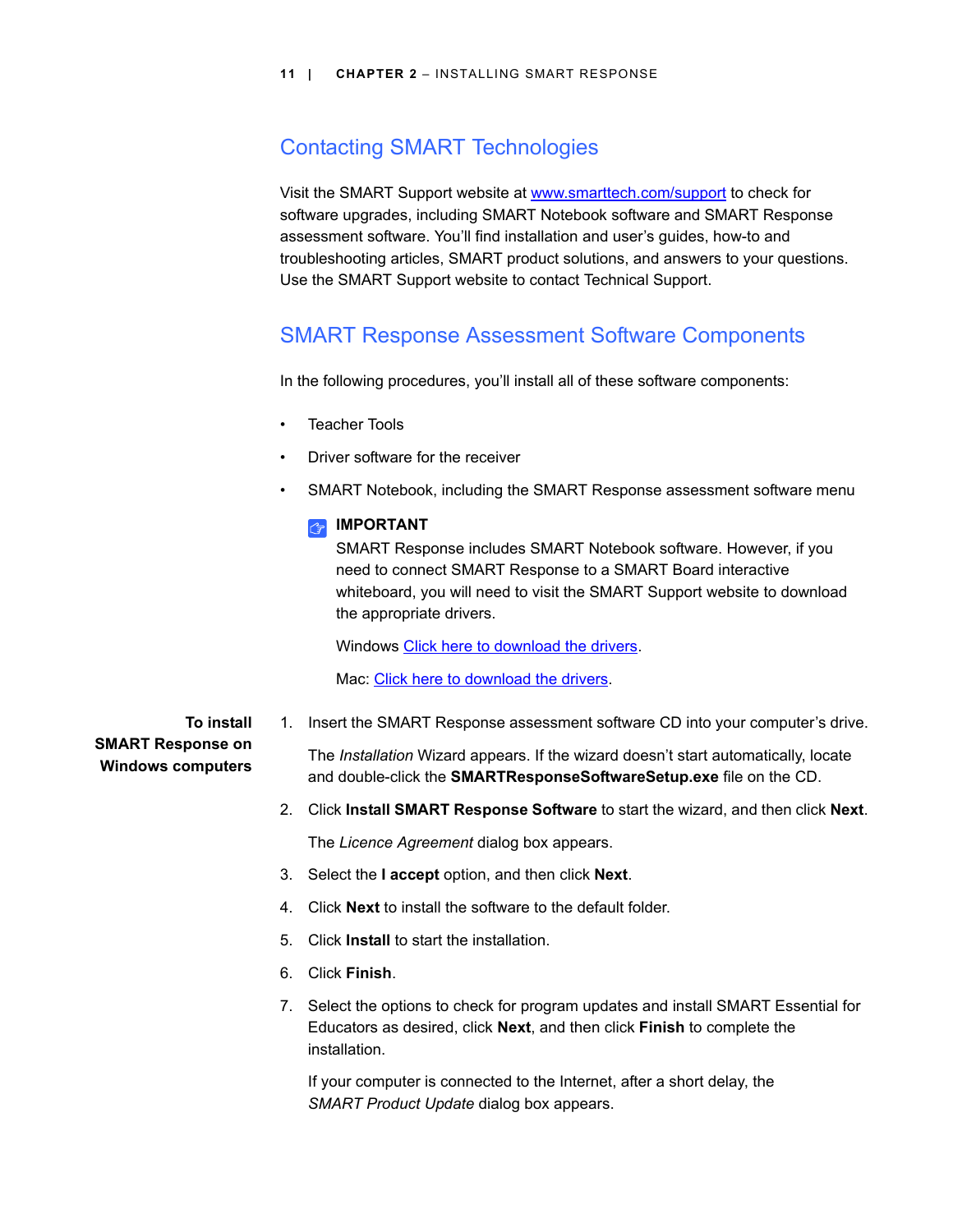### <span id="page-20-0"></span>Contacting SMART Technologies

Visit the SMART Support website at [www.smarttech.com/support](http://www2.smarttech.com/st/en-us/support) to check for software upgrades, including SMART Notebook software and SMART Response assessment software. You'll find installation and user's guides, how-to and troubleshooting articles, SMART product solutions, and answers to your questions. Use the SMART Support website to contact Technical Support.

### <span id="page-20-1"></span>SMART Response Assessment Software Components

In the following procedures, you'll install all of these software components:

- Teacher Tools
- Driver software for the receiver
- SMART Notebook, including the SMART Response assessment software menu

#### *<b>P* **IMPORTANT**

SMART Response includes SMART Notebook software. However, if you need to connect SMART Response to a SMART Board interactive whiteboard, you will need to visit the SMART Support website to download the appropriate drivers.

Windows [Click here to download the drivers.](http://www2.smarttech.com/st/en-US/Support/Downloads/SBS/Windows/NB10DriverOnly.htm)

Mac: [Click here to download the drivers.](http://www2.smarttech.com/st/en-US/Support/Downloads/Admin+tools/AdminToolsNBMac.htm)

**To install SMART Response on Windows computers**

The *Installation* Wizard appears. If the wizard doesn't start automatically, locate and double-click the **SMARTResponseSoftwareSetup.exe** file on the CD.

1. Insert the SMART Response assessment software CD into your computer's drive.

2. Click **Install SMART Response Software** to start the wizard, and then click **Next**.

The *Licence Agreement* dialog box appears.

- 3. Select the **I accept** option, and then click **Next**.
- 4. Click **Next** to install the software to the default folder.
- 5. Click **Install** to start the installation.
- 6. Click **Finish**.
- 7. Select the options to check for program updates and install SMART Essential for Educators as desired, click **Next**, and then click **Finish** to complete the installation.

If your computer is connected to the Internet, after a short delay, the *SMART Product Update* dialog box appears.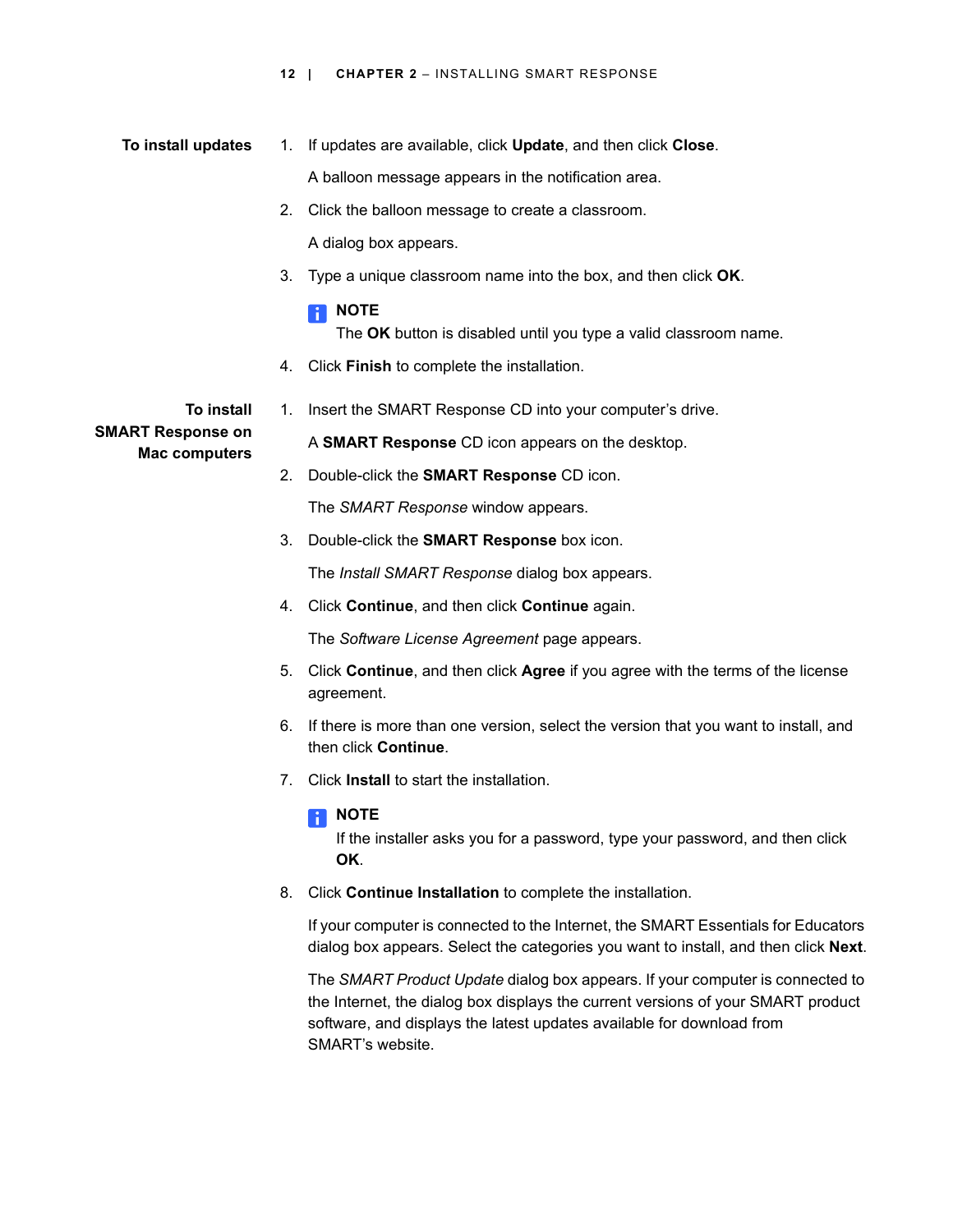**To install updates** 1. If updates are available, click **Update**, and then click **Close**.

A balloon message appears in the notification area.

2. Click the balloon message to create a classroom.

A dialog box appears.

3. Type a unique classroom name into the box, and then click **OK**.

#### **NOTE**

The **OK** button is disabled until you type a valid classroom name.

4. Click **Finish** to complete the installation.

**To install SMART Response on Mac computers**

1. Insert the SMART Response CD into your computer's drive.

A **SMART Response** CD icon appears on the desktop.

2. Double-click the **SMART Response** CD icon.

The *SMART Response* window appears.

3. Double-click the **SMART Response** box icon.

The *Install SMART Response* dialog box appears.

4. Click **Continue**, and then click **Continue** again.

The *Software License Agreement* page appears.

- 5. Click **Continue**, and then click **Agree** if you agree with the terms of the license agreement.
- 6. If there is more than one version, select the version that you want to install, and then click **Continue**.
- 7. Click **Install** to start the installation.

#### **NOTE**

If the installer asks you for a password, type your password, and then click **OK**.

8. Click **Continue Installation** to complete the installation.

If your computer is connected to the Internet, the SMART Essentials for Educators dialog box appears. Select the categories you want to install, and then click **Next**.

The *SMART Product Update* dialog box appears. If your computer is connected to the Internet, the dialog box displays the current versions of your SMART product software, and displays the latest updates available for download from SMART's website.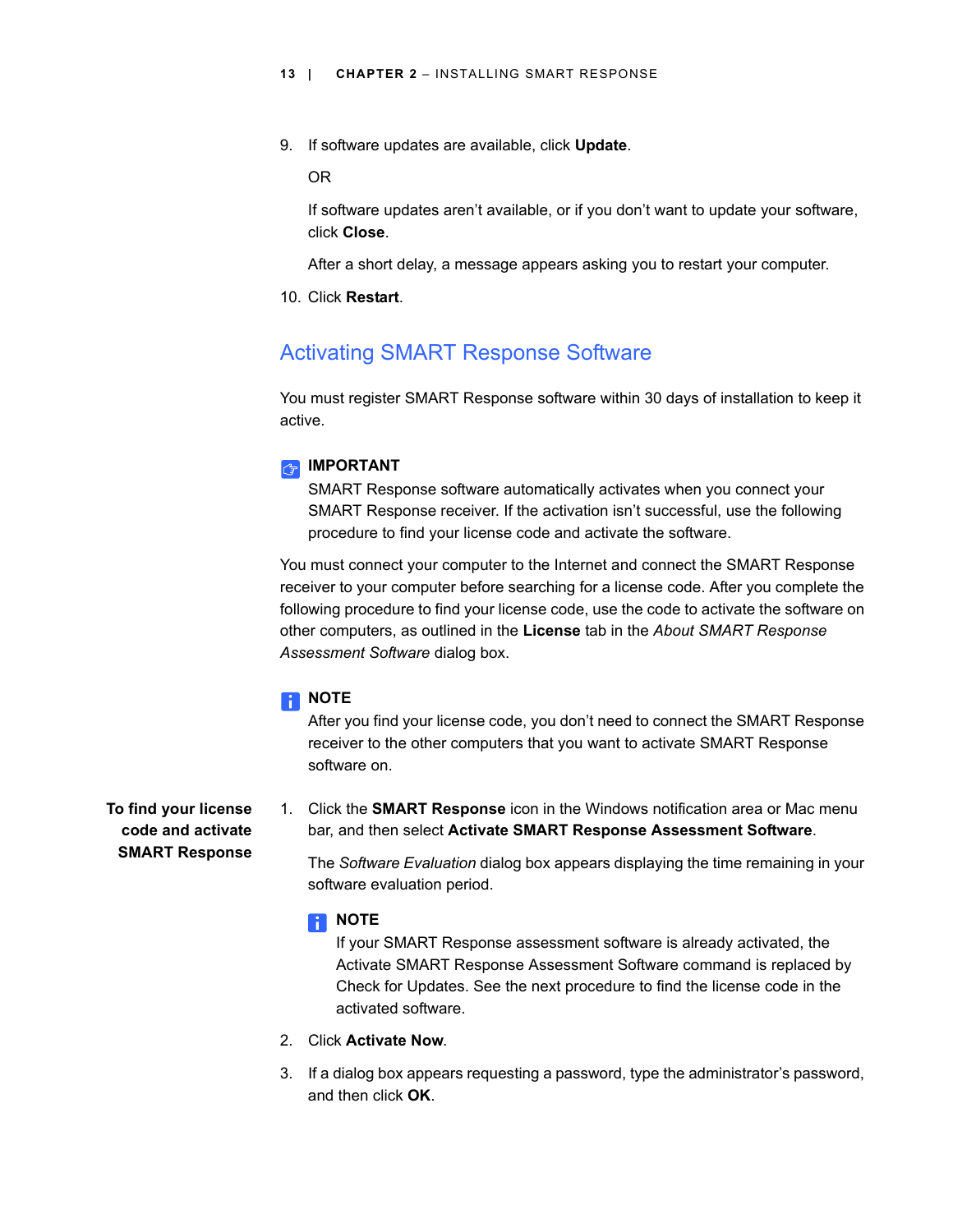9. If software updates are available, click **Update**.

OR

If software updates aren't available, or if you don't want to update your software, click **Close**.

After a short delay, a message appears asking you to restart your computer.

10. Click **Restart**.

### <span id="page-22-0"></span>Activating SMART Response Software

You must register SMART Response software within 30 days of installation to keep it active.

#### **P**IMPORTANT

SMART Response software automatically activates when you connect your SMART Response receiver. If the activation isn't successful, use the following procedure to find your license code and activate the software.

You must connect your computer to the Internet and connect the SMART Response receiver to your computer before searching for a license code. After you complete the following procedure to find your license code, use the code to activate the software on other computers, as outlined in the **License** tab in the *About SMART Response Assessment Software* dialog box.

#### **NOTE**

After you find your license code, you don't need to connect the SMART Response receiver to the other computers that you want to activate SMART Response software on.

**To find your license code and activate SMART Response**

1. Click the **SMART Response** icon in the Windows notification area or Mac menu bar, and then select **Activate SMART Response Assessment Software**.

The *Software Evaluation* dialog box appears displaying the time remaining in your software evaluation period.

#### **NOTE**

If your SMART Response assessment software is already activated, the Activate SMART Response Assessment Software command is replaced by Check for Updates. See the next procedure to find the license code in the activated software.

- 2. Click **Activate Now**.
- 3. If a dialog box appears requesting a password, type the administrator's password, and then click **OK**.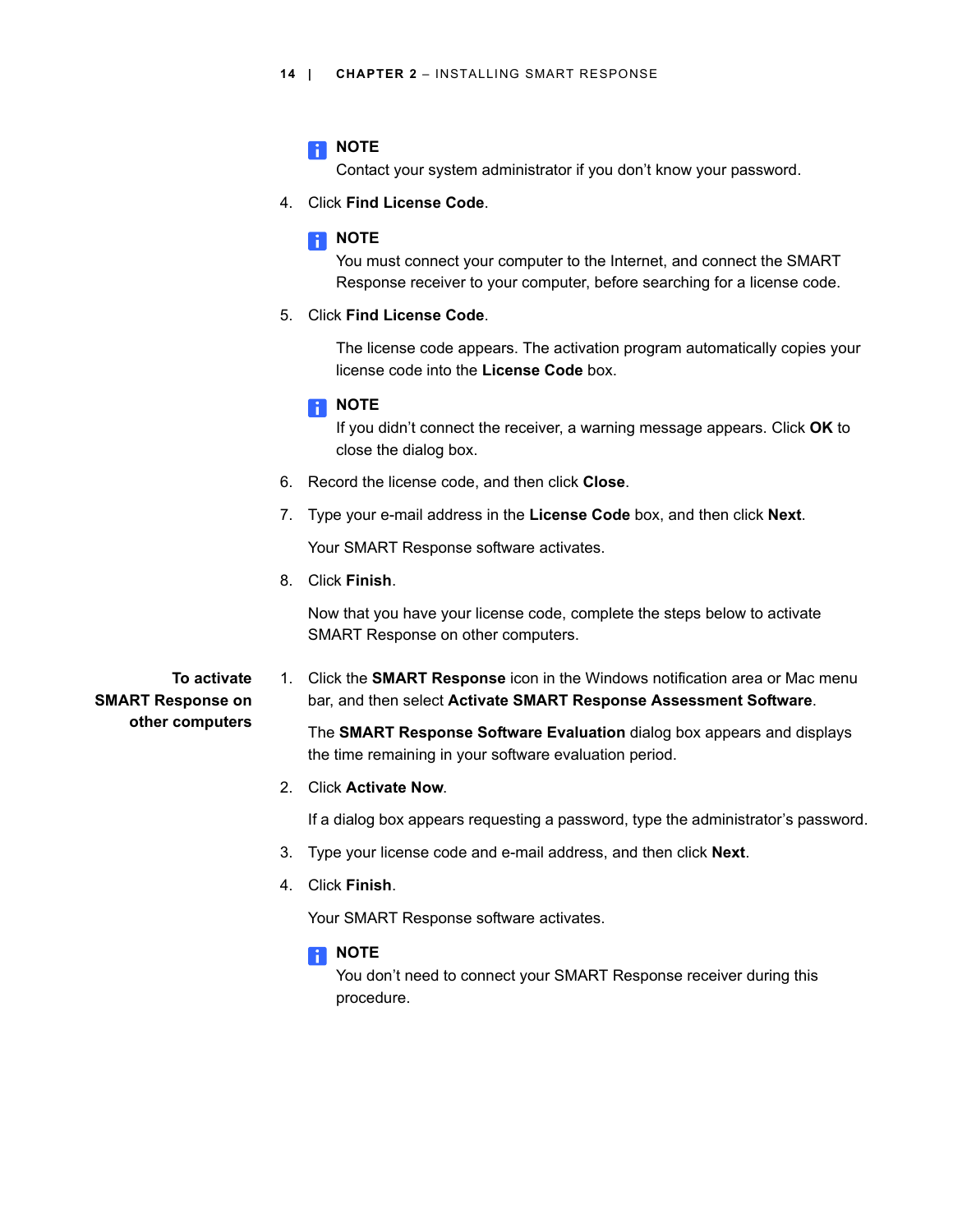#### **NOTE**

Contact your system administrator if you don't know your password.

4. Click **Find License Code**.

#### **NOTE**

You must connect your computer to the Internet, and connect the SMART Response receiver to your computer, before searching for a license code.

5. Click **Find License Code**.

The license code appears. The activation program automatically copies your license code into the **License Code** box.

#### **R** NOTE

If you didn't connect the receiver, a warning message appears. Click **OK** to close the dialog box.

- 6. Record the license code, and then click **Close**.
- 7. Type your e-mail address in the **License Code** box, and then click **Next**.

Your SMART Response software activates.

8. Click **Finish**.

Now that you have your license code, complete the steps below to activate SMART Response on other computers.

**To activate SMART Response on** 1. Click the **SMART Response** icon in the Windows notification area or Mac menu bar, and then select **Activate SMART Response Assessment Software**.

**other computers**

The **SMART Response Software Evaluation** dialog box appears and displays the time remaining in your software evaluation period.

2. Click **Activate Now**.

If a dialog box appears requesting a password, type the administrator's password.

- 3. Type your license code and e-mail address, and then click **Next**.
- 4. Click **Finish**.

Your SMART Response software activates.

#### **NOTE**

You don't need to connect your SMART Response receiver during this procedure.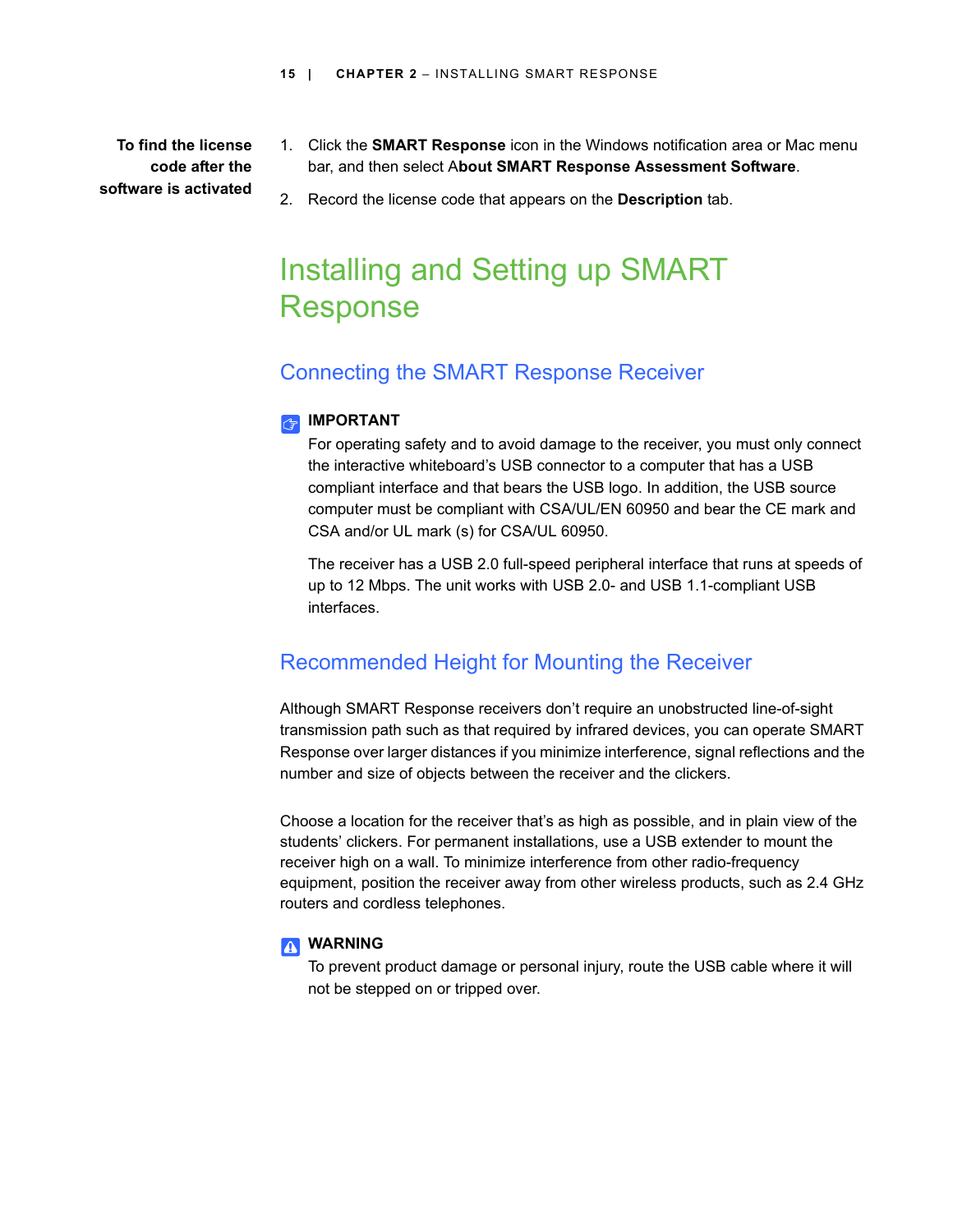**To find the license code after the software is activated**

- 1. Click the **SMART Response** icon in the Windows notification area or Mac menu bar, and then select A**bout SMART Response Assessment Software**.
- 2. Record the license code that appears on the **Description** tab.

# <span id="page-24-0"></span>Installing and Setting up SMART Response

### <span id="page-24-1"></span>Connecting the SMART Response Receiver

#### *<b>P* IMPORTANT

For operating safety and to avoid damage to the receiver, you must only connect the interactive whiteboard's USB connector to a computer that has a USB compliant interface and that bears the USB logo. In addition, the USB source computer must be compliant with CSA/UL/EN 60950 and bear the CE mark and CSA and/or UL mark (s) for CSA/UL 60950.

The receiver has a USB 2.0 full-speed peripheral interface that runs at speeds of up to 12 Mbps. The unit works with USB 2.0- and USB 1.1-compliant USB interfaces.

### <span id="page-24-2"></span>Recommended Height for Mounting the Receiver

Although SMART Response receivers don't require an unobstructed line-of-sight transmission path such as that required by infrared devices, you can operate SMART Response over larger distances if you minimize interference, signal reflections and the number and size of objects between the receiver and the clickers.

Choose a location for the receiver that's as high as possible, and in plain view of the students' clickers. For permanent installations, use a USB extender to mount the receiver high on a wall. To minimize interference from other radio-frequency equipment, position the receiver away from other wireless products, such as 2.4 GHz routers and cordless telephones.



To prevent product damage or personal injury, route the USB cable where it will not be stepped on or tripped over.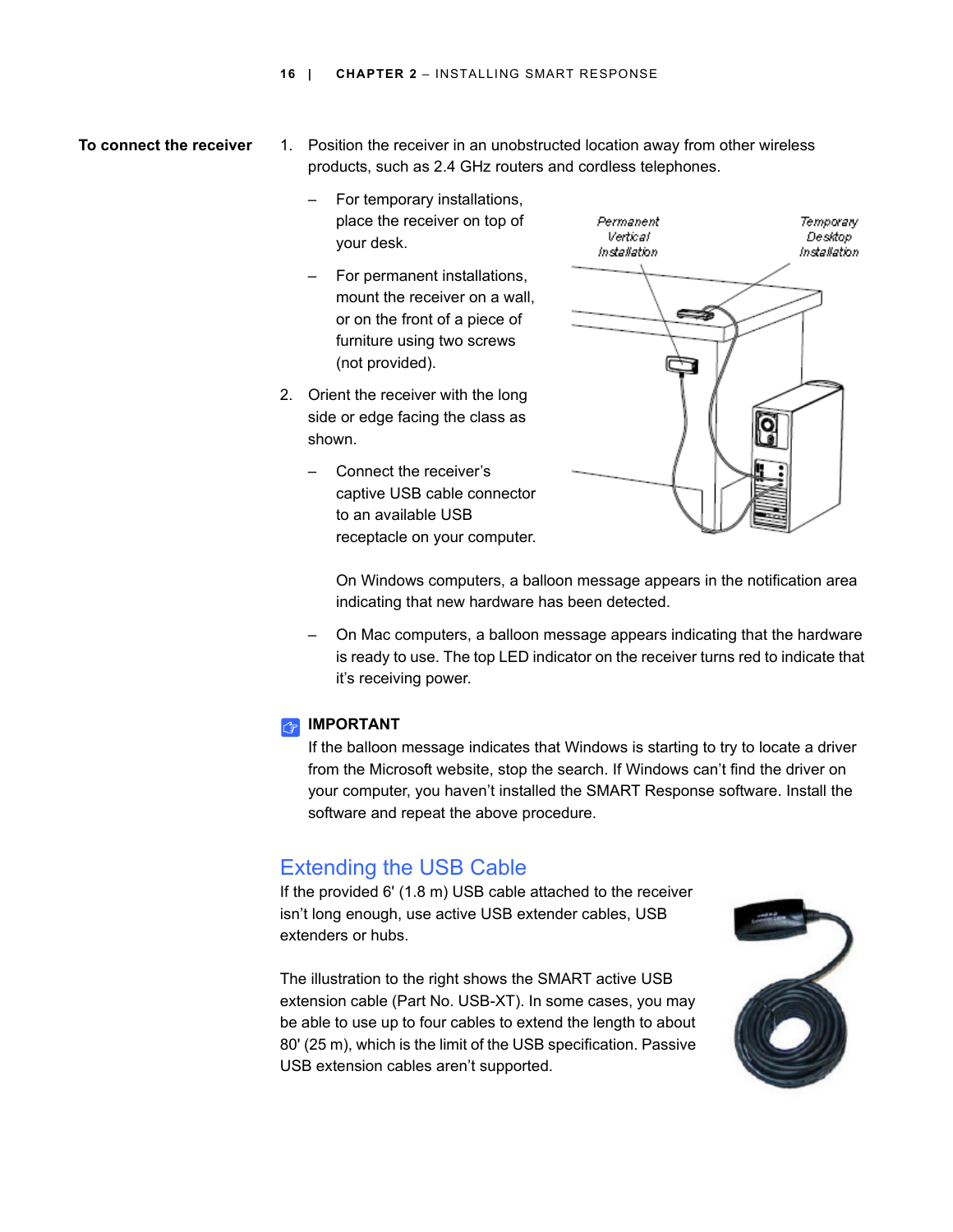- **To connect the receiver** 1. Position the receiver in an unobstructed location away from other wireless products, such as 2.4 GHz routers and cordless telephones.
	- For temporary installations, place the receiver on top of your desk.
	- For permanent installations, mount the receiver on a wall, or on the front of a piece of furniture using two screws (not provided).
	- 2. Orient the receiver with the long side or edge facing the class as shown.
		- Connect the receiver's captive USB cable connector to an available USB receptacle on your computer.



On Windows computers, a balloon message appears in the notification area indicating that new hardware has been detected.

– On Mac computers, a balloon message appears indicating that the hardware is ready to use. The top LED indicator on the receiver turns red to indicate that it's receiving power.

#### **IMPORTANT**

If the balloon message indicates that Windows is starting to try to locate a driver from the Microsoft website, stop the search. If Windows can't find the driver on your computer, you haven't installed the SMART Response software. Install the software and repeat the above procedure.

### <span id="page-25-0"></span>Extending the USB Cable

If the provided 6' (1.8 m) USB cable attached to the receiver isn't long enough, use active USB extender cables, USB extenders or hubs.

The illustration to the right shows the SMART active USB extension cable (Part No. USB-XT). In some cases, you may be able to use up to four cables to extend the length to about 80' (25 m), which is the limit of the USB specification. Passive USB extension cables aren't supported.

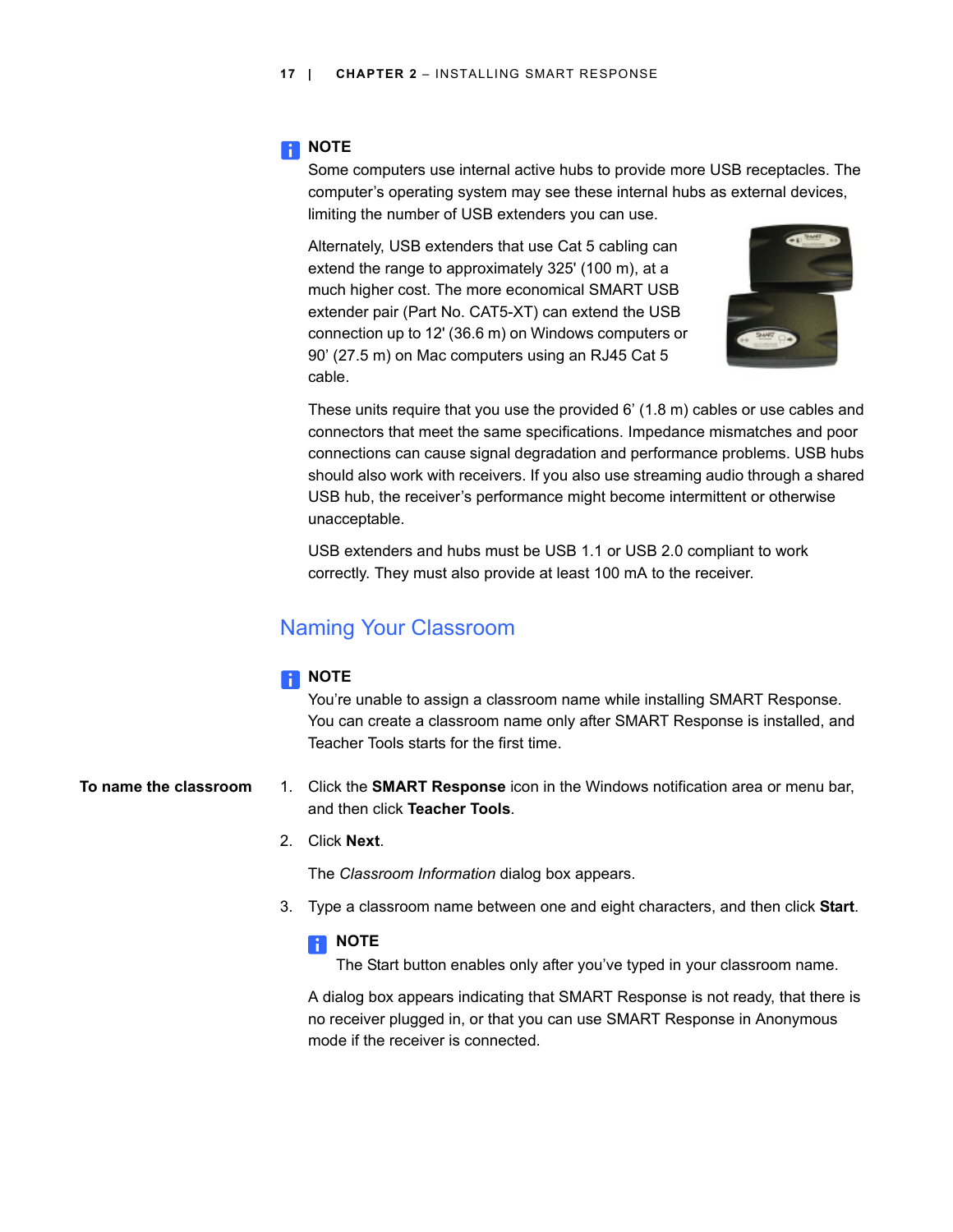#### **NOTE**

Some computers use internal active hubs to provide more USB receptacles. The computer's operating system may see these internal hubs as external devices, limiting the number of USB extenders you can use.

Alternately, USB extenders that use Cat 5 cabling can extend the range to approximately 325' (100 m), at a much higher cost. The more economical SMART USB extender pair (Part No. CAT5-XT) can extend the USB connection up to 12' (36.6 m) on Windows computers or 90' (27.5 m) on Mac computers using an RJ45 Cat 5 cable.



These units require that you use the provided 6' (1.8 m) cables or use cables and connectors that meet the same specifications. Impedance mismatches and poor connections can cause signal degradation and performance problems. USB hubs should also work with receivers. If you also use streaming audio through a shared USB hub, the receiver's performance might become intermittent or otherwise unacceptable.

USB extenders and hubs must be USB 1.1 or USB 2.0 compliant to work correctly. They must also provide at least 100 mA to the receiver.

### <span id="page-26-0"></span>Naming Your Classroom

#### **NOTE**

You're unable to assign a classroom name while installing SMART Response. You can create a classroom name only after SMART Response is installed, and Teacher Tools starts for the first time.

- **To name the classroom** 1. Click the **SMART Response** icon in the Windows notification area or menu bar, and then click **Teacher Tools**.
	- 2. Click **Next**.

The *Classroom Information* dialog box appears.

3. Type a classroom name between one and eight characters, and then click **Start**.

#### **NOTE**

The Start button enables only after you've typed in your classroom name.

A dialog box appears indicating that SMART Response is not ready, that there is no receiver plugged in, or that you can use SMART Response in Anonymous mode if the receiver is connected.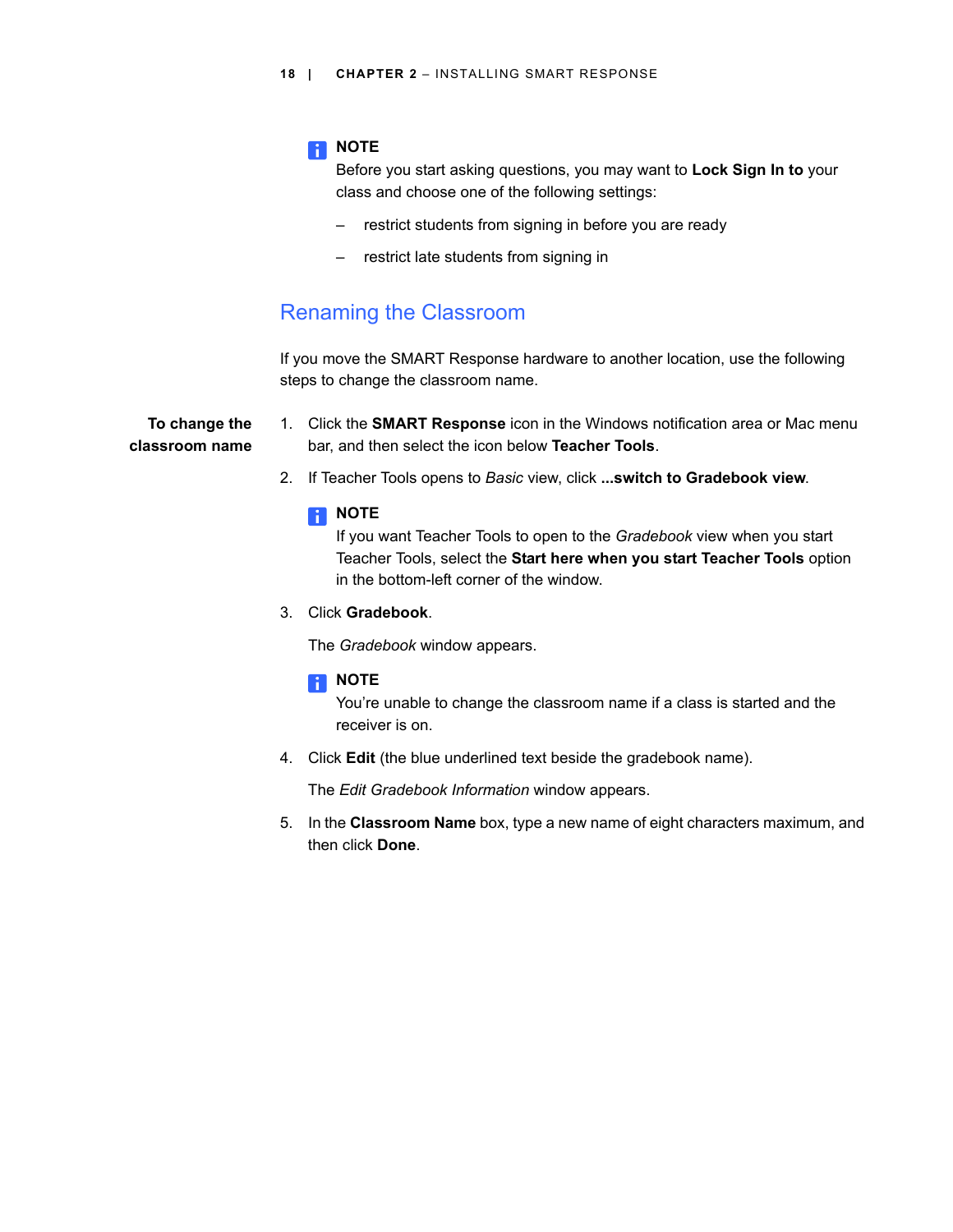#### **NOTE**

Before you start asking questions, you may want to **Lock Sign In to** your class and choose one of the following settings:

- restrict students from signing in before you are ready
- restrict late students from signing in

### <span id="page-27-0"></span>Renaming the Classroom

If you move the SMART Response hardware to another location, use the following steps to change the classroom name.

**To change the classroom name**

- 1. Click the **SMART Response** icon in the Windows notification area or Mac menu bar, and then select the icon below **Teacher Tools**.
- 2. If Teacher Tools opens to *Basic* view, click **...switch to Gradebook view**.

#### **NOTE**

If you want Teacher Tools to open to the *Gradebook* view when you start Teacher Tools, select the **Start here when you start Teacher Tools** option in the bottom-left corner of the window.

3. Click **Gradebook**.

The *Gradebook* window appears.

#### **NOTE**

You're unable to change the classroom name if a class is started and the receiver is on.

4. Click **Edit** (the blue underlined text beside the gradebook name).

The *Edit Gradebook Information* window appears.

5. In the **Classroom Name** box, type a new name of eight characters maximum, and then click **Done**.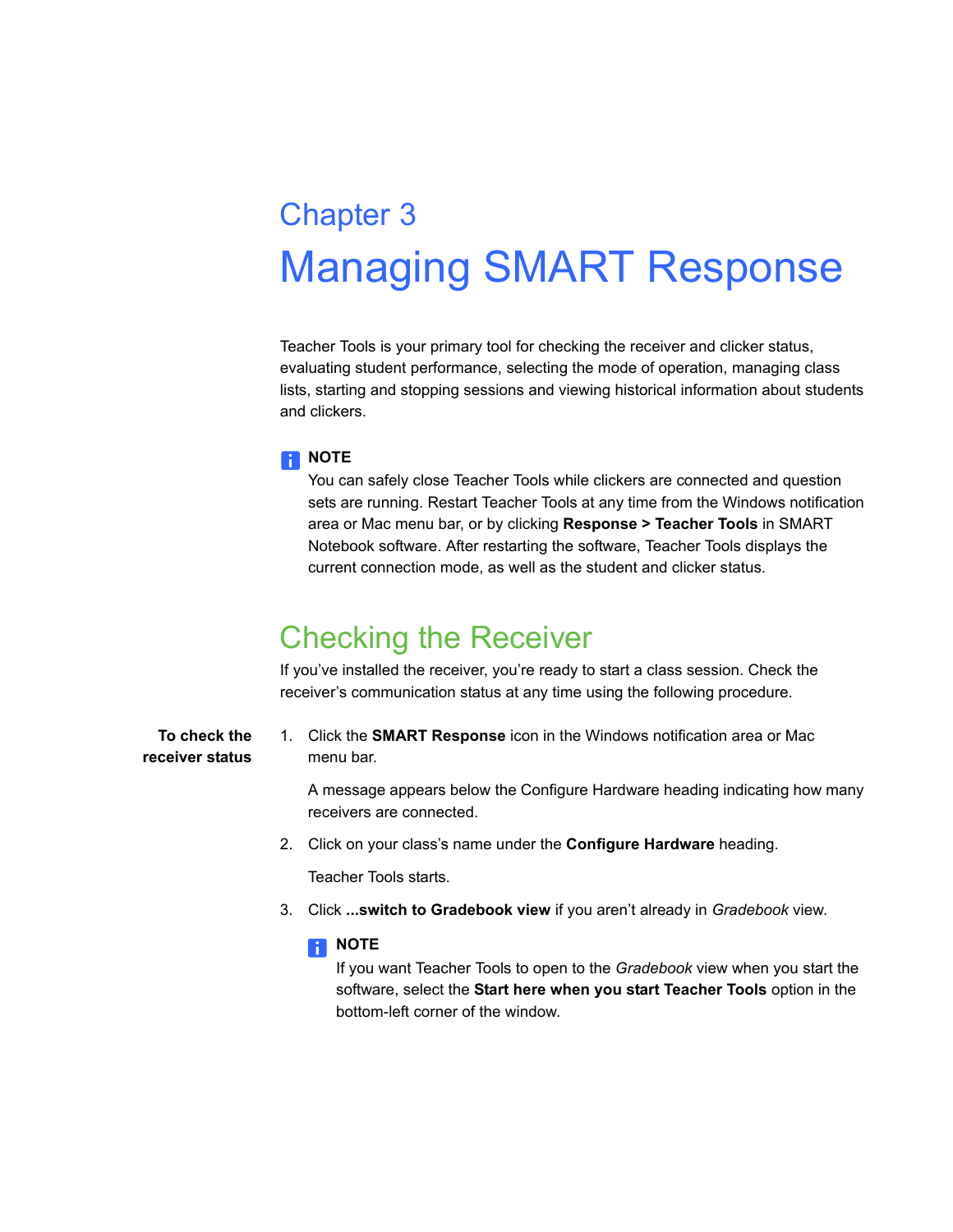# <span id="page-28-1"></span><span id="page-28-0"></span>Chapter 3 Managing SMART Response

Teacher Tools is your primary tool for checking the receiver and clicker status, evaluating student performance, selecting the mode of operation, managing class lists, starting and stopping sessions and viewing historical information about students and clickers.

#### **NOTE**

You can safely close Teacher Tools while clickers are connected and question sets are running. Restart Teacher Tools at any time from the Windows notification area or Mac menu bar, or by clicking **Response > Teacher Tools** in SMART Notebook software. After restarting the software, Teacher Tools displays the current connection mode, as well as the student and clicker status.

# <span id="page-28-2"></span>Checking the Receiver

If you've installed the receiver, you're ready to start a class session. Check the receiver's communication status at any time using the following procedure.

#### **To check the receiver status** 1. Click the **SMART Response** icon in the Windows notification area or Mac menu bar.

A message appears below the Configure Hardware heading indicating how many receivers are connected.

2. Click on your class's name under the **Configure Hardware** heading.

Teacher Tools starts.

3. Click **...switch to Gradebook view** if you aren't already in *Gradebook* view.

#### **NOTE**

If you want Teacher Tools to open to the *Gradebook* view when you start the software, select the **Start here when you start Teacher Tools** option in the bottom-left corner of the window.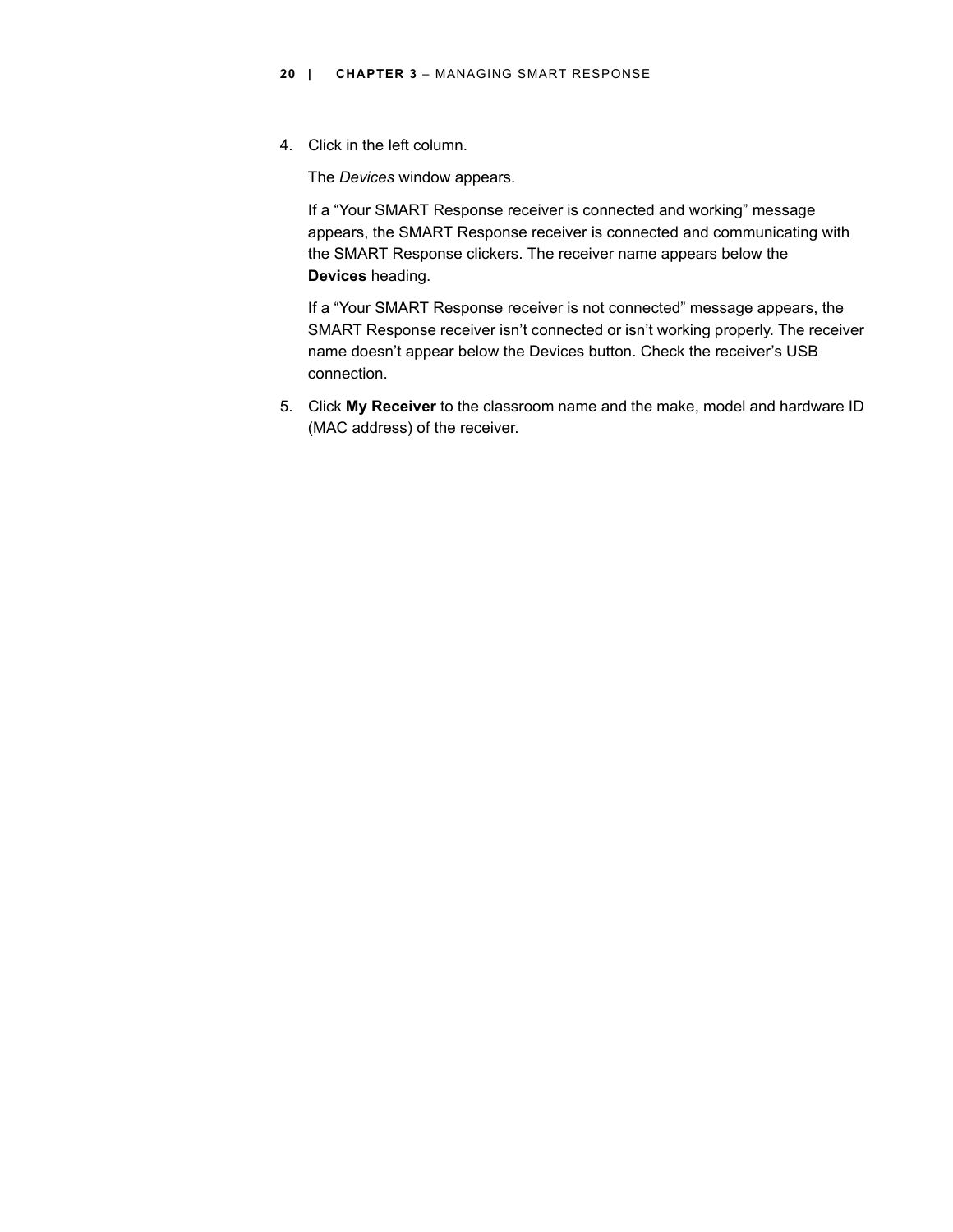4. Click in the left column.

The *Devices* window appears.

If a "Your SMART Response receiver is connected and working" message appears, the SMART Response receiver is connected and communicating with the SMART Response clickers. The receiver name appears below the **Devices** heading.

If a "Your SMART Response receiver is not connected" message appears, the SMART Response receiver isn't connected or isn't working properly. The receiver name doesn't appear below the Devices button. Check the receiver's USB connection.

5. Click **My Receiver** to the classroom name and the make, model and hardware ID (MAC address) of the receiver.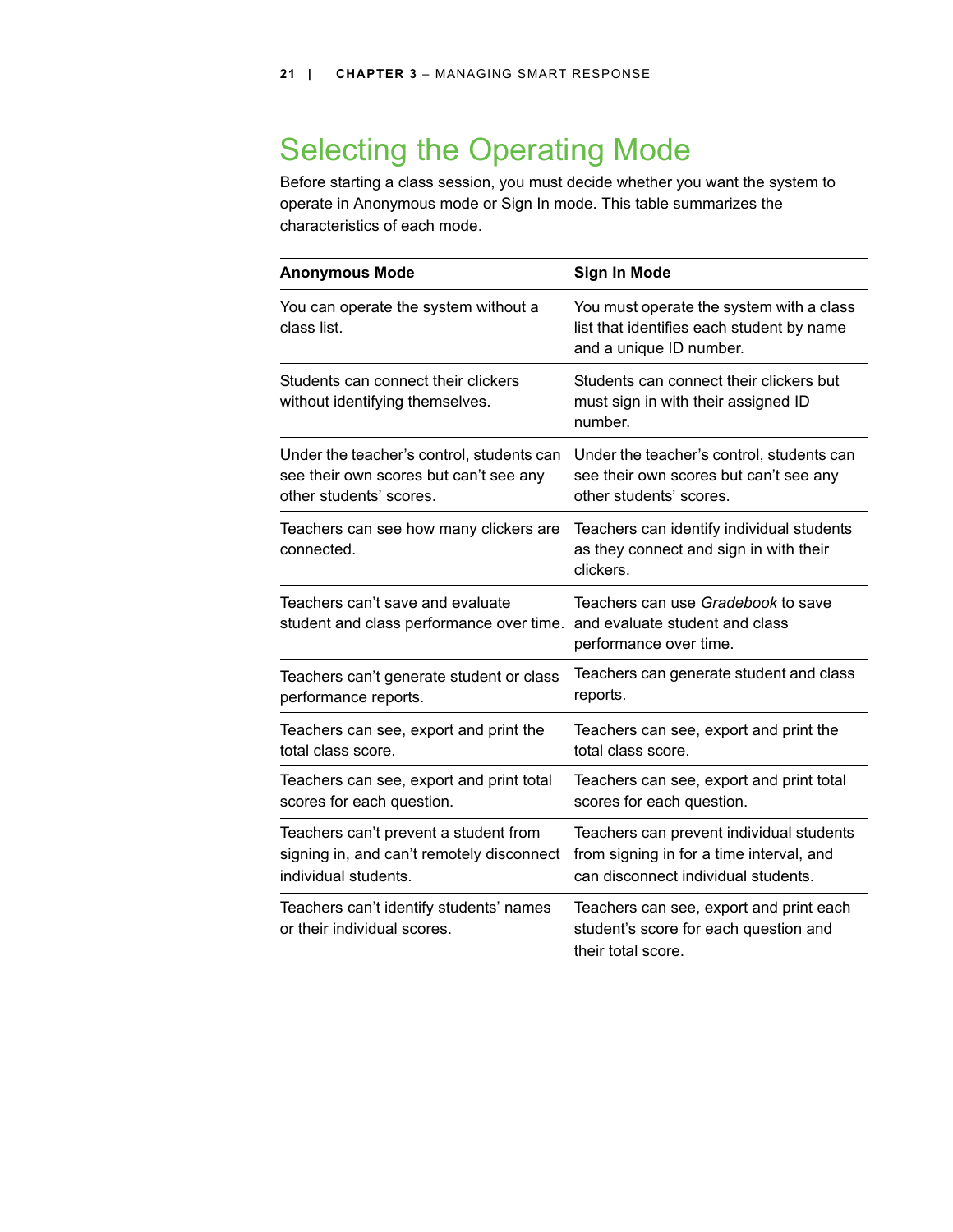# <span id="page-30-0"></span>Selecting the Operating Mode

Before starting a class session, you must decide whether you want the system to operate in Anonymous mode or Sign In mode. This table summarizes the characteristics of each mode.

| <b>Anonymous Mode</b>                                                                                          | <b>Sign In Mode</b>                                                                                                         |
|----------------------------------------------------------------------------------------------------------------|-----------------------------------------------------------------------------------------------------------------------------|
| You can operate the system without a<br>class list.                                                            | You must operate the system with a class<br>list that identifies each student by name<br>and a unique ID number.            |
| Students can connect their clickers<br>without identifying themselves.                                         | Students can connect their clickers but<br>must sign in with their assigned ID<br>number.                                   |
| Under the teacher's control, students can<br>see their own scores but can't see any<br>other students' scores. | Under the teacher's control, students can<br>see their own scores but can't see any<br>other students' scores.              |
| Teachers can see how many clickers are<br>connected.                                                           | Teachers can identify individual students<br>as they connect and sign in with their<br>clickers.                            |
| Teachers can't save and evaluate<br>student and class performance over time.                                   | Teachers can use Gradebook to save<br>and evaluate student and class<br>performance over time.                              |
| Teachers can't generate student or class<br>performance reports.                                               | Teachers can generate student and class<br>reports.                                                                         |
| Teachers can see, export and print the<br>total class score.                                                   | Teachers can see, export and print the<br>total class score.                                                                |
| Teachers can see, export and print total<br>scores for each question.                                          | Teachers can see, export and print total<br>scores for each question.                                                       |
| Teachers can't prevent a student from<br>signing in, and can't remotely disconnect<br>individual students.     | Teachers can prevent individual students<br>from signing in for a time interval, and<br>can disconnect individual students. |
| Teachers can't identify students' names<br>or their individual scores.                                         | Teachers can see, export and print each<br>student's score for each question and<br>their total score.                      |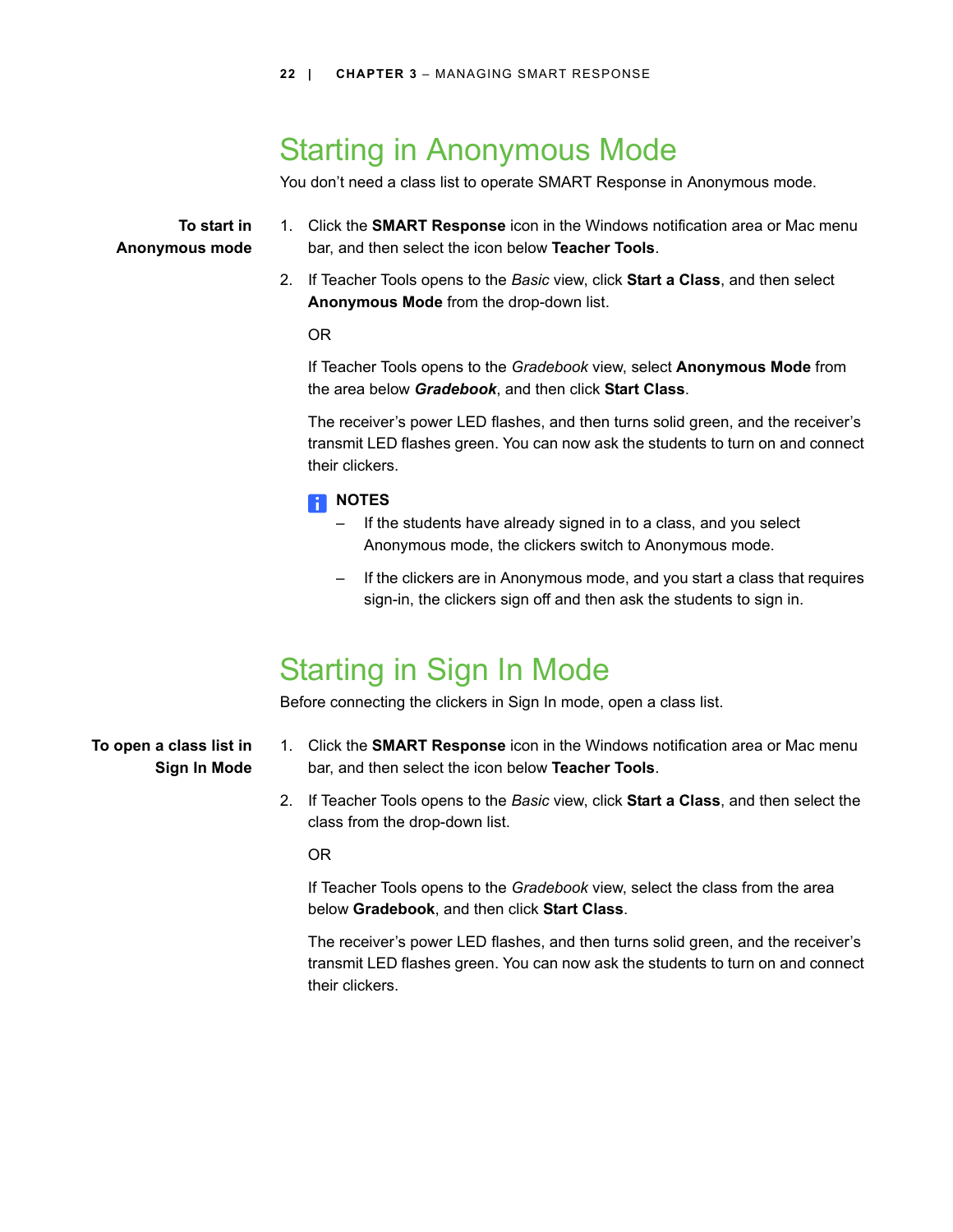# <span id="page-31-0"></span>Starting in Anonymous Mode

You don't need a class list to operate SMART Response in Anonymous mode.

#### **To start in Anonymous mode**

- 1. Click the **SMART Response** icon in the Windows notification area or Mac menu bar, and then select the icon below **Teacher Tools**.
- 2. If Teacher Tools opens to the *Basic* view, click **Start a Class**, and then select **Anonymous Mode** from the drop-down list.

#### OR

If Teacher Tools opens to the *Gradebook* view, select **Anonymous Mode** from the area below *Gradebook*, and then click **Start Class**.

The receiver's power LED flashes, and then turns solid green, and the receiver's transmit LED flashes green. You can now ask the students to turn on and connect their clickers.

#### ۱ĩ. **NOTES**

- If the students have already signed in to a class, and you select Anonymous mode, the clickers switch to Anonymous mode.
- If the clickers are in Anonymous mode, and you start a class that requires sign-in, the clickers sign off and then ask the students to sign in.

## <span id="page-31-1"></span>Starting in Sign In Mode

Before connecting the clickers in Sign In mode, open a class list.

**To open a class list in Sign In Mode**

- 1. Click the **SMART Response** icon in the Windows notification area or Mac menu bar, and then select the icon below **Teacher Tools**.
- 2. If Teacher Tools opens to the *Basic* view, click **Start a Class**, and then select the class from the drop-down list.

#### OR

If Teacher Tools opens to the *Gradebook* view, select the class from the area below **Gradebook**, and then click **Start Class**.

The receiver's power LED flashes, and then turns solid green, and the receiver's transmit LED flashes green. You can now ask the students to turn on and connect their clickers.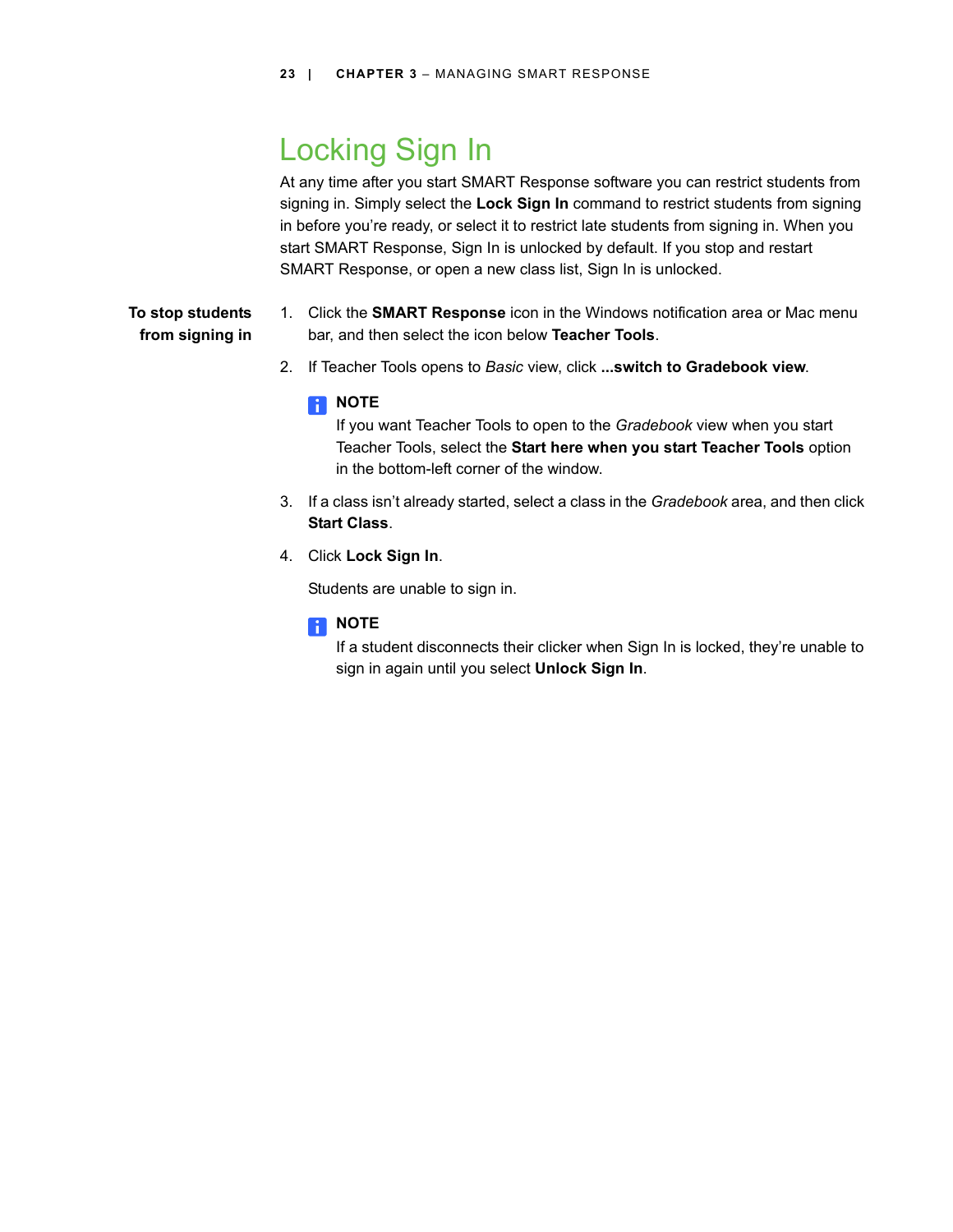# <span id="page-32-0"></span>Locking Sign In

At any time after you start SMART Response software you can restrict students from signing in. Simply select the **Lock Sign In** command to restrict students from signing in before you're ready, or select it to restrict late students from signing in. When you start SMART Response, Sign In is unlocked by default. If you stop and restart SMART Response, or open a new class list, Sign In is unlocked.

**To stop students from signing in**

- 1. Click the **SMART Response** icon in the Windows notification area or Mac menu bar, and then select the icon below **Teacher Tools**.
- 2. If Teacher Tools opens to *Basic* view, click **...switch to Gradebook view**.

#### **NOTE**

If you want Teacher Tools to open to the *Gradebook* view when you start Teacher Tools, select the **Start here when you start Teacher Tools** option in the bottom-left corner of the window.

- 3. If a class isn't already started, select a class in the *Gradebook* area, and then click **Start Class**.
- 4. Click **Lock Sign In**.

Students are unable to sign in.

#### **NOTE**

If a student disconnects their clicker when Sign In is locked, they're unable to sign in again until you select **Unlock Sign In**.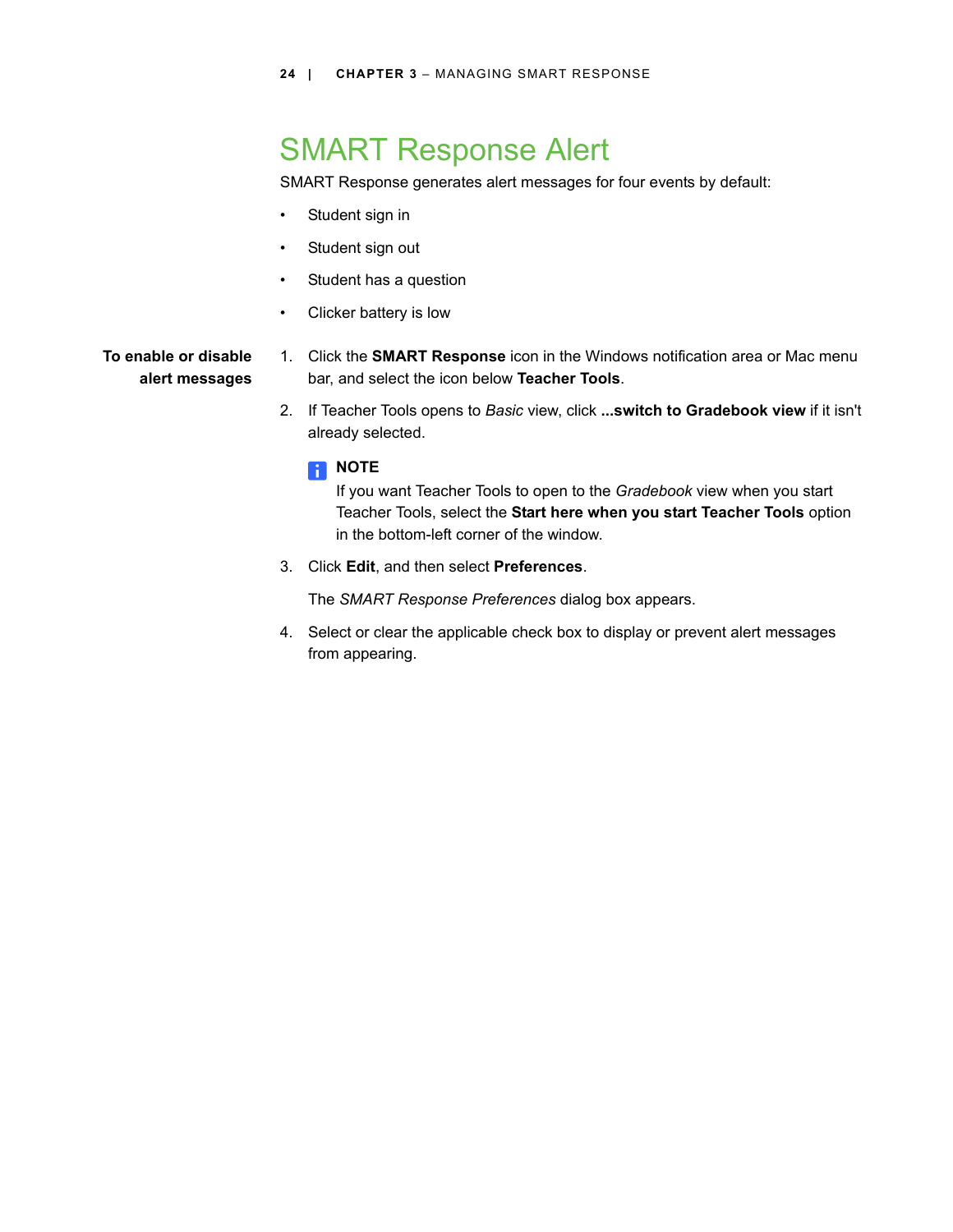## <span id="page-33-0"></span>SMART Response Alert

SMART Response generates alert messages for four events by default:

- Student sign in
- Student sign out
- Student has a question
- Clicker battery is low

**To enable or disable alert messages**

- 1. Click the **SMART Response** icon in the Windows notification area or Mac menu bar, and select the icon below **Teacher Tools**.
- 2. If Teacher Tools opens to *Basic* view, click **...switch to Gradebook view** if it isn't already selected.

#### **NOTE**

If you want Teacher Tools to open to the *Gradebook* view when you start Teacher Tools, select the **Start here when you start Teacher Tools** option in the bottom-left corner of the window.

3. Click **Edit**, and then select **Preferences**.

The *SMART Response Preferences* dialog box appears.

4. Select or clear the applicable check box to display or prevent alert messages from appearing.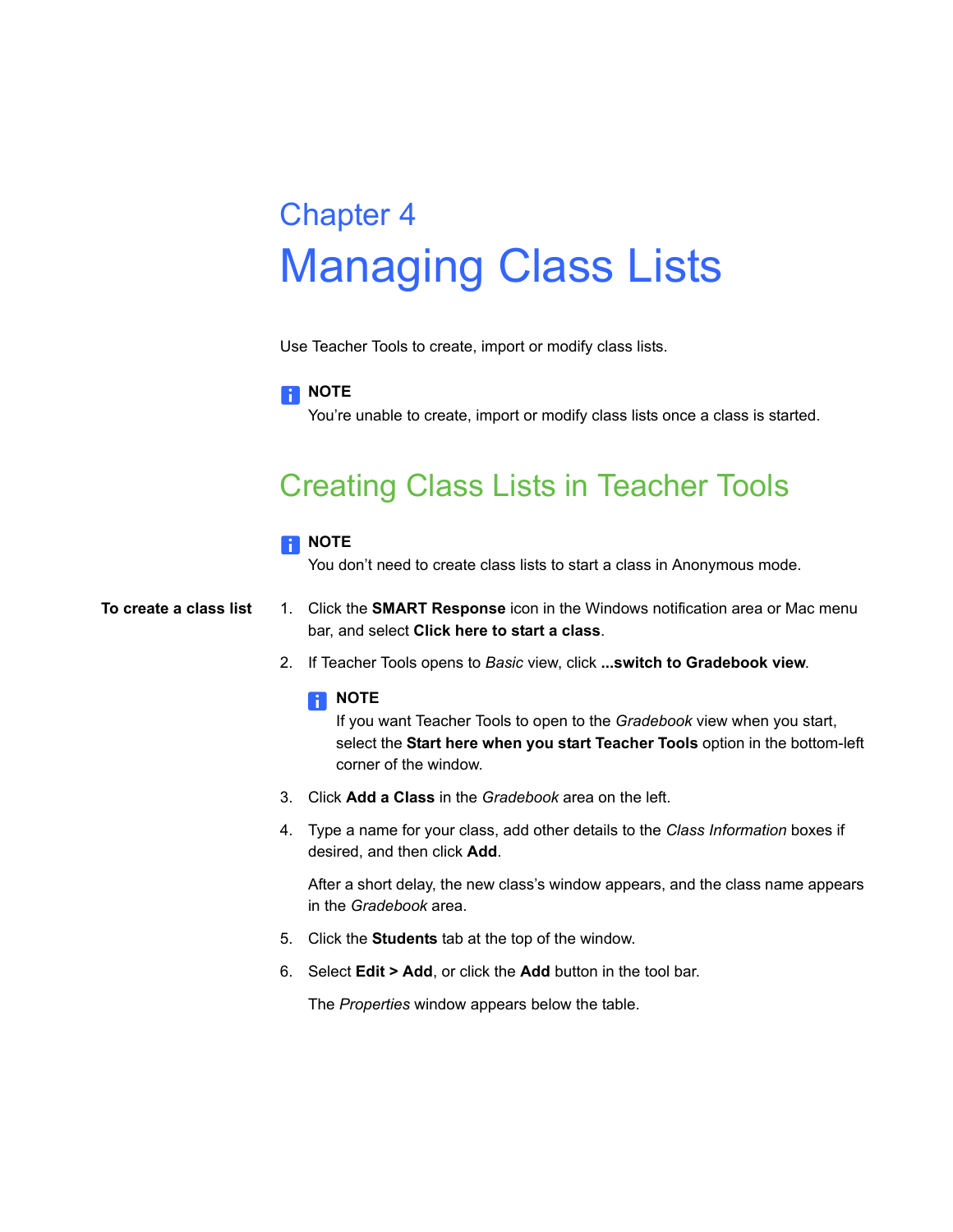# <span id="page-34-1"></span><span id="page-34-0"></span>Chapter 4 Managing Class Lists

Use Teacher Tools to create, import or modify class lists.

#### **NOTE**

You're unable to create, import or modify class lists once a class is started.

# <span id="page-34-2"></span>Creating Class Lists in Teacher Tools

#### **NOTE**

You don't need to create class lists to start a class in Anonymous mode.

#### **To create a class list** 1. Click the **SMART Response** icon in the Windows notification area or Mac menu bar, and select **Click here to start a class**.

2. If Teacher Tools opens to *Basic* view, click **...switch to Gradebook view**.

#### **NOTE**

If you want Teacher Tools to open to the *Gradebook* view when you start, select the **Start here when you start Teacher Tools** option in the bottom-left corner of the window.

- 3. Click **Add a Class** in the *Gradebook* area on the left.
- 4. Type a name for your class, add other details to the *Class Information* boxes if desired, and then click **Add**.

After a short delay, the new class's window appears, and the class name appears in the *Gradebook* area.

- 5. Click the **Students** tab at the top of the window.
- 6. Select **Edit > Add**, or click the **Add** button in the tool bar.

The *Properties* window appears below the table.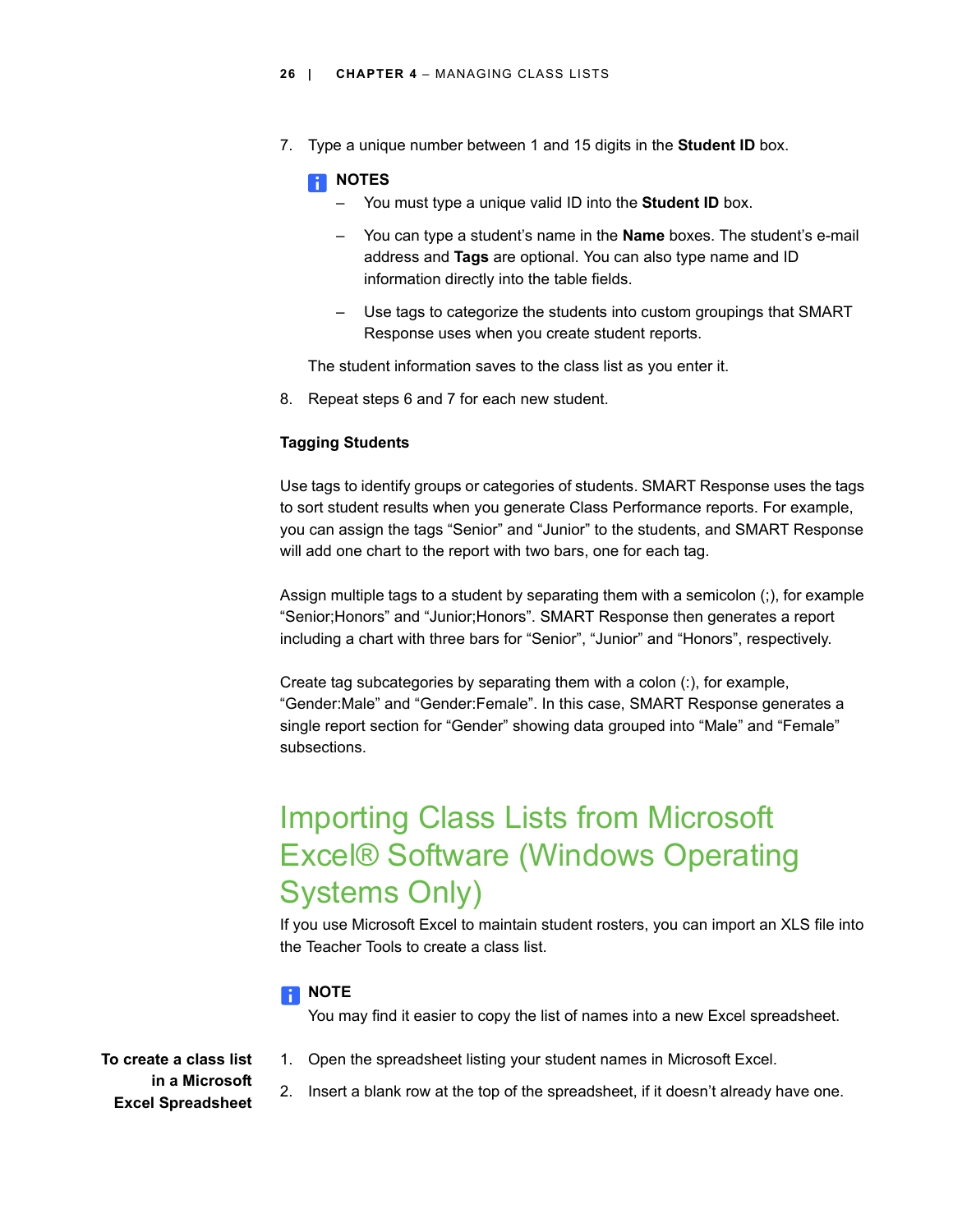7. Type a unique number between 1 and 15 digits in the **Student ID** box.

#### **R** NOTES

- You must type a unique valid ID into the **Student ID** box.
- You can type a student's name in the **Name** boxes. The student's e-mail address and **Tags** are optional. You can also type name and ID information directly into the table fields.
- Use tags to categorize the students into custom groupings that SMART Response uses when you create student reports.

The student information saves to the class list as you enter it.

8. Repeat steps 6 and 7 for each new student.

#### **Tagging Students**

Use tags to identify groups or categories of students. SMART Response uses the tags to sort student results when you generate Class Performance reports. For example, you can assign the tags "Senior" and "Junior" to the students, and SMART Response will add one chart to the report with two bars, one for each tag.

Assign multiple tags to a student by separating them with a semicolon (;), for example "Senior;Honors" and "Junior;Honors". SMART Response then generates a report including a chart with three bars for "Senior", "Junior" and "Honors", respectively.

Create tag subcategories by separating them with a colon (:), for example, "Gender:Male" and "Gender:Female". In this case, SMART Response generates a single report section for "Gender" showing data grouped into "Male" and "Female" subsections.

# <span id="page-35-0"></span>Importing Class Lists from Microsoft Excel® Software (Windows Operating Systems Only)

If you use Microsoft Excel to maintain student rosters, you can import an XLS file into the Teacher Tools to create a class list.

#### **NOTE**

You may find it easier to copy the list of names into a new Excel spreadsheet.

**To create a class list in a Microsoft Excel Spreadsheet**

- 1. Open the spreadsheet listing your student names in Microsoft Excel.
- 2. Insert a blank row at the top of the spreadsheet, if it doesn't already have one.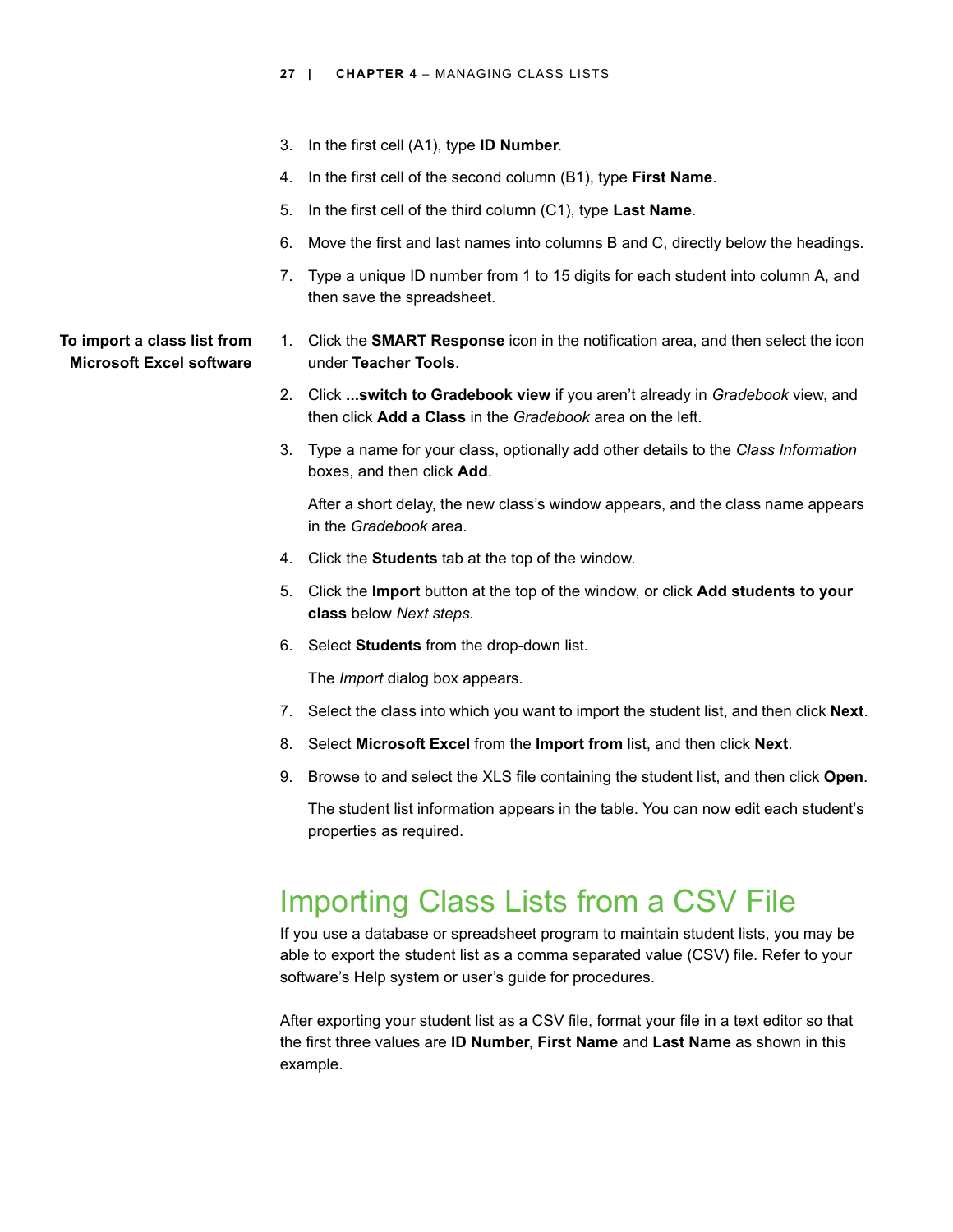- 3. In the first cell (A1), type **ID Number**.
- 4. In the first cell of the second column (B1), type **First Name**.
- 5. In the first cell of the third column (C1), type **Last Name**.
- 6. Move the first and last names into columns B and C, directly below the headings.
- 7. Type a unique ID number from 1 to 15 digits for each student into column A, and then save the spreadsheet.

### **To import a class list from Microsoft Excel software**

- 1. Click the **SMART Response** icon in the notification area, and then select the icon under **Teacher Tools**.
- 2. Click **...switch to Gradebook view** if you aren't already in *Gradebook* view, and then click **Add a Class** in the *Gradebook* area on the left.
- 3. Type a name for your class, optionally add other details to the *Class Information*  boxes, and then click **Add**.

After a short delay, the new class's window appears, and the class name appears in the *Gradebook* area.

- 4. Click the **Students** tab at the top of the window.
- 5. Click the **Import** button at the top of the window, or click **Add students to your class** below *Next steps*.
- 6. Select **Students** from the drop-down list.

The *Import* dialog box appears.

- 7. Select the class into which you want to import the student list, and then click **Next**.
- 8. Select **Microsoft Excel** from the **Import from** list, and then click **Next**.
- 9. Browse to and select the XLS file containing the student list, and then click **Open**.

The student list information appears in the table. You can now edit each student's properties as required.

# Importing Class Lists from a CSV File

If you use a database or spreadsheet program to maintain student lists, you may be able to export the student list as a comma separated value (CSV) file. Refer to your software's Help system or user's guide for procedures.

After exporting your student list as a CSV file, format your file in a text editor so that the first three values are **ID Number**, **First Name** and **Last Name** as shown in this example.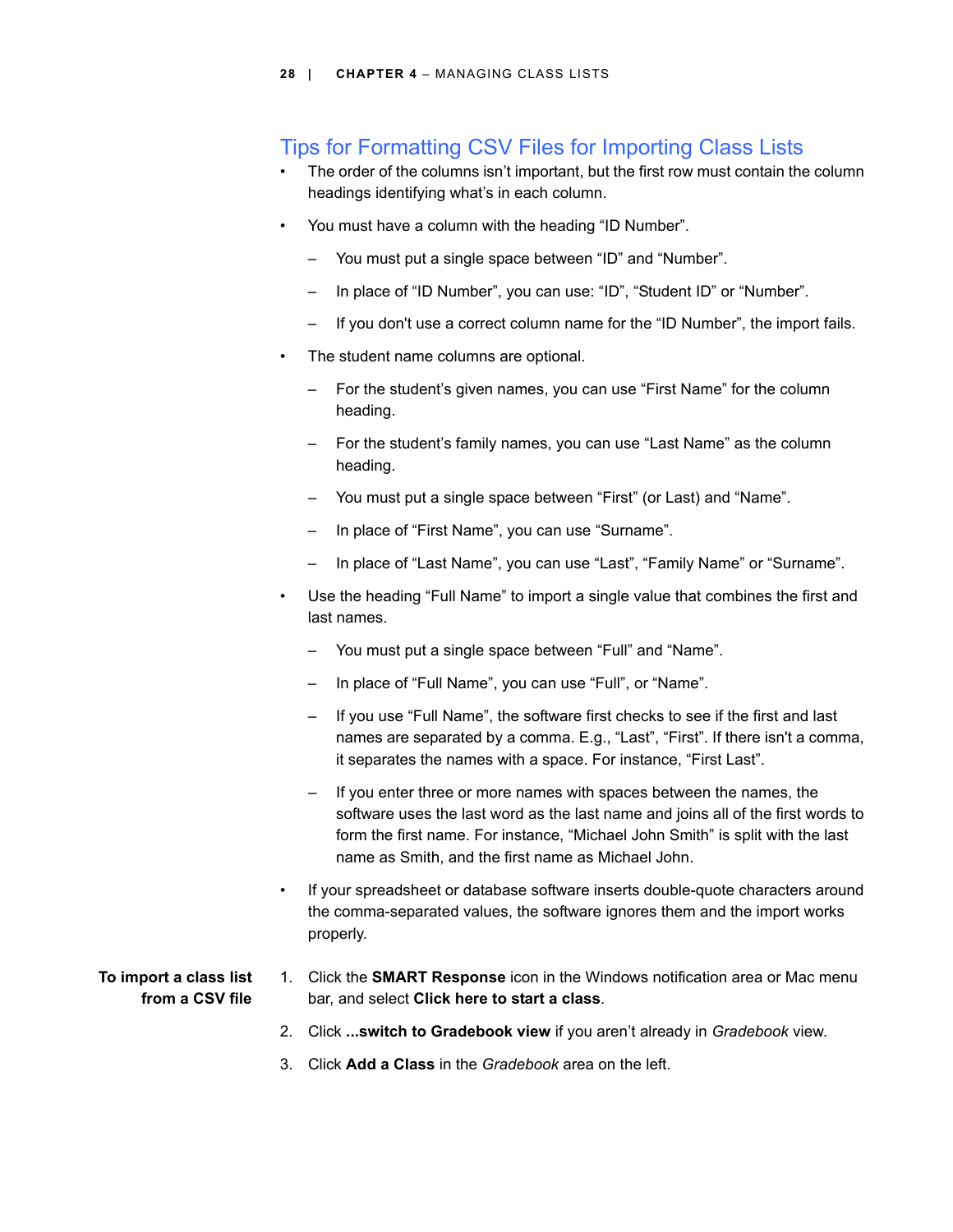## Tips for Formatting CSV Files for Importing Class Lists

- The order of the columns isn't important, but the first row must contain the column headings identifying what's in each column.
- You must have a column with the heading "ID Number".
	- You must put a single space between "ID" and "Number".
	- In place of "ID Number", you can use: "ID", "Student ID" or "Number".
	- If you don't use a correct column name for the "ID Number", the import fails.
- The student name columns are optional.
	- For the student's given names, you can use "First Name" for the column heading.
	- For the student's family names, you can use "Last Name" as the column heading.
	- You must put a single space between "First" (or Last) and "Name".
	- In place of "First Name", you can use "Surname".
	- In place of "Last Name", you can use "Last", "Family Name" or "Surname".
- Use the heading "Full Name" to import a single value that combines the first and last names.
	- You must put a single space between "Full" and "Name".
	- In place of "Full Name", you can use "Full", or "Name".
	- If you use "Full Name", the software first checks to see if the first and last names are separated by a comma. E.g., "Last", "First". If there isn't a comma, it separates the names with a space. For instance, "First Last".
	- If you enter three or more names with spaces between the names, the software uses the last word as the last name and joins all of the first words to form the first name. For instance, "Michael John Smith" is split with the last name as Smith, and the first name as Michael John.
- If your spreadsheet or database software inserts double-quote characters around the comma-separated values, the software ignores them and the import works properly.
- **To import a class list from a CSV file**
- 1. Click the **SMART Response** icon in the Windows notification area or Mac menu bar, and select **Click here to start a class**.
- 2. Click **...switch to Gradebook view** if you aren't already in *Gradebook* view.
- 3. Click **Add a Class** in the *Gradebook* area on the left.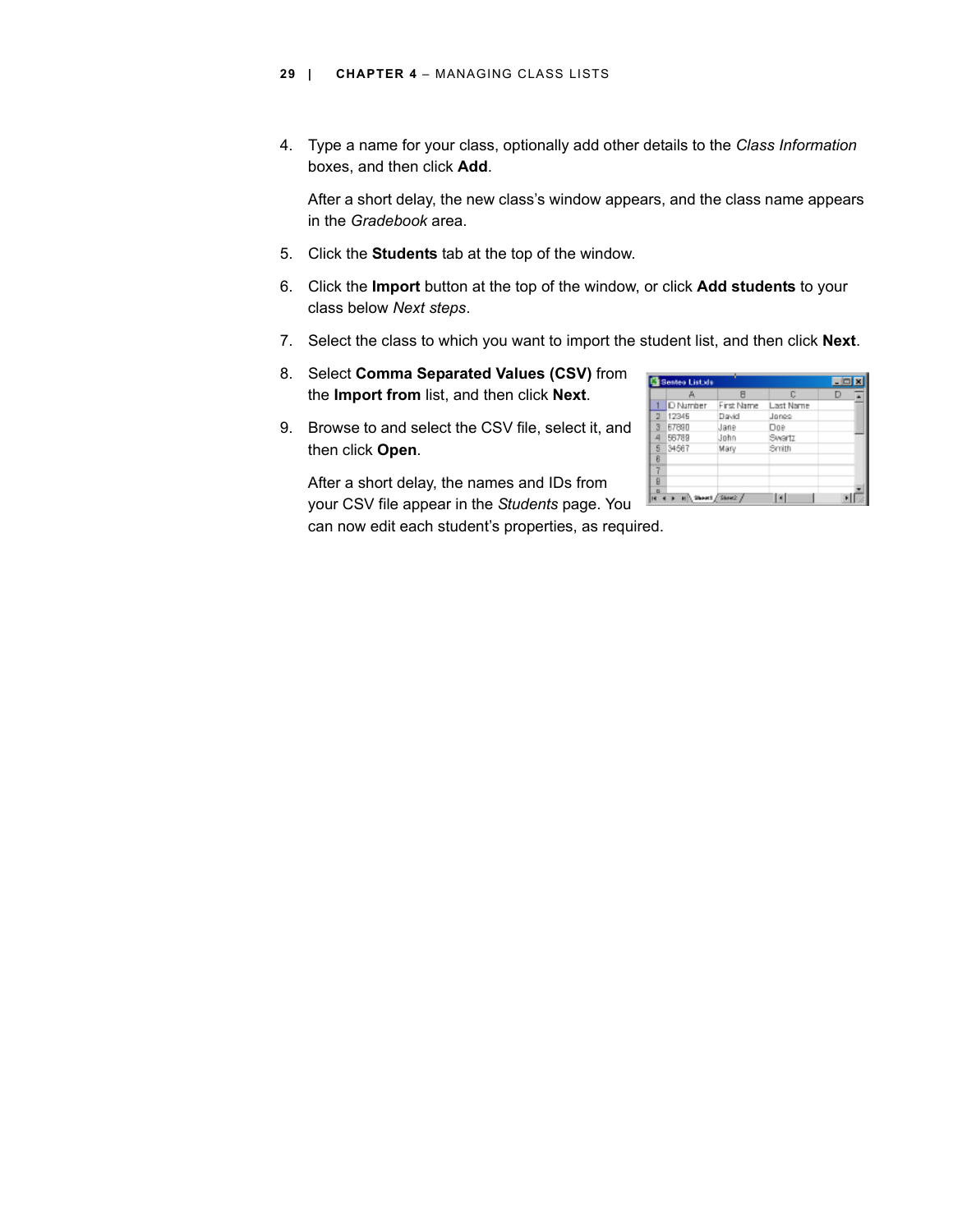4. Type a name for your class, optionally add other details to the *Class Information*  boxes, and then click **Add**.

After a short delay, the new class's window appears, and the class name appears in the *Gradebook* area.

- 5. Click the **Students** tab at the top of the window.
- 6. Click the **Import** button at the top of the window, or click **Add students** to your class below *Next steps*.
- 7. Select the class to which you want to import the student list, and then click **Next**.
- 8. Select **Comma Separated Values (CSV)** from the **Import from** list, and then click **Next**.
- 9. Browse to and select the CSV file, select it, and then click **Open**.

After a short delay, the names and IDs from your CSV file appear in the *Students* page. You can now edit each student's properties, as required.

|                | <b>Senteo Listado</b> |                               |           | - 10 |
|----------------|-----------------------|-------------------------------|-----------|------|
|                |                       | F                             | С         | D    |
|                | <b>D Number</b>       | First Name                    | Last Name |      |
| $\overline{2}$ | 12345                 | David                         | Janee     |      |
| 3              | 67890                 | Jane                          | Doe       |      |
| 4              | 56789                 | John                          | Swartz    |      |
| 5              | 34567                 | Mary                          | Smith     |      |
| 8              |                       |                               |           |      |
| 7              |                       |                               |           |      |
| $\mathbf{p}$   |                       |                               |           |      |
| n              |                       |                               |           |      |
|                |                       | $\lambda$ Shows $/$ Show2 $/$ |           |      |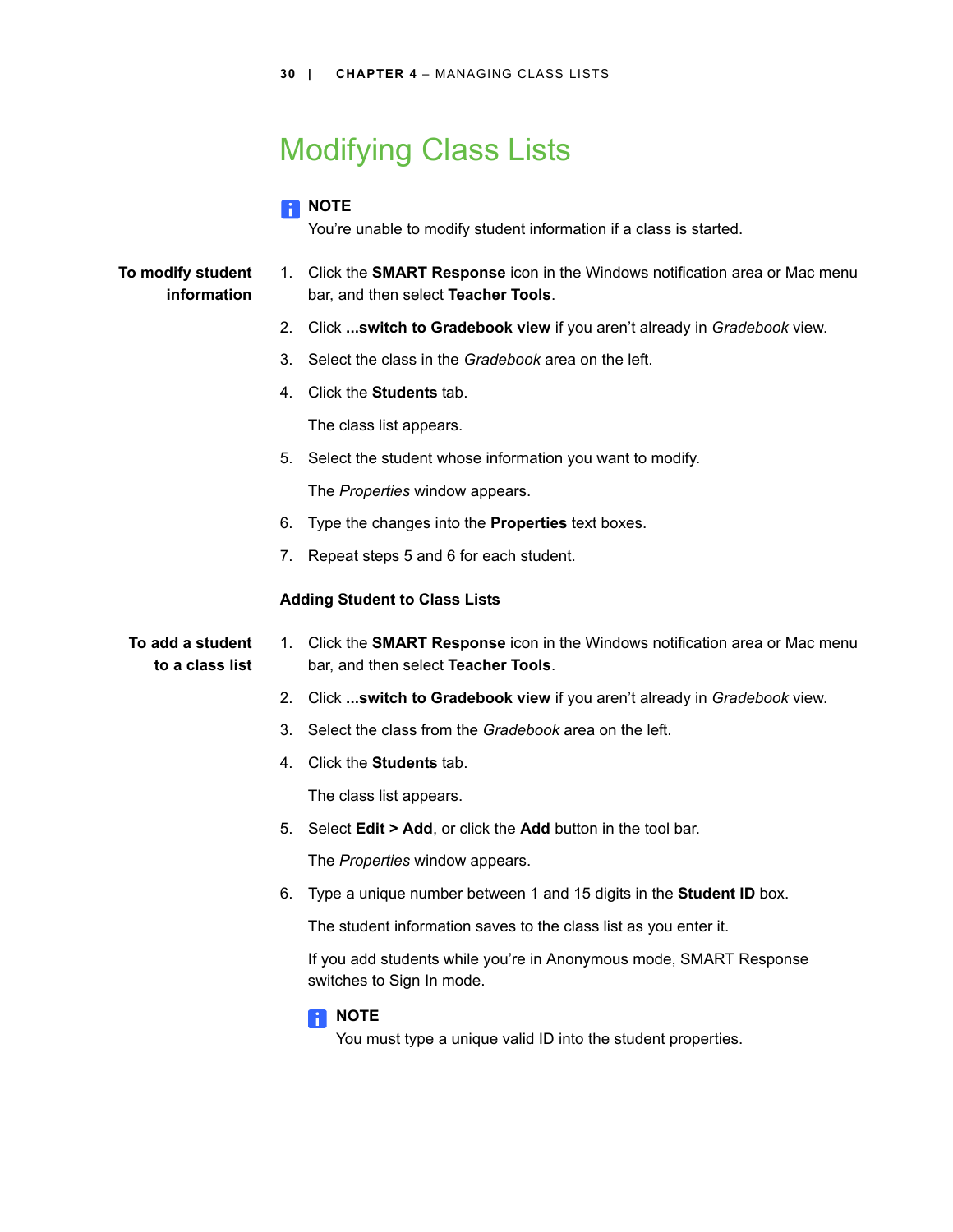# Modifying Class Lists

### **NOTE**

You're unable to modify student information if a class is started.

#### **To modify student information** 1. Click the **SMART Response** icon in the Windows notification area or Mac menu bar, and then select **Teacher Tools**.

- 2. Click **...switch to Gradebook view** if you aren't already in *Gradebook* view.
- 3. Select the class in the *Gradebook* area on the left.
- 4. Click the **Students** tab.

The class list appears.

5. Select the student whose information you want to modify.

The *Properties* window appears.

- 6. Type the changes into the **Properties** text boxes.
- 7. Repeat steps 5 and 6 for each student.

#### **Adding Student to Class Lists**

**To add a student to a class list** 1. Click the **SMART Response** icon in the Windows notification area or Mac menu bar, and then select **Teacher Tools**.

- 2. Click **...switch to Gradebook view** if you aren't already in *Gradebook* view.
- 3. Select the class from the *Gradebook* area on the left.
- 4. Click the **Students** tab.

The class list appears.

5. Select **Edit > Add**, or click the **Add** button in the tool bar.

The *Properties* window appears.

6. Type a unique number between 1 and 15 digits in the **Student ID** box.

The student information saves to the class list as you enter it.

If you add students while you're in Anonymous mode, SMART Response switches to Sign In mode.



You must type a unique valid ID into the student properties.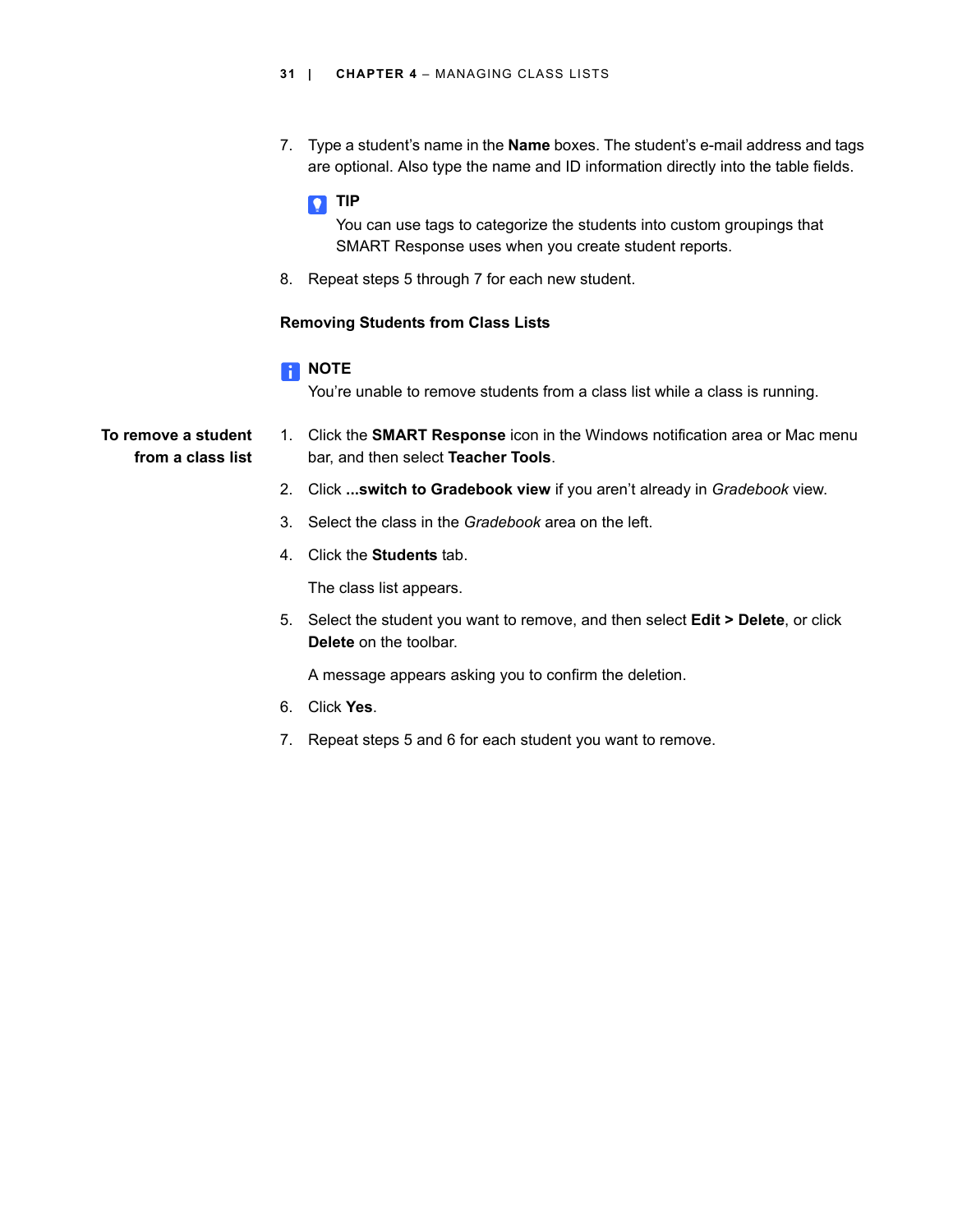7. Type a student's name in the **Name** boxes. The student's e-mail address and tags are optional. Also type the name and ID information directly into the table fields.

**D** TIP

You can use tags to categorize the students into custom groupings that SMART Response uses when you create student reports.

8. Repeat steps 5 through 7 for each new student.

#### **Removing Students from Class Lists**

#### **NOTE**

**To remove a student**

**from a class list**

1. Click the **SMART Response** icon in the Windows notification area or Mac menu bar, and then select **Teacher Tools**.

You're unable to remove students from a class list while a class is running.

- 2. Click **...switch to Gradebook view** if you aren't already in *Gradebook* view.
- 3. Select the class in the *Gradebook* area on the left.
- 4. Click the **Students** tab.

The class list appears.

5. Select the student you want to remove, and then select **Edit > Delete**, or click **Delete** on the toolbar.

A message appears asking you to confirm the deletion.

- 6. Click **Yes**.
- 7. Repeat steps 5 and 6 for each student you want to remove.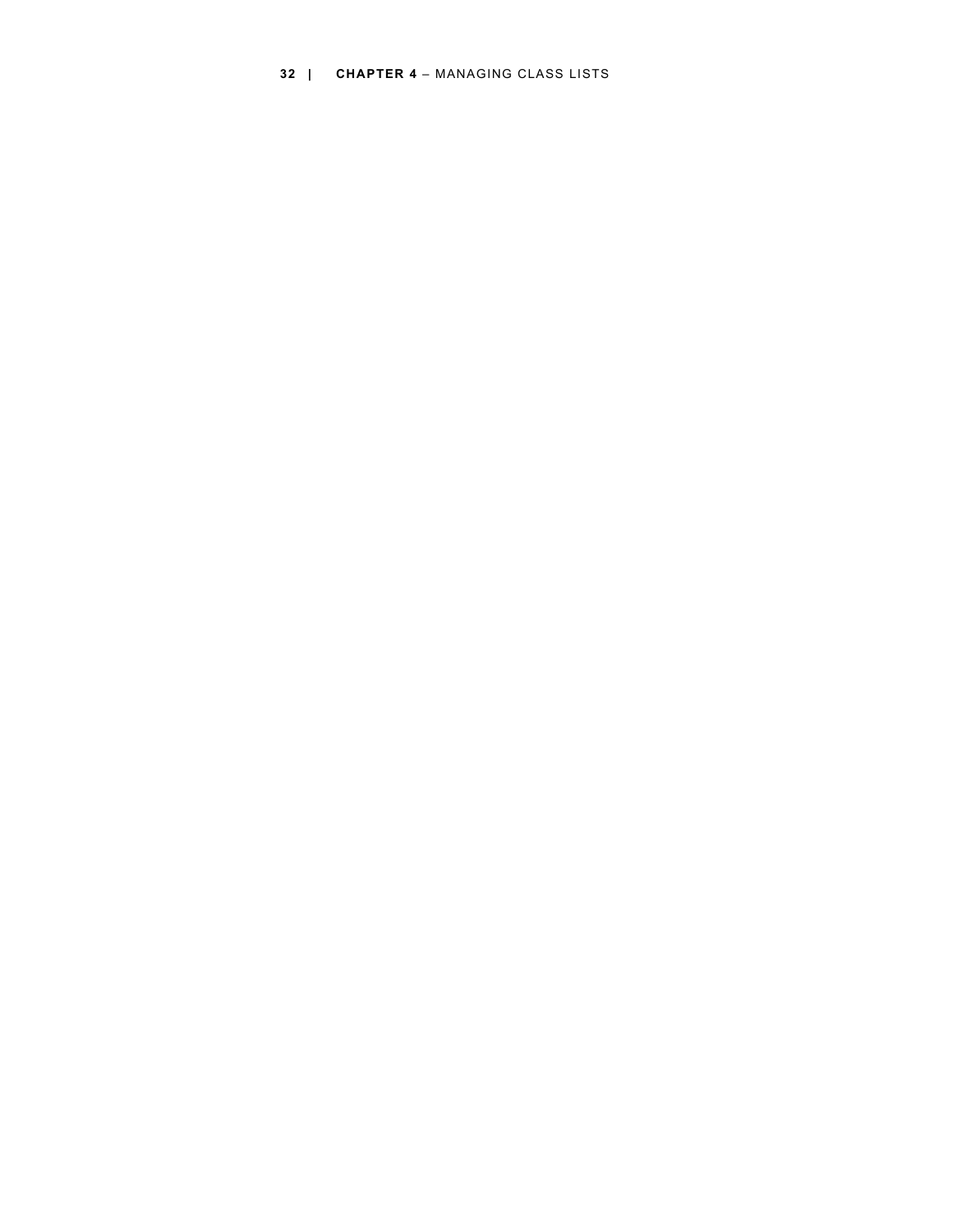#### **32 | CHAPTER 4** – MANAGING CLASS LISTS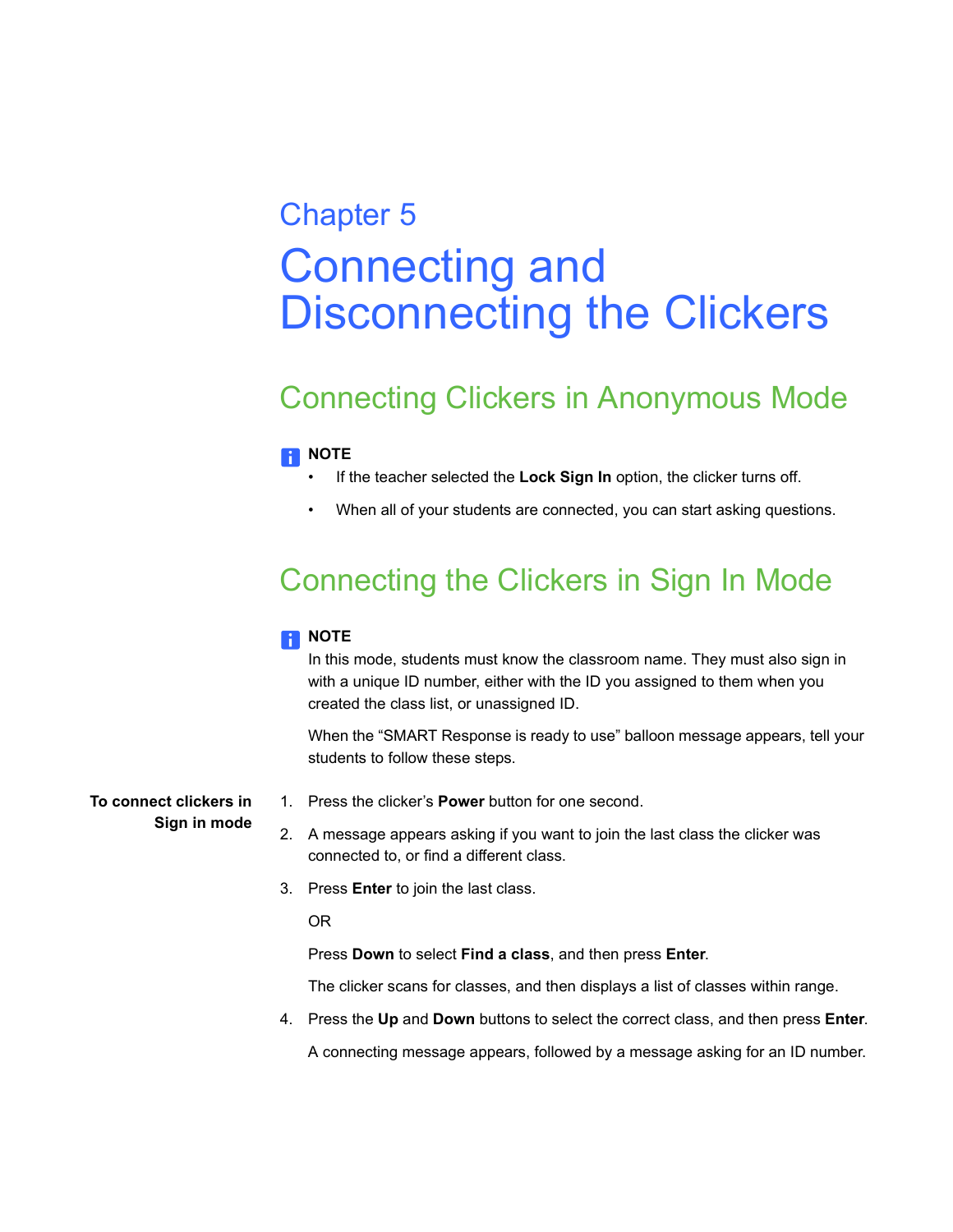# Chapter 5 Connecting and Disconnecting the Clickers

# Connecting Clickers in Anonymous Mode

### **NOTE**

- If the teacher selected the **Lock Sign In** option, the clicker turns off.
- When all of your students are connected, you can start asking questions.

# Connecting the Clickers in Sign In Mode

### **NOTE**

In this mode, students must know the classroom name. They must also sign in with a unique ID number, either with the ID you assigned to them when you created the class list, or unassigned ID.

When the "SMART Response is ready to use" balloon message appears, tell your students to follow these steps.

**To connect clickers in Sign in mode**

- 1. Press the clicker's **Power** button for one second.
- 2. A message appears asking if you want to join the last class the clicker was connected to, or find a different class.
- 3. Press **Enter** to join the last class.

OR

Press **Down** to select **Find a class**, and then press **Enter**.

The clicker scans for classes, and then displays a list of classes within range.

4. Press the **Up** and **Down** buttons to select the correct class, and then press **Enter**.

A connecting message appears, followed by a message asking for an ID number.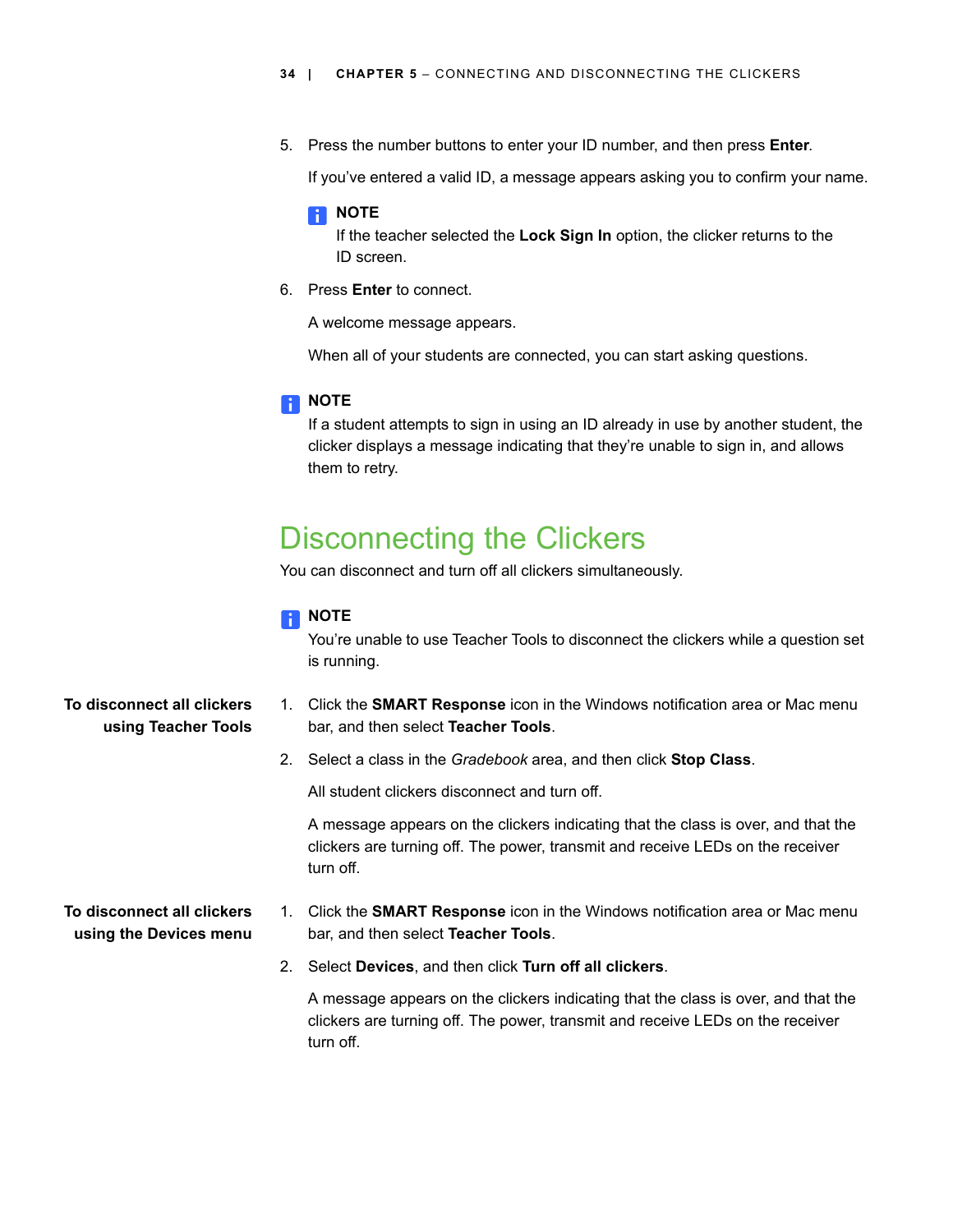5. Press the number buttons to enter your ID number, and then press **Enter**.

If you've entered a valid ID, a message appears asking you to confirm your name.

#### **NOTE**

If the teacher selected the **Lock Sign In** option, the clicker returns to the ID screen.

6. Press **Enter** to connect.

A welcome message appears.

When all of your students are connected, you can start asking questions.

#### **NOTE**

If a student attempts to sign in using an ID already in use by another student, the clicker displays a message indicating that they're unable to sign in, and allows them to retry.

## Disconnecting the Clickers

You can disconnect and turn off all clickers simultaneously.

### **NOTE**

You're unable to use Teacher Tools to disconnect the clickers while a question set is running.

- 1. Click the **SMART Response** icon in the Windows notification area or Mac menu bar, and then select **Teacher Tools**.
	- 2. Select a class in the *Gradebook* area, and then click **Stop Class**.

All student clickers disconnect and turn off.

A message appears on the clickers indicating that the class is over, and that the clickers are turning off. The power, transmit and receive LEDs on the receiver turn off.

**To disconnect all clickers using the Devices menu**

- 1. Click the **SMART Response** icon in the Windows notification area or Mac menu bar, and then select **Teacher Tools**.
	- 2. Select **Devices**, and then click **Turn off all clickers**.

A message appears on the clickers indicating that the class is over, and that the clickers are turning off. The power, transmit and receive LEDs on the receiver turn off.

### **To disconnect all clickers using Teacher Tools**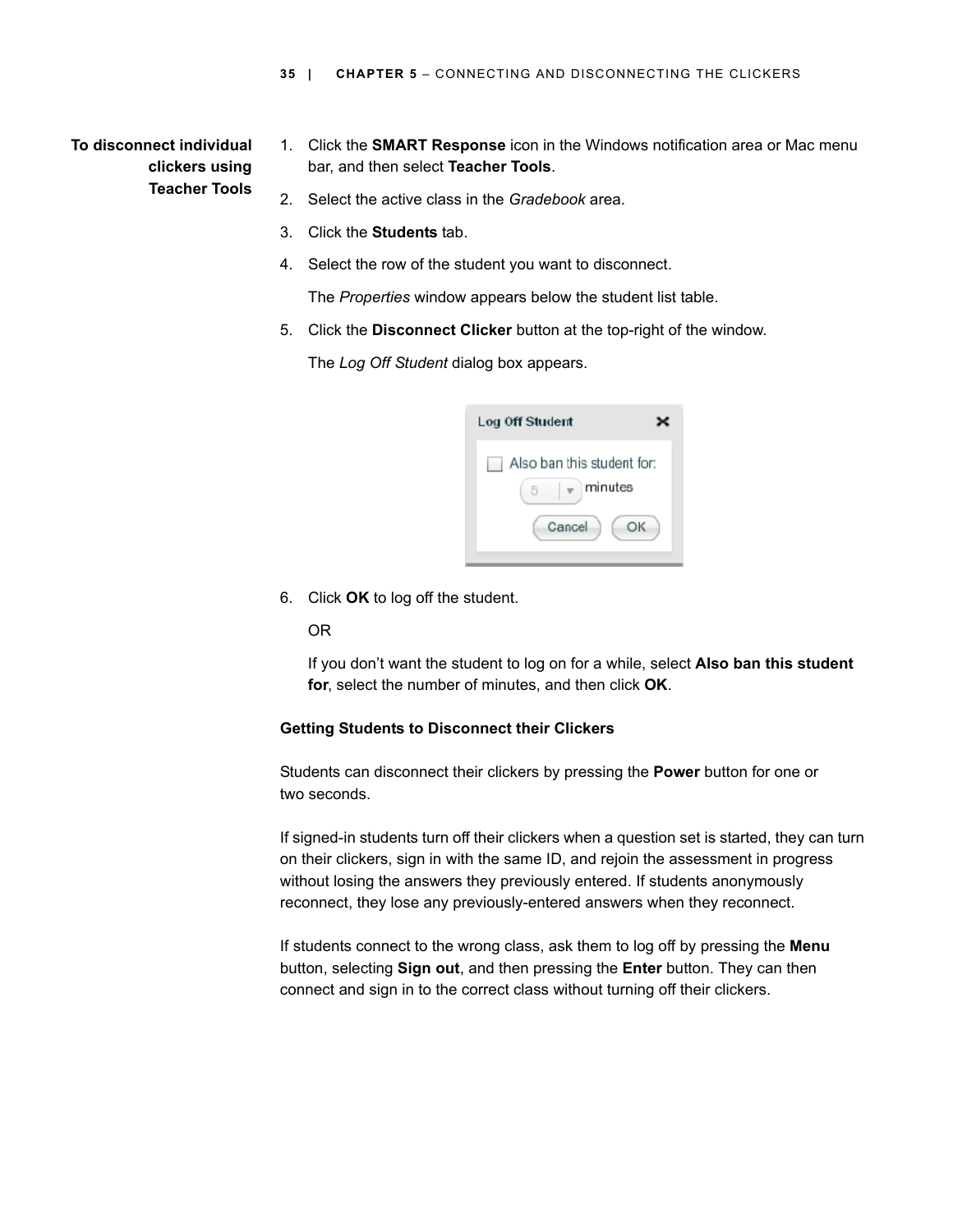**To disconnect individual clickers using Teacher Tools**

- 1. Click the **SMART Response** icon in the Windows notification area or Mac menu bar, and then select **Teacher Tools**.
- 2. Select the active class in the *Gradebook* area.
- 3. Click the **Students** tab.
- 4. Select the row of the student you want to disconnect.

The *Properties* window appears below the student list table.

5. Click the **Disconnect Clicker** button at the top-right of the window.

The *Log Off Student* dialog box appears.

| Log Off Student                            |
|--------------------------------------------|
| Also ban this student for:<br>minutes<br>5 |
| Cancel<br>DК                               |

6. Click **OK** to log off the student.

#### OR

If you don't want the student to log on for a while, select **Also ban this student for**, select the number of minutes, and then click **OK**.

#### **Getting Students to Disconnect their Clickers**

Students can disconnect their clickers by pressing the **Power** button for one or two seconds.

If signed-in students turn off their clickers when a question set is started, they can turn on their clickers, sign in with the same ID, and rejoin the assessment in progress without losing the answers they previously entered. If students anonymously reconnect, they lose any previously-entered answers when they reconnect.

If students connect to the wrong class, ask them to log off by pressing the **Menu**  button, selecting **Sign out**, and then pressing the **Enter** button. They can then connect and sign in to the correct class without turning off their clickers.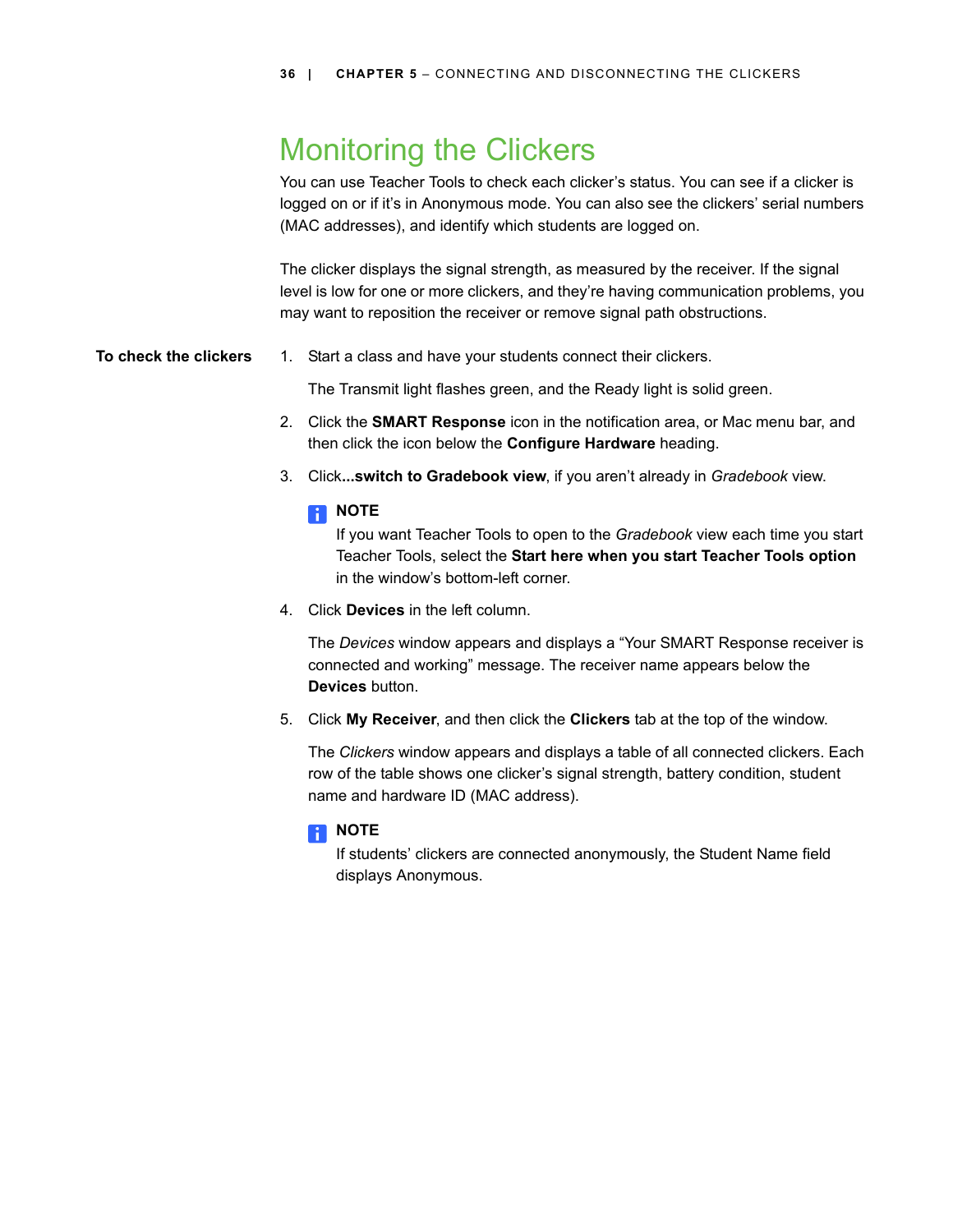# Monitoring the Clickers

You can use Teacher Tools to check each clicker's status. You can see if a clicker is logged on or if it's in Anonymous mode. You can also see the clickers' serial numbers (MAC addresses), and identify which students are logged on.

The clicker displays the signal strength, as measured by the receiver. If the signal level is low for one or more clickers, and they're having communication problems, you may want to reposition the receiver or remove signal path obstructions.

#### **To check the clickers** 1. Start a class and have your students connect their clickers.

The Transmit light flashes green, and the Ready light is solid green.

- 2. Click the **SMART Response** icon in the notification area, or Mac menu bar, and then click the icon below the **Configure Hardware** heading.
- 3. Click**...switch to Gradebook view**, if you aren't already in *Gradebook* view.

#### **NOTE**

If you want Teacher Tools to open to the *Gradebook* view each time you start Teacher Tools, select the **Start here when you start Teacher Tools option**  in the window's bottom-left corner.

4. Click **Devices** in the left column.

The *Devices* window appears and displays a "Your SMART Response receiver is connected and working" message. The receiver name appears below the **Devices** button.

5. Click **My Receiver**, and then click the **Clickers** tab at the top of the window.

The *Clickers* window appears and displays a table of all connected clickers. Each row of the table shows one clicker's signal strength, battery condition, student name and hardware ID (MAC address).

### **NOTE**

If students' clickers are connected anonymously, the Student Name field displays Anonymous.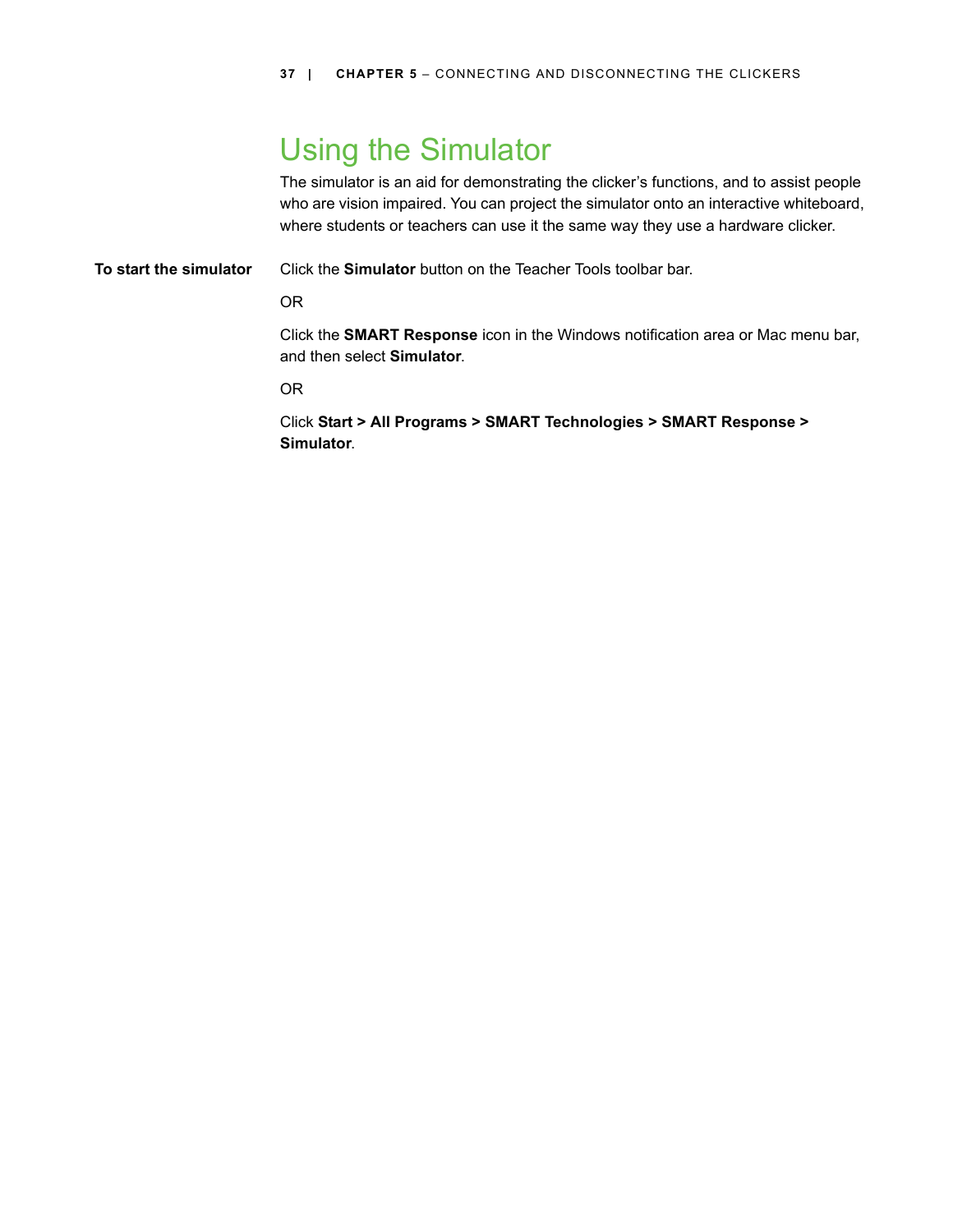# Using the Simulator

The simulator is an aid for demonstrating the clicker's functions, and to assist people who are vision impaired. You can project the simulator onto an interactive whiteboard, where students or teachers can use it the same way they use a hardware clicker.

**To start the simulator** Click the **Simulator** button on the Teacher Tools toolbar bar.

OR

Click the **SMART Response** icon in the Windows notification area or Mac menu bar, and then select **Simulator**.

OR

Click **Start > All Programs > SMART Technologies > SMART Response > Simulator**.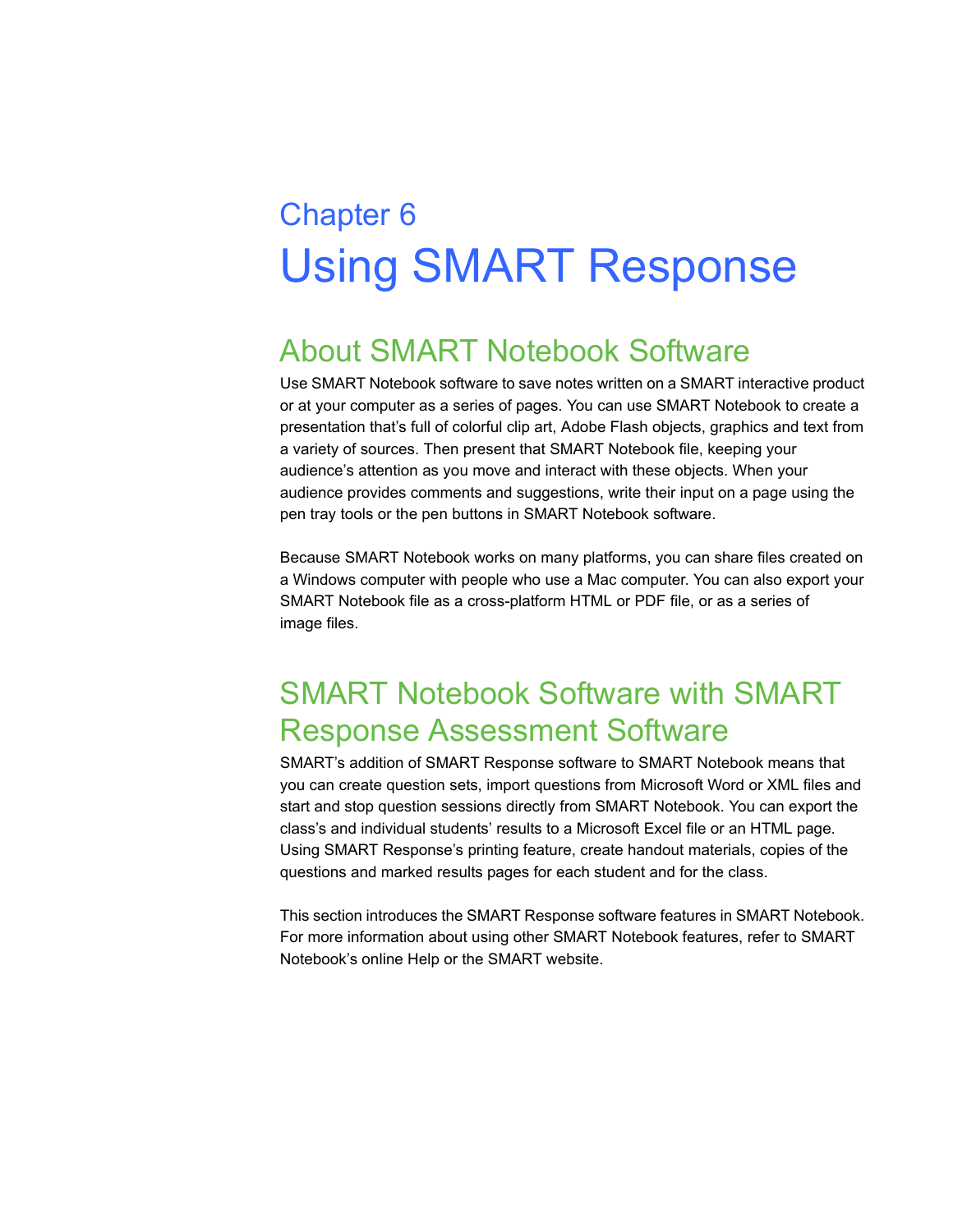# Chapter 6 Using SMART Response

# About SMART Notebook Software

Use SMART Notebook software to save notes written on a SMART interactive product or at your computer as a series of pages. You can use SMART Notebook to create a presentation that's full of colorful clip art, Adobe Flash objects, graphics and text from a variety of sources. Then present that SMART Notebook file, keeping your audience's attention as you move and interact with these objects. When your audience provides comments and suggestions, write their input on a page using the pen tray tools or the pen buttons in SMART Notebook software.

Because SMART Notebook works on many platforms, you can share files created on a Windows computer with people who use a Mac computer. You can also export your SMART Notebook file as a cross-platform HTML or PDF file, or as a series of image files.

# SMART Notebook Software with SMART Response Assessment Software

SMART's addition of SMART Response software to SMART Notebook means that you can create question sets, import questions from Microsoft Word or XML files and start and stop question sessions directly from SMART Notebook. You can export the class's and individual students' results to a Microsoft Excel file or an HTML page. Using SMART Response's printing feature, create handout materials, copies of the questions and marked results pages for each student and for the class.

This section introduces the SMART Response software features in SMART Notebook. For more information about using other SMART Notebook features, refer to SMART Notebook's online Help or the SMART website.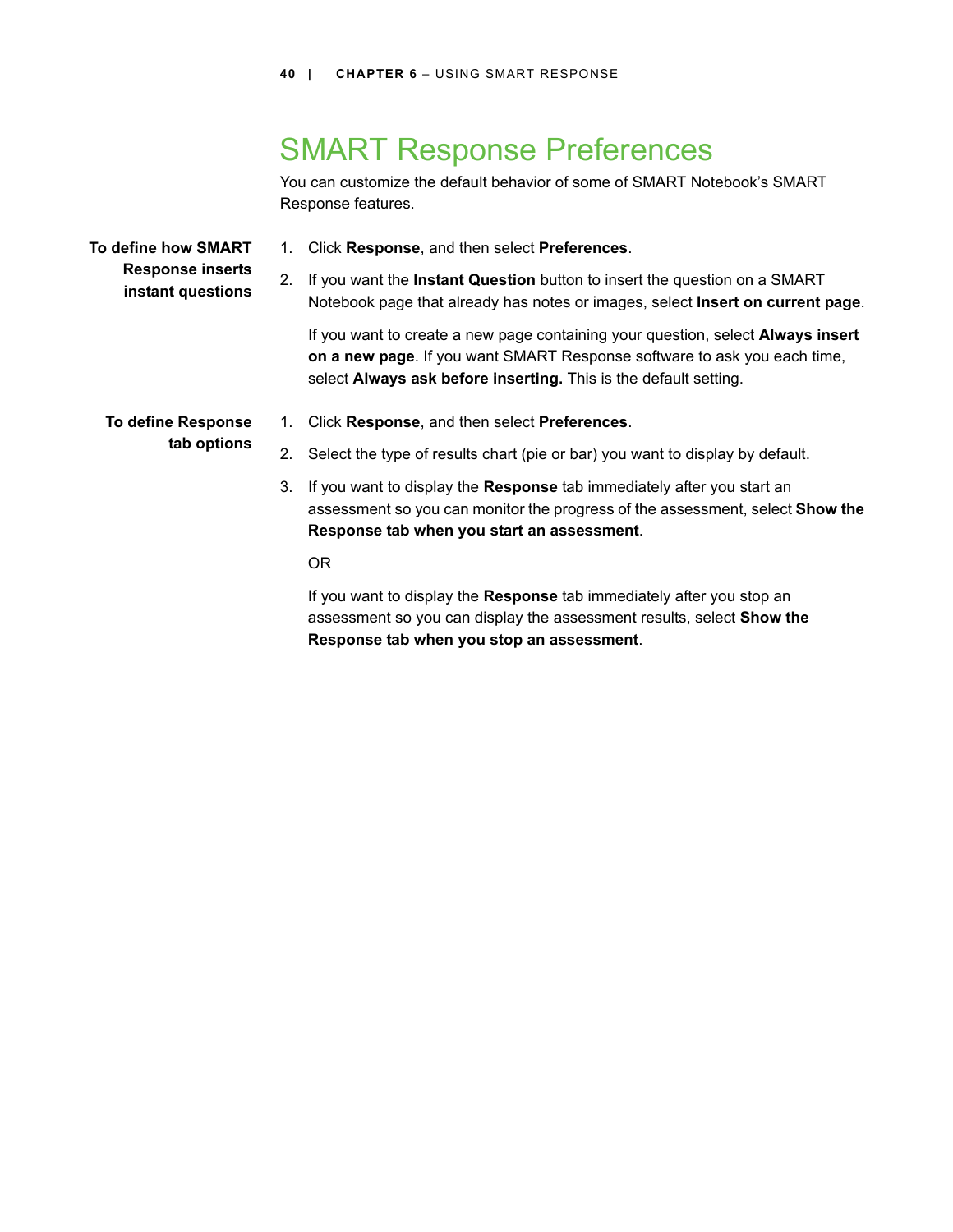# SMART Response Preferences

You can customize the default behavior of some of SMART Notebook's SMART Response features.

| To define how SMART                          | 1. | Click Response, and then select Preferences.                                                                                                                                                                                           |
|----------------------------------------------|----|----------------------------------------------------------------------------------------------------------------------------------------------------------------------------------------------------------------------------------------|
| <b>Response inserts</b><br>instant questions | 2. | If you want the <b>Instant Question</b> button to insert the question on a SMART<br>Notebook page that already has notes or images, select <b>Insert on current page</b> .                                                             |
|                                              |    | If you want to create a new page containing your question, select <b>Always insert</b><br>on a new page. If you want SMART Response software to ask you each time,<br>select Always ask before inserting. This is the default setting. |
| <b>To define Response</b>                    | 1. | Click Response, and then select Preferences.                                                                                                                                                                                           |
| tab options                                  |    | Select the type of results chart (pie or bar) you want to display by default.                                                                                                                                                          |
|                                              | 3. | If you want to display the <b>Response</b> tab immediately after you start an<br>assessment so you can monitor the progress of the assessment, select Show the<br>Response tab when you start an assessment.                           |
|                                              |    | 0R                                                                                                                                                                                                                                     |

If you want to display the **Response** tab immediately after you stop an assessment so you can display the assessment results, select **Show the Response tab when you stop an assessment**.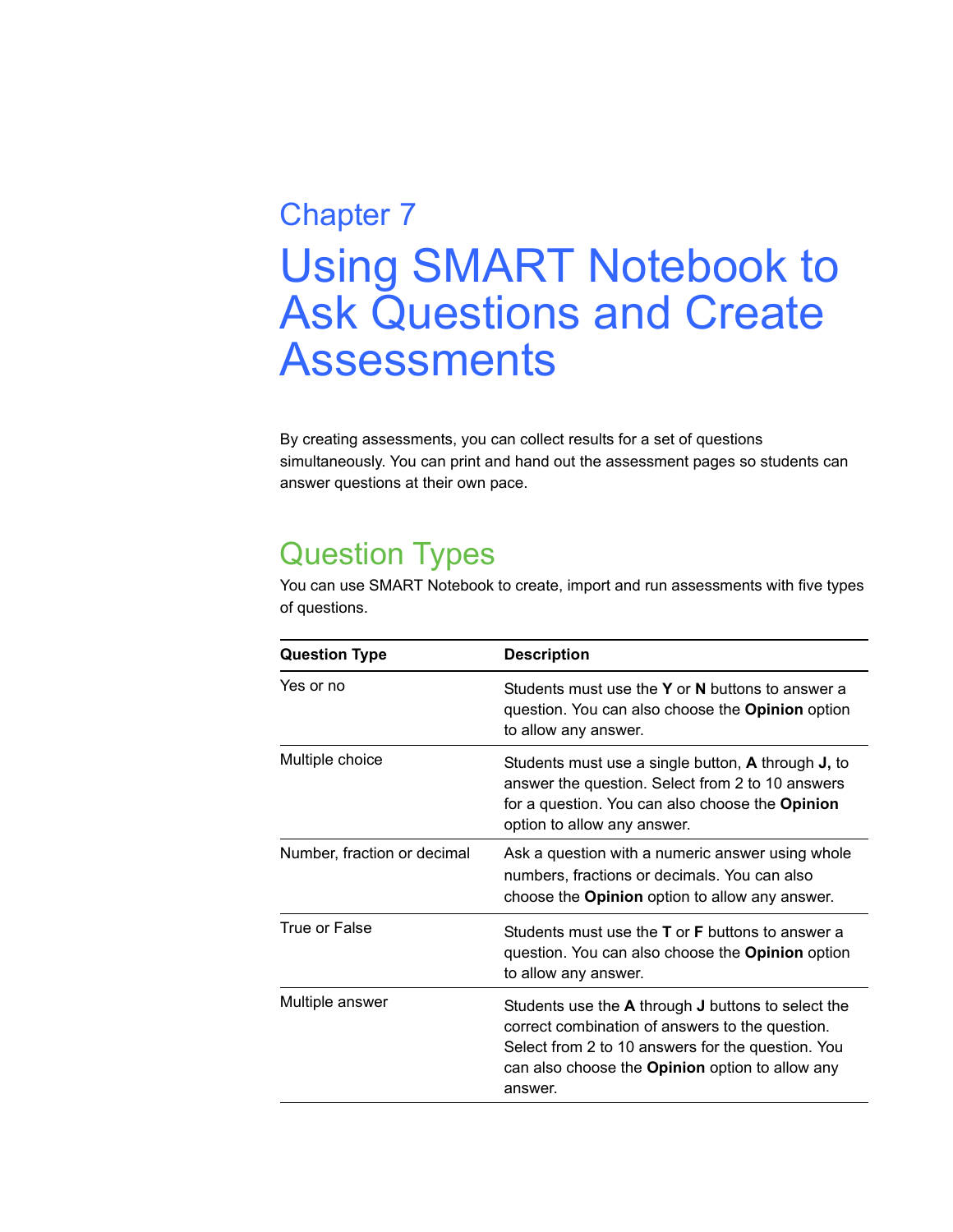# Chapter 7 Using SMART Notebook to Ask Questions and Create **Assessments**

By creating assessments, you can collect results for a set of questions simultaneously. You can print and hand out the assessment pages so students can answer questions at their own pace.

# Question Types

You can use SMART Notebook to create, import and run assessments with five types of questions.

| <b>Question Type</b>        | <b>Description</b>                                                                                                                                                                                                                     |
|-----------------------------|----------------------------------------------------------------------------------------------------------------------------------------------------------------------------------------------------------------------------------------|
| Yes or no                   | Students must use the Y or N buttons to answer a<br>question. You can also choose the Opinion option<br>to allow any answer.                                                                                                           |
| Multiple choice             | Students must use a single button, A through J, to<br>answer the question. Select from 2 to 10 answers<br>for a question. You can also choose the Opinion<br>option to allow any answer.                                               |
| Number, fraction or decimal | Ask a question with a numeric answer using whole<br>numbers, fractions or decimals. You can also<br>choose the <b>Opinion</b> option to allow any answer.                                                                              |
| True or False               | Students must use the <b>T</b> or <b>F</b> buttons to answer a<br>question. You can also choose the Opinion option<br>to allow any answer.                                                                                             |
| Multiple answer             | Students use the A through <b>J</b> buttons to select the<br>correct combination of answers to the question.<br>Select from 2 to 10 answers for the question. You<br>can also choose the <b>Opinion</b> option to allow any<br>answer. |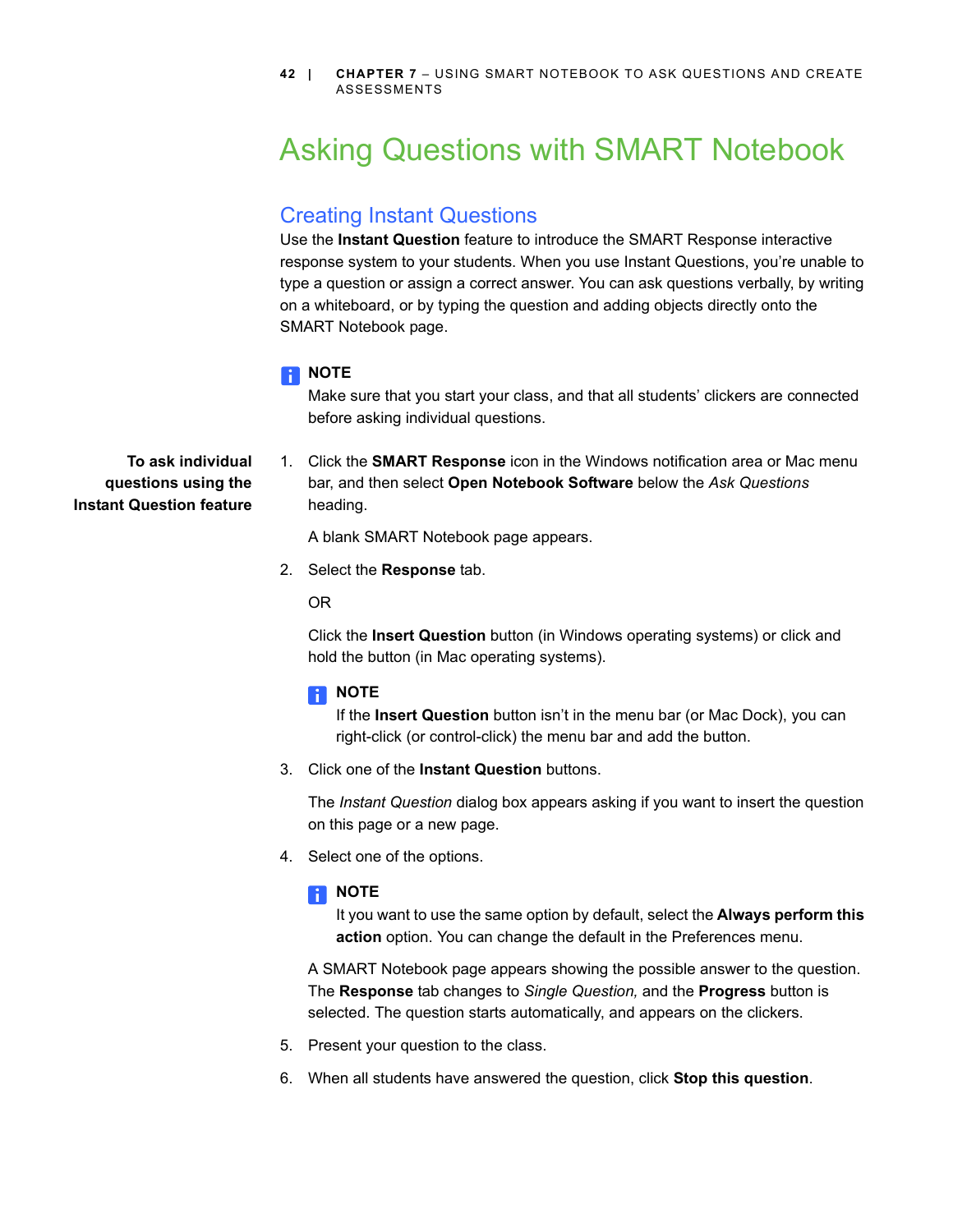# Asking Questions with SMART Notebook

## Creating Instant Questions

Use the **Instant Question** feature to introduce the SMART Response interactive response system to your students. When you use Instant Questions, you're unable to type a question or assign a correct answer. You can ask questions verbally, by writing on a whiteboard, or by typing the question and adding objects directly onto the SMART Notebook page.

### **R** NOTE

Make sure that you start your class, and that all students' clickers are connected before asking individual questions.

**To ask individual questions using the Instant Question feature**

1. Click the **SMART Response** icon in the Windows notification area or Mac menu bar, and then select **Open Notebook Software** below the *Ask Questions*  heading.

A blank SMART Notebook page appears.

2. Select the **Response** tab.

OR

Click the **Insert Question** button (in Windows operating systems) or click and hold the button (in Mac operating systems).

### **NOTE**

If the **Insert Question** button isn't in the menu bar (or Mac Dock), you can right-click (or control-click) the menu bar and add the button.

3. Click one of the **Instant Question** buttons.

The *Instant Question* dialog box appears asking if you want to insert the question on this page or a new page.

4. Select one of the options.

### **NOTE**

It you want to use the same option by default, select the **Always perform this action** option. You can change the default in the Preferences menu.

A SMART Notebook page appears showing the possible answer to the question. The **Response** tab changes to *Single Question,* and the **Progress** button is selected. The question starts automatically, and appears on the clickers.

- 5. Present your question to the class.
- 6. When all students have answered the question, click **Stop this question**.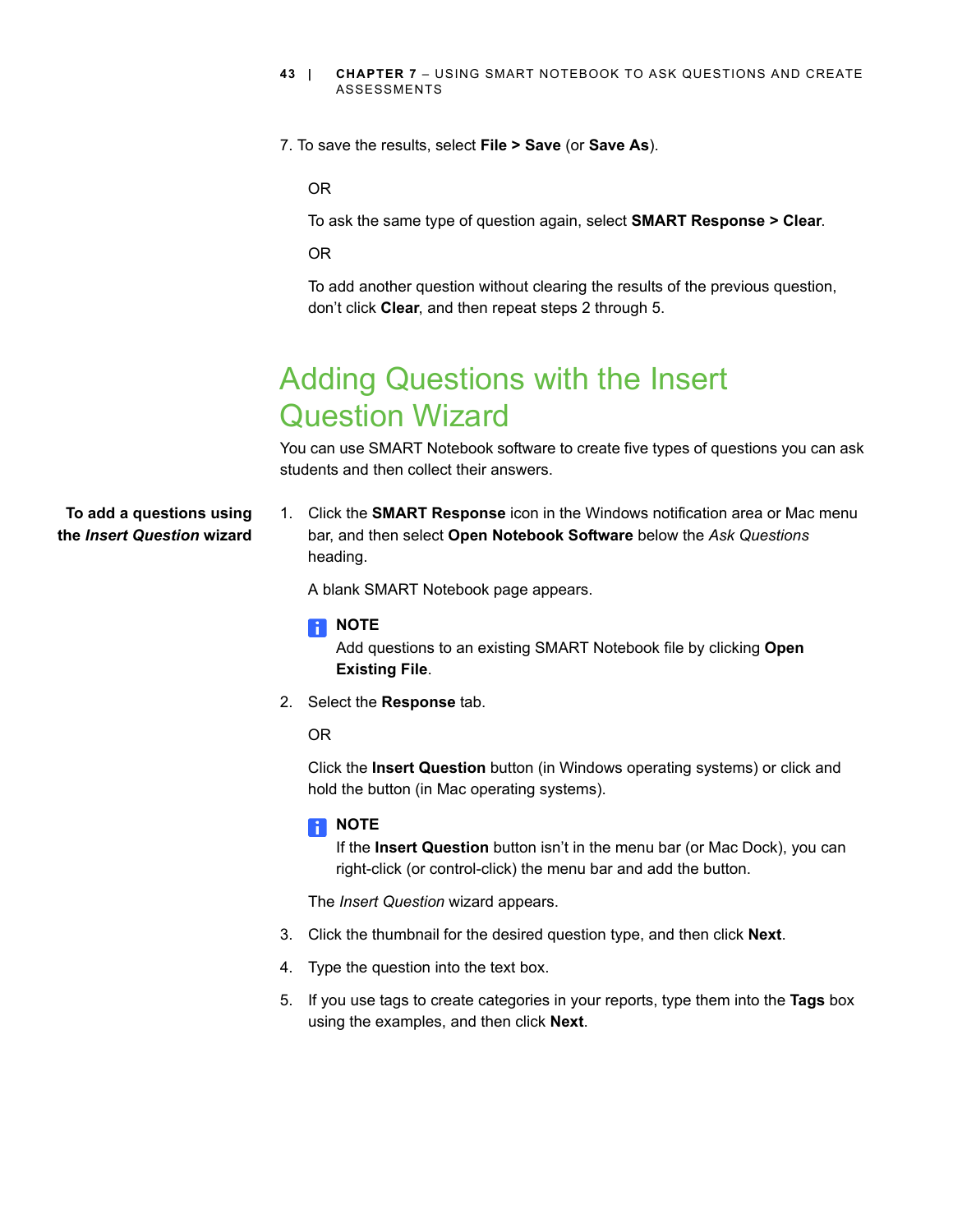- **43 | CHAPTER 7** USING SMART NOTEBOOK TO ASK QUESTIONS AND CREATE ASSESSMENTS
- 7. To save the results, select **File > Save** (or **Save As**).

To ask the same type of question again, select **SMART Response > Clear**.

OR

To add another question without clearing the results of the previous question, don't click **Clear**, and then repeat steps 2 through 5.

# Adding Questions with the Insert Question Wizard

You can use SMART Notebook software to create five types of questions you can ask students and then collect their answers.

- **To add a questions using the** *Insert Question* **wizard**
- 1. Click the **SMART Response** icon in the Windows notification area or Mac menu bar, and then select **Open Notebook Software** below the *Ask Questions*  heading.

A blank SMART Notebook page appears.

#### **NOTE**

Add questions to an existing SMART Notebook file by clicking **Open Existing File**.

2. Select the **Response** tab.

OR

Click the **Insert Question** button (in Windows operating systems) or click and hold the button (in Mac operating systems).

#### **NOTE**

If the **Insert Question** button isn't in the menu bar (or Mac Dock), you can right-click (or control-click) the menu bar and add the button.

The *Insert Question* wizard appears.

- 3. Click the thumbnail for the desired question type, and then click **Next**.
- 4. Type the question into the text box.
- 5. If you use tags to create categories in your reports, type them into the **Tags** box using the examples, and then click **Next**.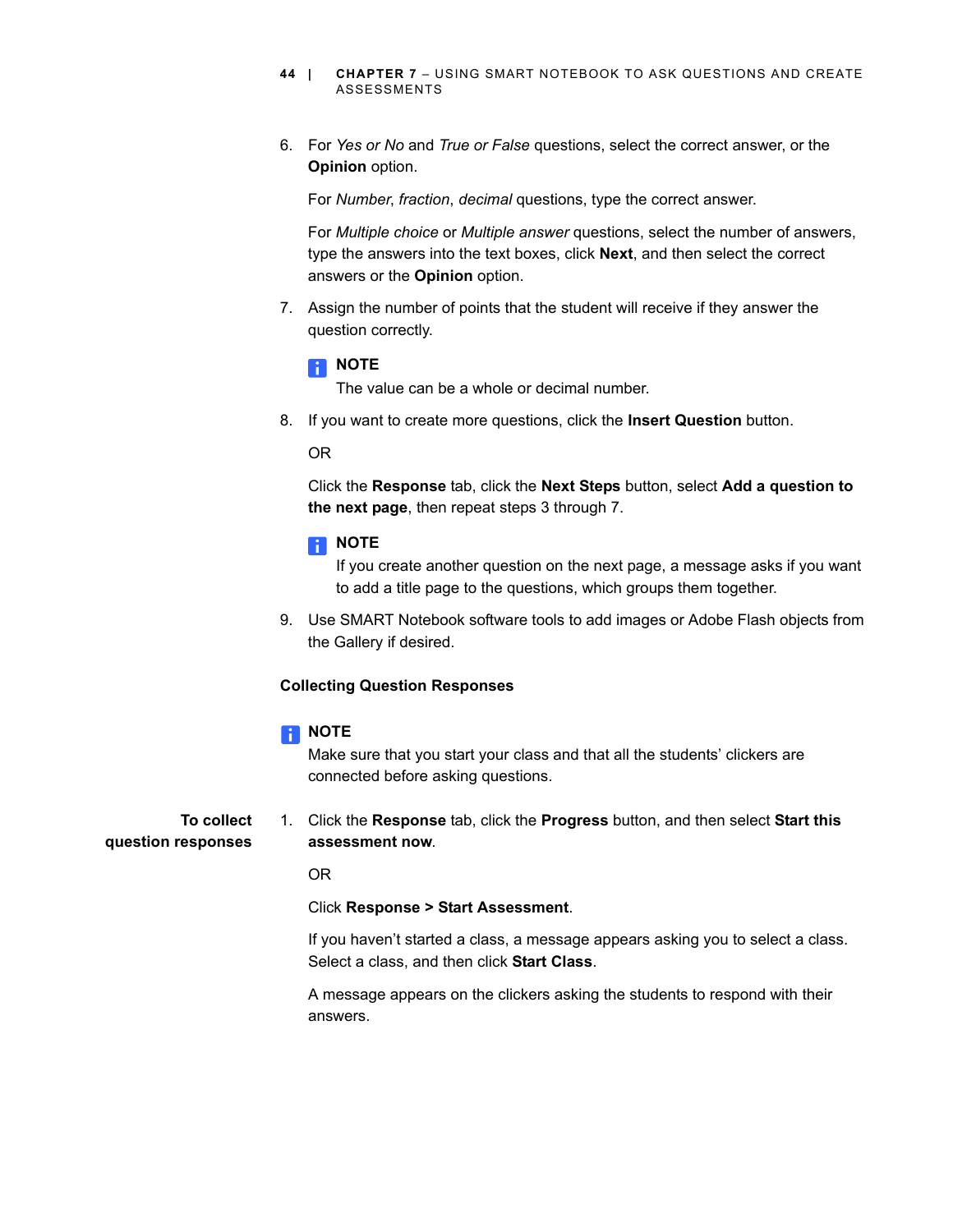- **44 | CHAPTER 7** USING SMART NOTEBOOK TO ASK QUESTIONS AND CREATE ASSESSMENTS
- 6. For *Yes or No* and *True or False* questions, select the correct answer, or the **Opinion** option.

For *Number*, *fraction*, *decimal* questions, type the correct answer.

For *Multiple choice* or *Multiple answer* questions, select the number of answers, type the answers into the text boxes, click **Next**, and then select the correct answers or the **Opinion** option.

7. Assign the number of points that the student will receive if they answer the question correctly.

### **NOTE**

The value can be a whole or decimal number.

8. If you want to create more questions, click the **Insert Question** button.

OR

Click the **Response** tab, click the **Next Steps** button, select **Add a question to the next page**, then repeat steps 3 through 7.

## **NOTE**

If you create another question on the next page, a message asks if you want to add a title page to the questions, which groups them together.

9. Use SMART Notebook software tools to add images or Adobe Flash objects from the Gallery if desired.

#### **Collecting Question Responses**

### **NOTE**

Make sure that you start your class and that all the students' clickers are connected before asking questions.

#### **To collect question responses** 1. Click the **Response** tab, click the **Progress** button, and then select **Start this assessment now**.

OR

#### Click **Response > Start Assessment**.

If you haven't started a class, a message appears asking you to select a class. Select a class, and then click **Start Class**.

A message appears on the clickers asking the students to respond with their answers.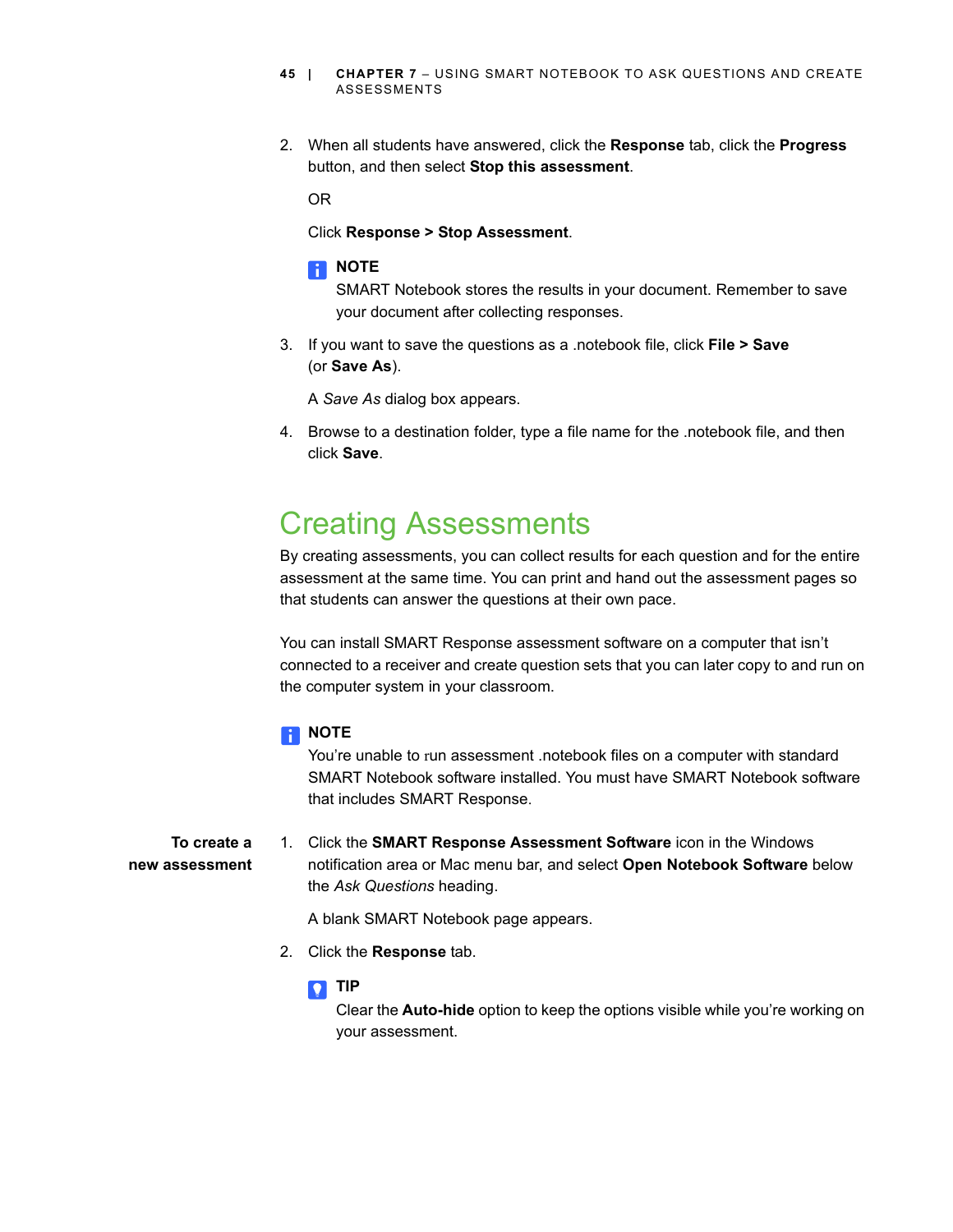- **45 | CHAPTER 7** USING SMART NOTEBOOK TO ASK QUESTIONS AND CREATE ASSESSMENTS
- 2. When all students have answered, click the **Response** tab, click the **Progress**  button, and then select **Stop this assessment**.

Click **Response > Stop Assessment**.

### **NOTE**

SMART Notebook stores the results in your document. Remember to save your document after collecting responses.

3. If you want to save the questions as a .notebook file, click **File > Save**  (or **Save As**).

A *Save As* dialog box appears.

4. Browse to a destination folder, type a file name for the .notebook file, and then click **Save**.

## Creating Assessments

By creating assessments, you can collect results for each question and for the entire assessment at the same time. You can print and hand out the assessment pages so that students can answer the questions at their own pace.

You can install SMART Response assessment software on a computer that isn't connected to a receiver and create question sets that you can later copy to and run on the computer system in your classroom.

### **NOTE**

You're unable to run assessment .notebook files on a computer with standard SMART Notebook software installed. You must have SMART Notebook software that includes SMART Response.

**To create a new assessment** 1. Click the **SMART Response Assessment Software** icon in the Windows notification area or Mac menu bar, and select **Open Notebook Software** below the *Ask Questions* heading.

A blank SMART Notebook page appears.

2. Click the **Response** tab.

#### **D** TIP

Clear the **Auto-hide** option to keep the options visible while you're working on your assessment.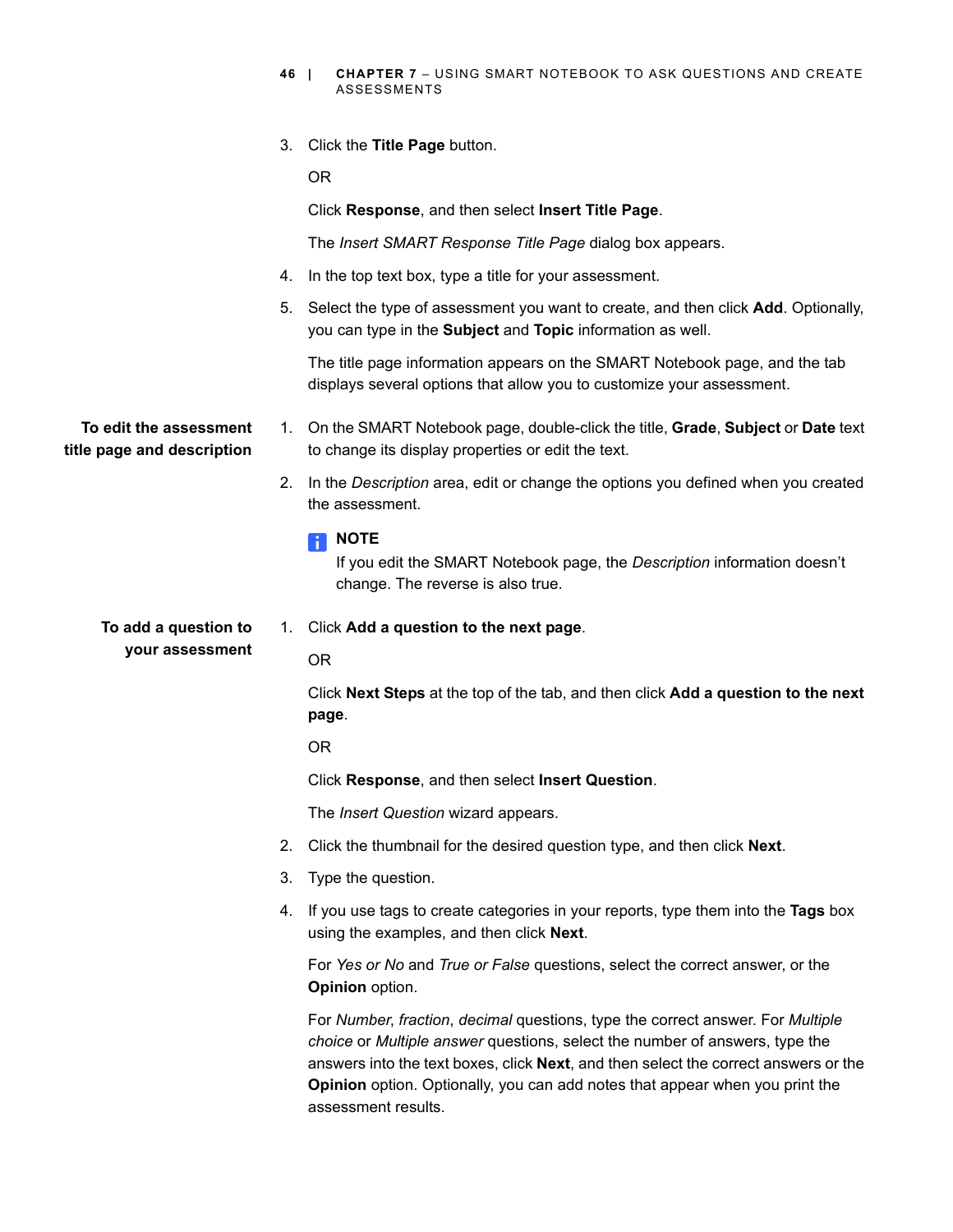- **46 | CHAPTER 7** USING SMART NOTEBOOK TO ASK QUESTIONS AND CREATE ASSESSMENTS
- 3. Click the **Title Page** button.

Click **Response**, and then select **Insert Title Page**.

The *Insert SMART Response Title Page* dialog box appears.

- 4. In the top text box, type a title for your assessment.
- 5. Select the type of assessment you want to create, and then click **Add**. Optionally, you can type in the **Subject** and **Topic** information as well.

The title page information appears on the SMART Notebook page, and the tab displays several options that allow you to customize your assessment.

- **title page and description** 1. On the SMART Notebook page, double-click the title, **Grade**, **Subject** or **Date** text to change its display properties or edit the text.
	- 2. In the *Description* area, edit or change the options you defined when you created the assessment.

#### **NOTE**

If you edit the SMART Notebook page, the *Description* information doesn't change. The reverse is also true.

**To add a question to your assessment**

### 1. Click **Add a question to the next page**.

OR

Click **Next Steps** at the top of the tab, and then click **Add a question to the next page**.

OR

Click **Response**, and then select **Insert Question**.

The *Insert Question* wizard appears.

- 2. Click the thumbnail for the desired question type, and then click **Next**.
- 3. Type the question.
- 4. If you use tags to create categories in your reports, type them into the **Tags** box using the examples, and then click **Next**.

For *Yes or No* and *True or False* questions, select the correct answer, or the **Opinion** option.

For *Number*, *fraction*, *decimal* questions, type the correct answer. For *Multiple choice* or *Multiple answer* questions, select the number of answers, type the answers into the text boxes, click **Next**, and then select the correct answers or the **Opinion** option. Optionally, you can add notes that appear when you print the assessment results.

**To edit the assessment**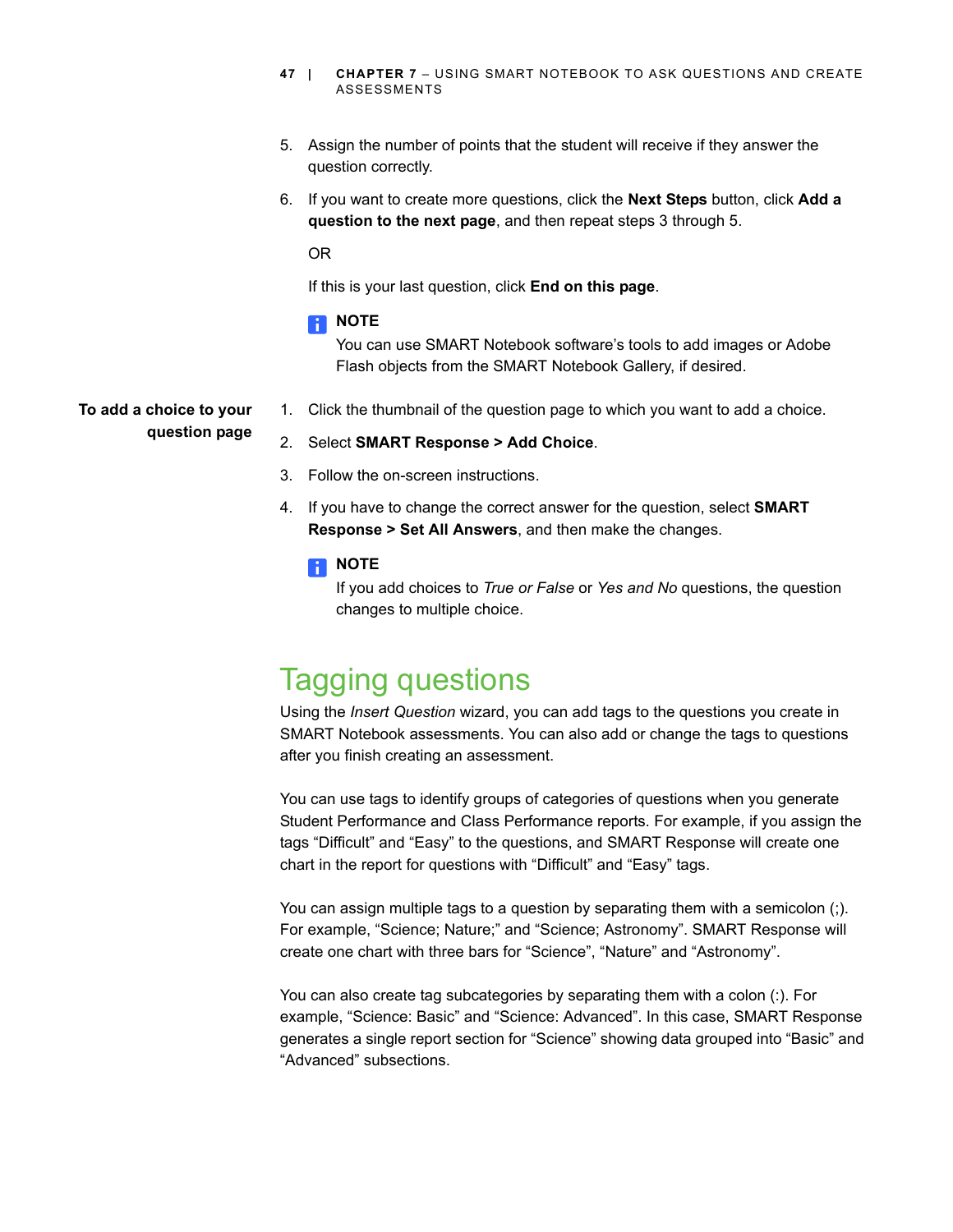- **47 | CHAPTER 7** USING SMART NOTEBOOK TO ASK QUESTIONS AND CREATE ASSESSMENTS
- 5. Assign the number of points that the student will receive if they answer the question correctly.
- 6. If you want to create more questions, click the **Next Steps** button, click **Add a question to the next page**, and then repeat steps 3 through 5.

If this is your last question, click **End on this page**.

### **NOTE**

You can use SMART Notebook software's tools to add images or Adobe Flash objects from the SMART Notebook Gallery, if desired.

**To add a choice to your question page**

- 1. Click the thumbnail of the question page to which you want to add a choice.
- 2. Select **SMART Response > Add Choice**.
- 3. Follow the on-screen instructions.
- 4. If you have to change the correct answer for the question, select **SMART Response > Set All Answers**, and then make the changes.

### **NOTE**

If you add choices to *True or False* or *Yes and No* questions, the question changes to multiple choice.

# Tagging questions

Using the *Insert Question* wizard, you can add tags to the questions you create in SMART Notebook assessments. You can also add or change the tags to questions after you finish creating an assessment.

You can use tags to identify groups of categories of questions when you generate Student Performance and Class Performance reports. For example, if you assign the tags "Difficult" and "Easy" to the questions, and SMART Response will create one chart in the report for questions with "Difficult" and "Easy" tags.

You can assign multiple tags to a question by separating them with a semicolon (;). For example, "Science; Nature;" and "Science; Astronomy". SMART Response will create one chart with three bars for "Science", "Nature" and "Astronomy".

You can also create tag subcategories by separating them with a colon (:). For example, "Science: Basic" and "Science: Advanced". In this case, SMART Response generates a single report section for "Science" showing data grouped into "Basic" and "Advanced" subsections.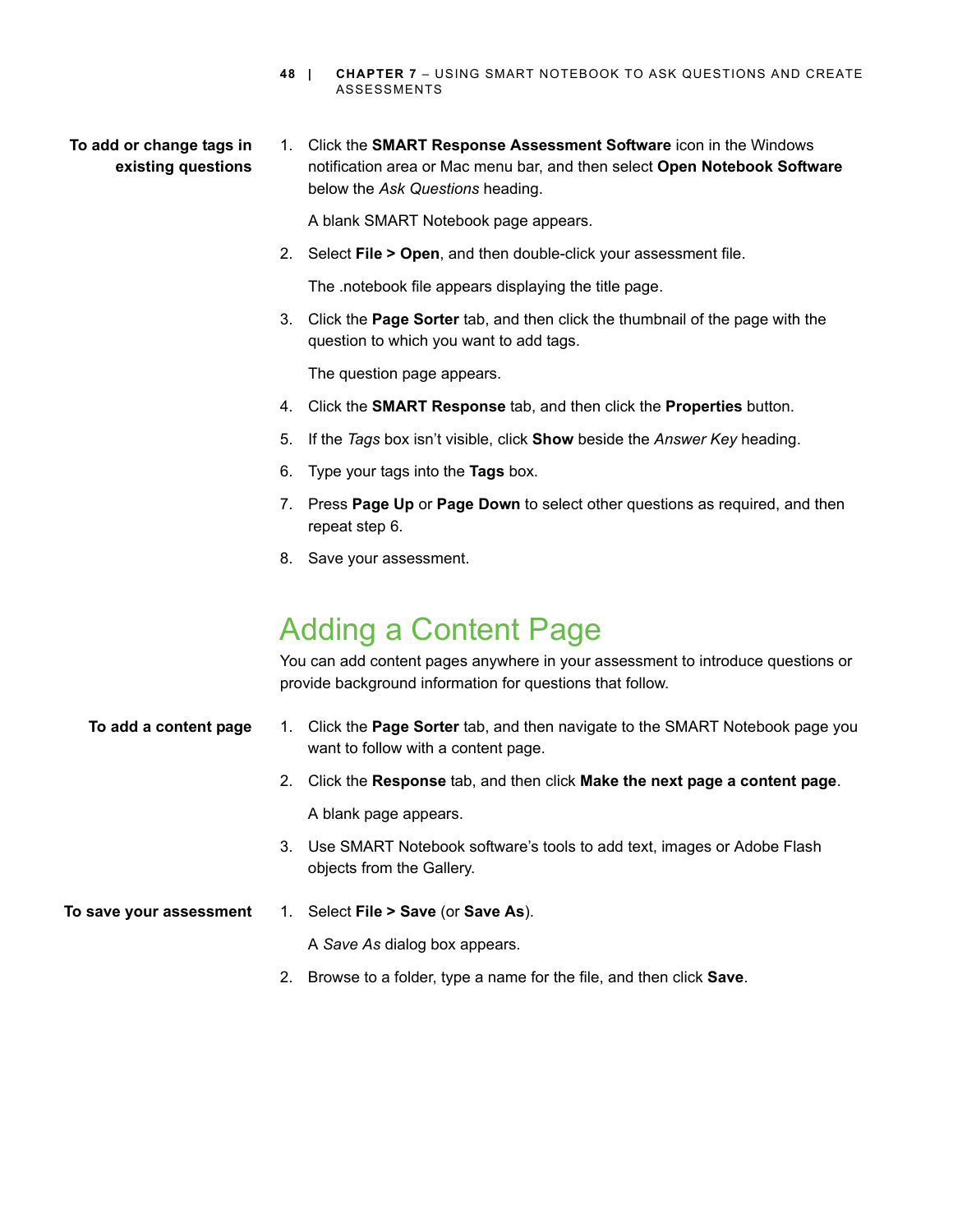- **48 | CHAPTER 7** USING SMART NOTEBOOK TO ASK QUESTIONS AND CREATE ASSESSMENTS
- **To add or change tags in existing questions** 1. Click the **SMART Response Assessment Software** icon in the Windows notification area or Mac menu bar, and then select **Open Notebook Software**  below the *Ask Questions* heading.

A blank SMART Notebook page appears.

2. Select **File > Open**, and then double-click your assessment file.

The .notebook file appears displaying the title page.

3. Click the **Page Sorter** tab, and then click the thumbnail of the page with the question to which you want to add tags.

The question page appears.

- 4. Click the **SMART Response** tab, and then click the **Properties** button.
- 5. If the *Tags* box isn't visible, click **Show** beside the *Answer Key* heading.
- 6. Type your tags into the **Tags** box.
- 7. Press **Page Up** or **Page Down** to select other questions as required, and then repeat step 6.
- 8. Save your assessment.

# Adding a Content Page

You can add content pages anywhere in your assessment to introduce questions or provide background information for questions that follow.

- **To add a content page** 1. Click the **Page Sorter** tab, and then navigate to the SMART Notebook page you want to follow with a content page.
	- 2. Click the **Response** tab, and then click **Make the next page a content page**.

A blank page appears.

- 3. Use SMART Notebook software's tools to add text, images or Adobe Flash objects from the Gallery.
- **To save your assessment** 1. Select **File > Save** (or **Save As**).

A *Save As* dialog box appears.

2. Browse to a folder, type a name for the file, and then click **Save**.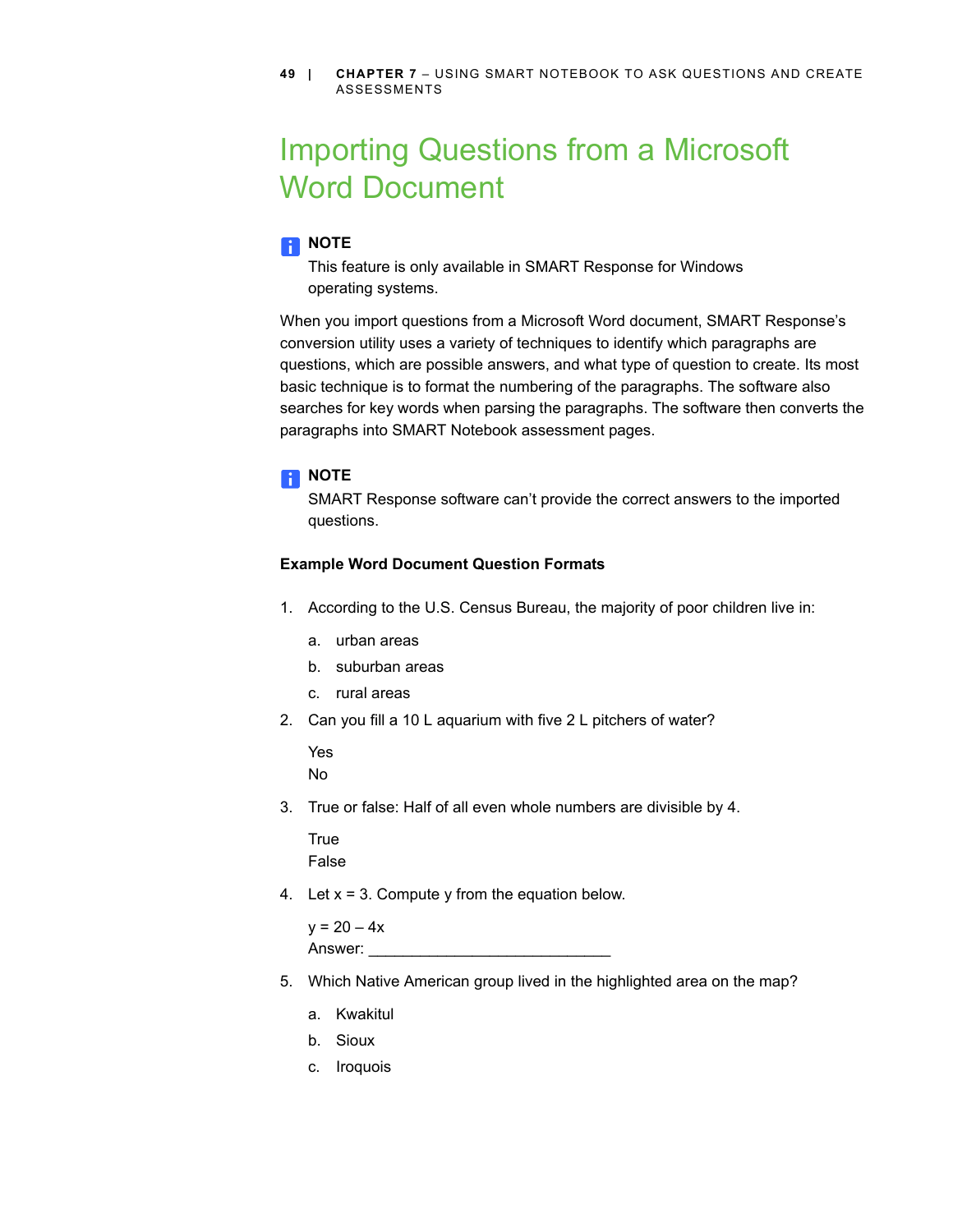# Importing Questions from a Microsoft Word Document

### **NOTE**

This feature is only available in SMART Response for Windows operating systems.

When you import questions from a Microsoft Word document, SMART Response's conversion utility uses a variety of techniques to identify which paragraphs are questions, which are possible answers, and what type of question to create. Its most basic technique is to format the numbering of the paragraphs. The software also searches for key words when parsing the paragraphs. The software then converts the paragraphs into SMART Notebook assessment pages.

### **NOTE**

SMART Response software can't provide the correct answers to the imported questions.

#### **Example Word Document Question Formats**

- 1. According to the U.S. Census Bureau, the majority of poor children live in:
	- a. urban areas
	- b. suburban areas
	- c. rural areas
- 2. Can you fill a 10 L aquarium with five 2 L pitchers of water?
	- Yes No
- 3. True or false: Half of all even whole numbers are divisible by 4.

**True** False

4. Let  $x = 3$ . Compute y from the equation below.

```
y = 20 - 4xAnswer:
```
- 5. Which Native American group lived in the highlighted area on the map?
	- a. Kwakitul
	- b. Sioux
	- c. Iroquois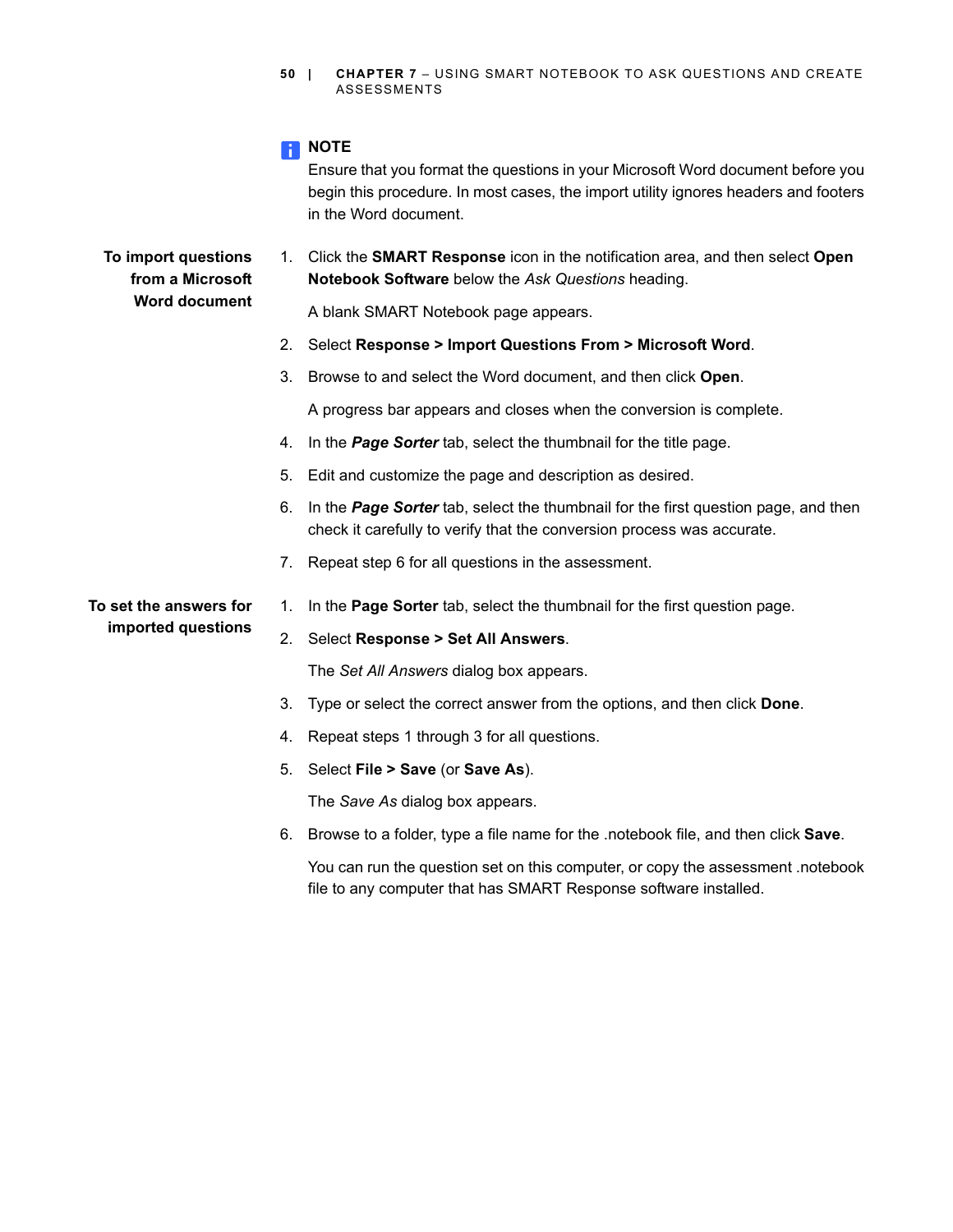### **NOTE**

Ensure that you format the questions in your Microsoft Word document before you begin this procedure. In most cases, the import utility ignores headers and footers in the Word document.

**To import questions from a Microsoft Word document** 1. Click the **SMART Response** icon in the notification area, and then select **Open Notebook Software** below the *Ask Questions* heading.

A blank SMART Notebook page appears.

- 2. Select **Response > Import Questions From > Microsoft Word**.
- 3. Browse to and select the Word document, and then click **Open**.

A progress bar appears and closes when the conversion is complete.

- 4. In the *Page Sorter* tab, select the thumbnail for the title page.
- 5. Edit and customize the page and description as desired.
- 6. In the *Page Sorter* tab, select the thumbnail for the first question page, and then check it carefully to verify that the conversion process was accurate.
- 7. Repeat step 6 for all questions in the assessment.

**To set the answers for imported questions**

- 1. In the **Page Sorter** tab, select the thumbnail for the first question page.
	- 2. Select **Response > Set All Answers**.

The *Set All Answers* dialog box appears.

- 3. Type or select the correct answer from the options, and then click **Done**.
- 4. Repeat steps 1 through 3 for all questions.
- 5. Select **File > Save** (or **Save As**).

The *Save As* dialog box appears.

6. Browse to a folder, type a file name for the .notebook file, and then click **Save**.

You can run the question set on this computer, or copy the assessment .notebook file to any computer that has SMART Response software installed.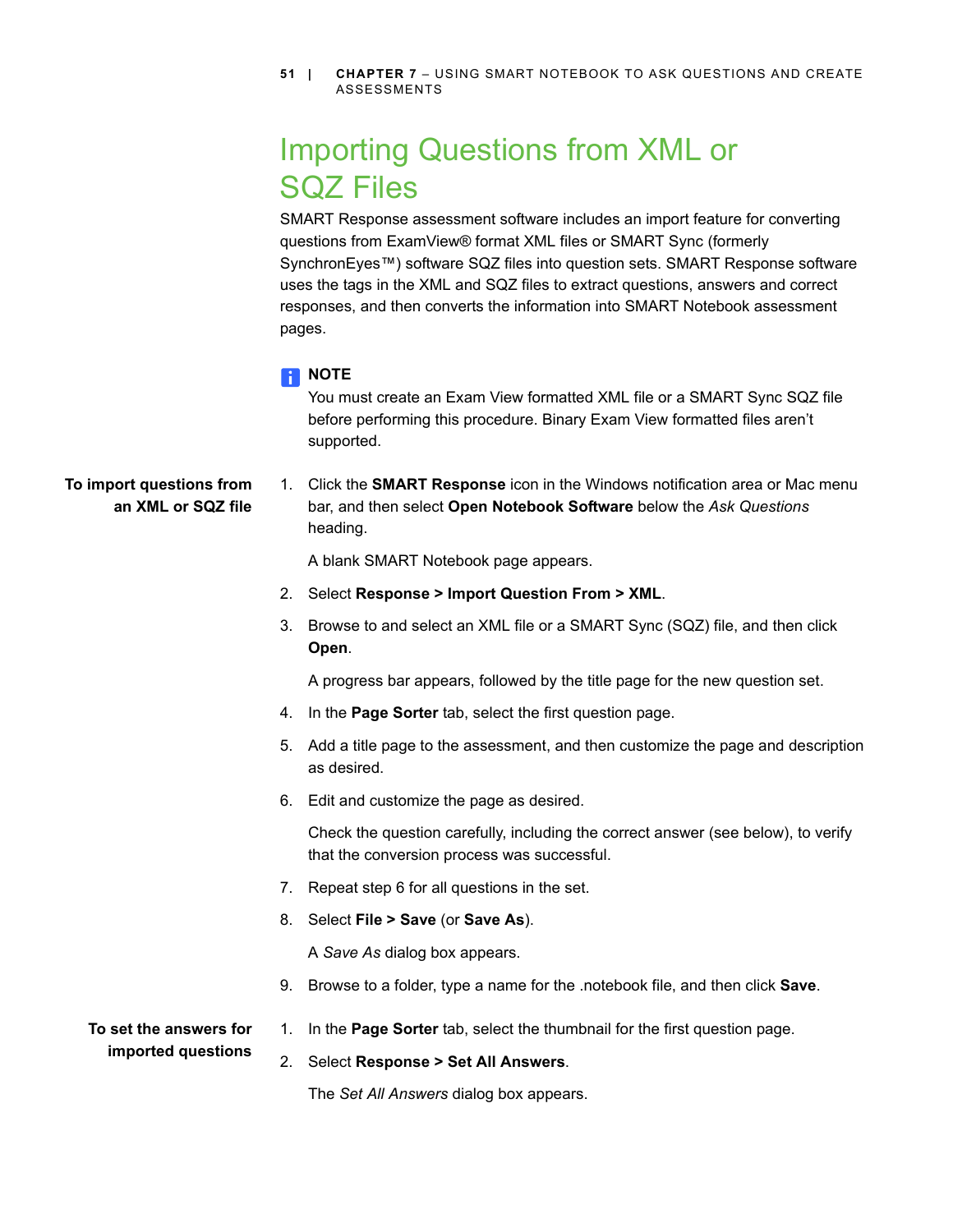# Importing Questions from XML or SQZ Files

SMART Response assessment software includes an import feature for converting questions from ExamView® format XML files or SMART Sync (formerly SynchronEyes™) software SQZ files into question sets. SMART Response software uses the tags in the XML and SQZ files to extract questions, answers and correct responses, and then converts the information into SMART Notebook assessment pages.

### **NOTE**

You must create an Exam View formatted XML file or a SMART Sync SQZ file before performing this procedure. Binary Exam View formatted files aren't supported.

**To import questions from an XML or SQZ file** 1. Click the **SMART Response** icon in the Windows notification area or Mac menu bar, and then select **Open Notebook Software** below the *Ask Questions*  heading.

A blank SMART Notebook page appears.

- 2. Select **Response > Import Question From > XML**.
- 3. Browse to and select an XML file or a SMART Sync (SQZ) file, and then click **Open**.

A progress bar appears, followed by the title page for the new question set.

- 4. In the **Page Sorter** tab, select the first question page.
- 5. Add a title page to the assessment, and then customize the page and description as desired.
- 6. Edit and customize the page as desired.

Check the question carefully, including the correct answer (see below), to verify that the conversion process was successful.

- 7. Repeat step 6 for all questions in the set.
- 8. Select **File > Save** (or **Save As**).

A *Save As* dialog box appears.

9. Browse to a folder, type a name for the .notebook file, and then click **Save**.

**To set the answers for imported questions**

- 1. In the **Page Sorter** tab, select the thumbnail for the first question page.
- 2. Select **Response > Set All Answers**.

The *Set All Answers* dialog box appears.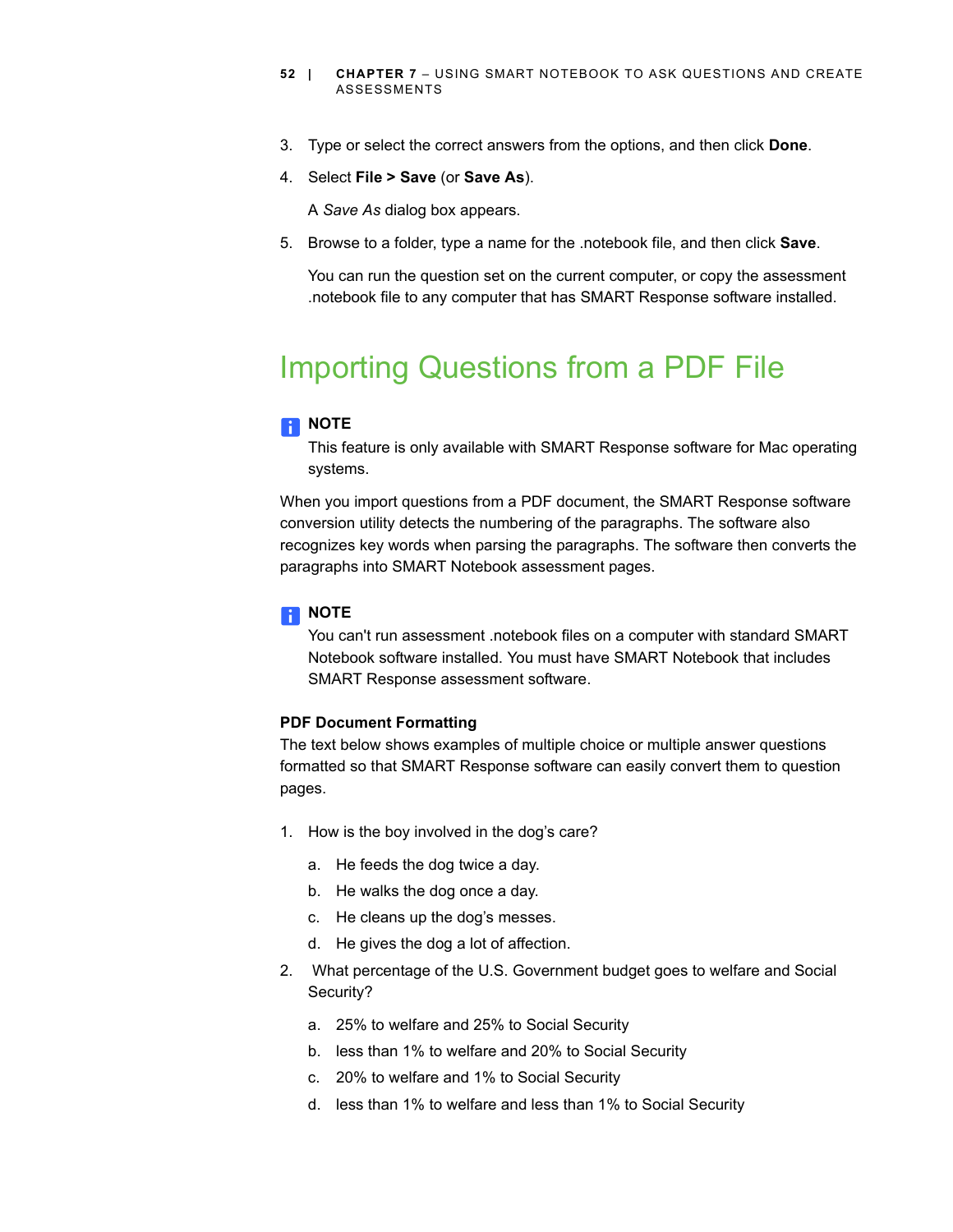- **52 | CHAPTER 7** USING SMART NOTEBOOK TO ASK QUESTIONS AND CREATE ASSESSMENTS
- 3. Type or select the correct answers from the options, and then click **Done**.
- 4. Select **File > Save** (or **Save As**).

A *Save As* dialog box appears.

5. Browse to a folder, type a name for the .notebook file, and then click **Save**.

You can run the question set on the current computer, or copy the assessment .notebook file to any computer that has SMART Response software installed.

# Importing Questions from a PDF File

#### **R** NOTE

This feature is only available with SMART Response software for Mac operating systems.

When you import questions from a PDF document, the SMART Response software conversion utility detects the numbering of the paragraphs. The software also recognizes key words when parsing the paragraphs. The software then converts the paragraphs into SMART Notebook assessment pages.

#### **NOTE**

You can't run assessment .notebook files on a computer with standard SMART Notebook software installed. You must have SMART Notebook that includes SMART Response assessment software.

#### **PDF Document Formatting**

The text below shows examples of multiple choice or multiple answer questions formatted so that SMART Response software can easily convert them to question pages.

- 1. How is the boy involved in the dog's care?
	- a. He feeds the dog twice a day.
	- b. He walks the dog once a day.
	- c. He cleans up the dog's messes.
	- d. He gives the dog a lot of affection.
- 2. What percentage of the U.S. Government budget goes to welfare and Social Security?
	- a. 25% to welfare and 25% to Social Security
	- b. less than 1% to welfare and 20% to Social Security
	- c. 20% to welfare and 1% to Social Security
	- d. less than 1% to welfare and less than 1% to Social Security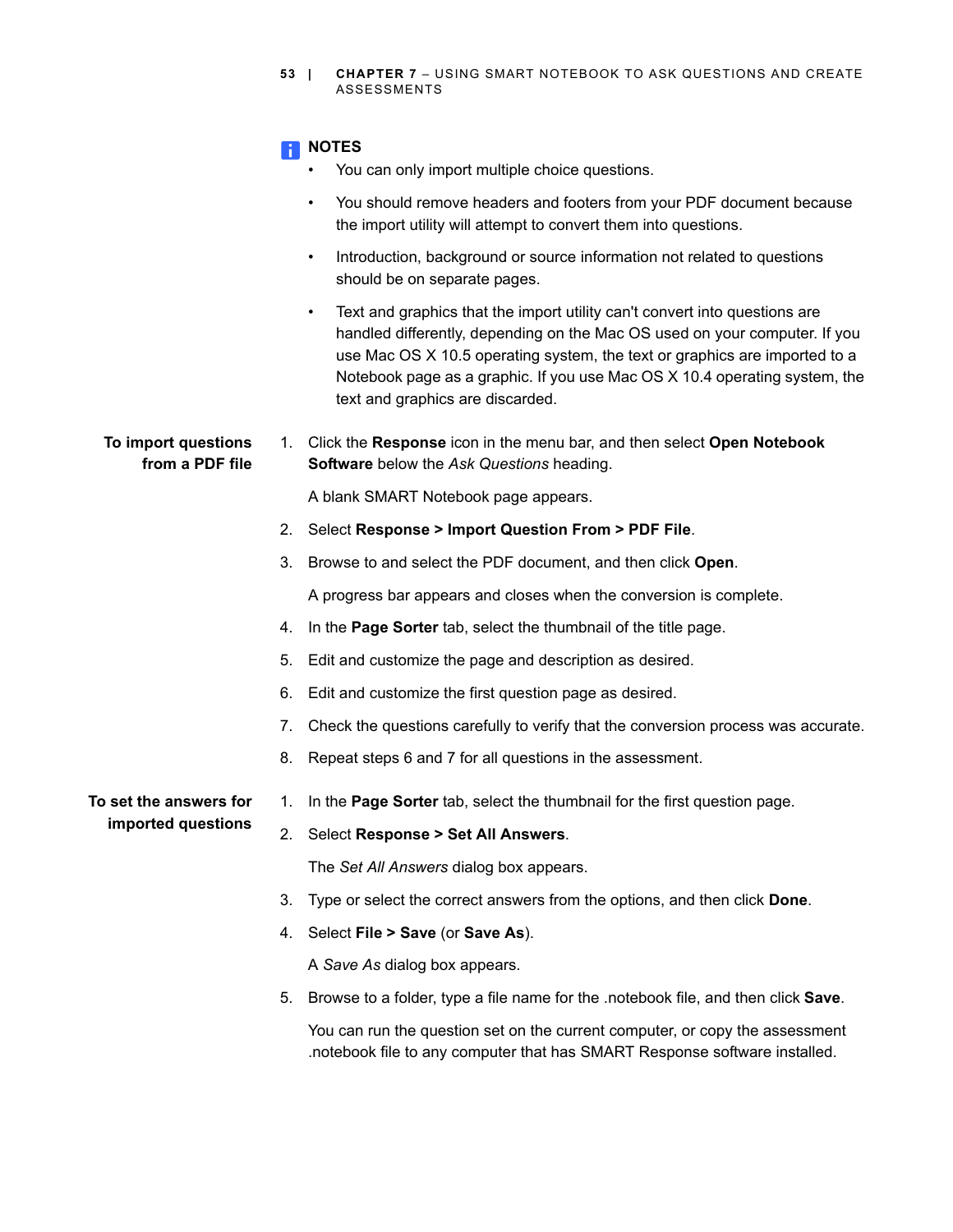#### **R** NOTES

- You can only import multiple choice questions.
- You should remove headers and footers from your PDF document because the import utility will attempt to convert them into questions.
- Introduction, background or source information not related to questions should be on separate pages.
- Text and graphics that the import utility can't convert into questions are handled differently, depending on the Mac OS used on your computer. If you use Mac OS X 10.5 operating system, the text or graphics are imported to a Notebook page as a graphic. If you use Mac OS X 10.4 operating system, the text and graphics are discarded.

**To import questions from a PDF file** 1. Click the **Response** icon in the menu bar, and then select **Open Notebook Software** below the *Ask Questions* heading.

A blank SMART Notebook page appears.

- 2. Select **Response > Import Question From > PDF File**.
- 3. Browse to and select the PDF document, and then click **Open**.

A progress bar appears and closes when the conversion is complete.

- 4. In the **Page Sorter** tab, select the thumbnail of the title page.
- 5. Edit and customize the page and description as desired.
- 6. Edit and customize the first question page as desired.
- 7. Check the questions carefully to verify that the conversion process was accurate.
- 8. Repeat steps 6 and 7 for all questions in the assessment.

**To set the answers for imported questions**

- 1. In the **Page Sorter** tab, select the thumbnail for the first question page.
	- 2. Select **Response > Set All Answers**.

The *Set All Answers* dialog box appears.

- 3. Type or select the correct answers from the options, and then click **Done**.
- 4. Select **File > Save** (or **Save As**).

A *Save As* dialog box appears.

5. Browse to a folder, type a file name for the .notebook file, and then click **Save**.

You can run the question set on the current computer, or copy the assessment .notebook file to any computer that has SMART Response software installed.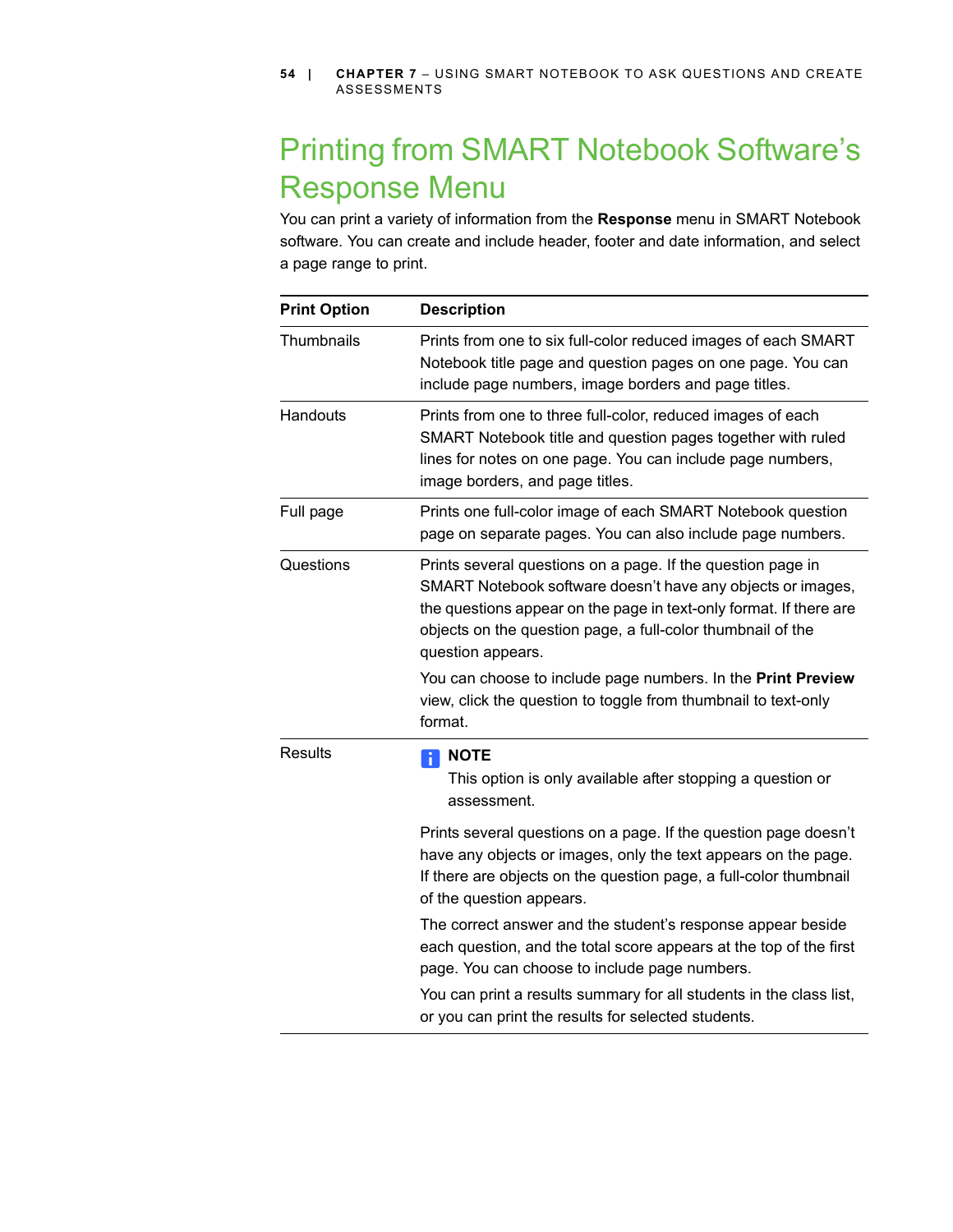# Printing from SMART Notebook Software's Response Menu

You can print a variety of information from the **Response** menu in SMART Notebook software. You can create and include header, footer and date information, and select a page range to print.

| <b>Print Option</b> | <b>Description</b>                                                                                                                                                                                                                                                                   |
|---------------------|--------------------------------------------------------------------------------------------------------------------------------------------------------------------------------------------------------------------------------------------------------------------------------------|
| Thumbnails          | Prints from one to six full-color reduced images of each SMART<br>Notebook title page and question pages on one page. You can<br>include page numbers, image borders and page titles.                                                                                                |
| Handouts            | Prints from one to three full-color, reduced images of each<br>SMART Notebook title and question pages together with ruled<br>lines for notes on one page. You can include page numbers,<br>image borders, and page titles.                                                          |
| Full page           | Prints one full-color image of each SMART Notebook question<br>page on separate pages. You can also include page numbers.                                                                                                                                                            |
| Questions           | Prints several questions on a page. If the question page in<br>SMART Notebook software doesn't have any objects or images,<br>the questions appear on the page in text-only format. If there are<br>objects on the question page, a full-color thumbnail of the<br>question appears. |
|                     | You can choose to include page numbers. In the Print Preview<br>view, click the question to toggle from thumbnail to text-only<br>format.                                                                                                                                            |
| <b>Results</b>      | <b>NOTE</b><br>Ŧ<br>This option is only available after stopping a question or<br>assessment.                                                                                                                                                                                        |
|                     | Prints several questions on a page. If the question page doesn't<br>have any objects or images, only the text appears on the page.<br>If there are objects on the question page, a full-color thumbnail<br>of the question appears.                                                  |
|                     | The correct answer and the student's response appear beside<br>each question, and the total score appears at the top of the first<br>page. You can choose to include page numbers.                                                                                                   |
|                     | You can print a results summary for all students in the class list,<br>or you can print the results for selected students.                                                                                                                                                           |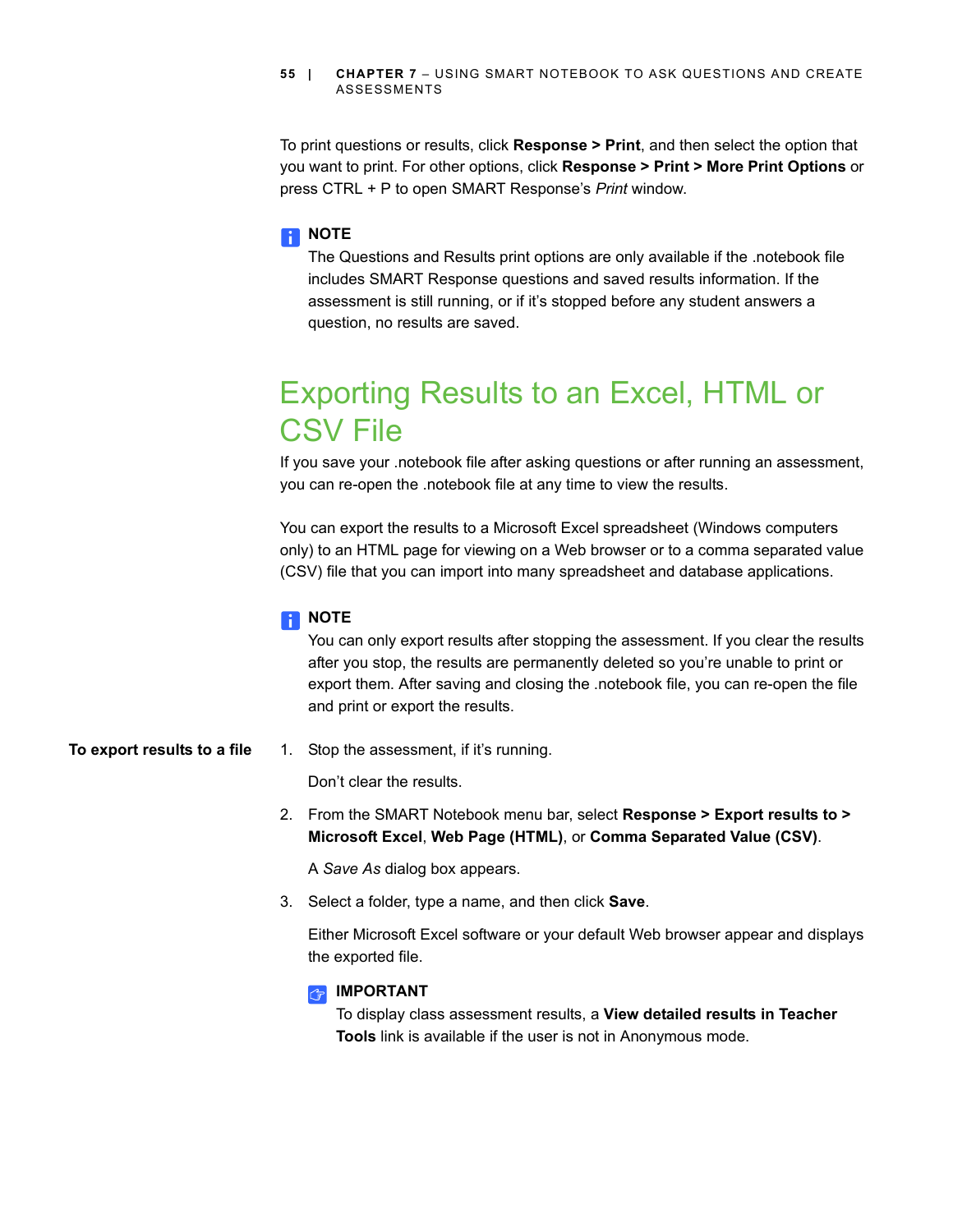To print questions or results, click **Response > Print**, and then select the option that you want to print. For other options, click **Response > Print > More Print Options** or press CTRL + P to open SMART Response's *Print* window.

### **NOTE**

The Questions and Results print options are only available if the .notebook file includes SMART Response questions and saved results information. If the assessment is still running, or if it's stopped before any student answers a question, no results are saved.

# Exporting Results to an Excel, HTML or CSV File

If you save your .notebook file after asking questions or after running an assessment, you can re-open the .notebook file at any time to view the results.

You can export the results to a Microsoft Excel spreadsheet (Windows computers only) to an HTML page for viewing on a Web browser or to a comma separated value (CSV) file that you can import into many spreadsheet and database applications.

### **NOTE**

You can only export results after stopping the assessment. If you clear the results after you stop, the results are permanently deleted so you're unable to print or export them. After saving and closing the .notebook file, you can re-open the file and print or export the results.

**To export results to a file** 1. Stop the assessment, if it's running.

Don't clear the results.

2. From the SMART Notebook menu bar, select **Response > Export results to > Microsoft Excel**, **Web Page (HTML)**, or **Comma Separated Value (CSV)**.

A *Save As* dialog box appears.

3. Select a folder, type a name, and then click **Save**.

Either Microsoft Excel software or your default Web browser appear and displays the exported file.

#### *<b>P* **IMPORTANT**

To display class assessment results, a **View detailed results in Teacher Tools** link is available if the user is not in Anonymous mode.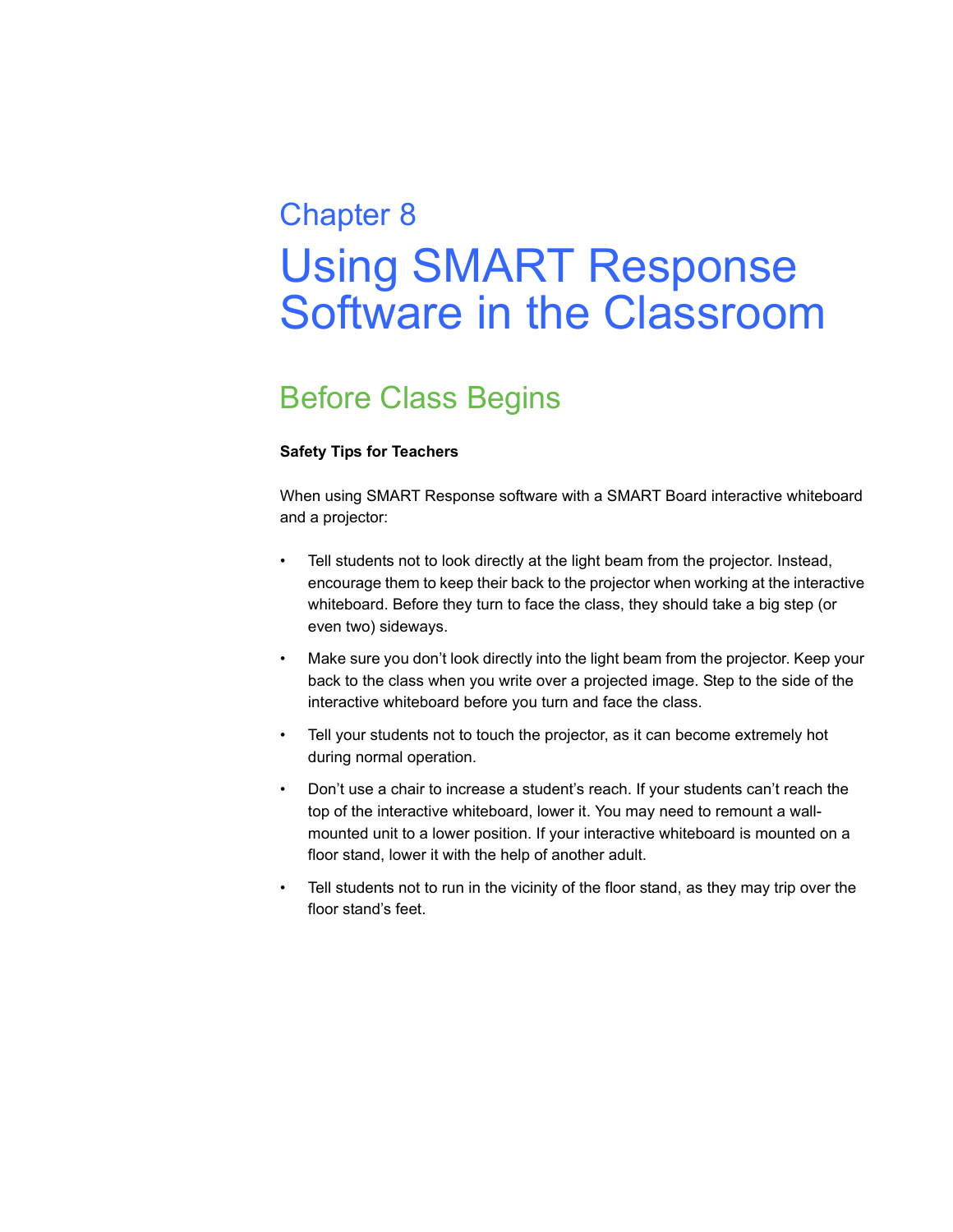# Chapter 8 Using SMART Response Software in the Classroom

# Before Class Begins

### **Safety Tips for Teachers**

When using SMART Response software with a SMART Board interactive whiteboard and a projector:

- Tell students not to look directly at the light beam from the projector. Instead, encourage them to keep their back to the projector when working at the interactive whiteboard. Before they turn to face the class, they should take a big step (or even two) sideways.
- Make sure you don't look directly into the light beam from the projector. Keep your back to the class when you write over a projected image. Step to the side of the interactive whiteboard before you turn and face the class.
- Tell your students not to touch the projector, as it can become extremely hot during normal operation.
- Don't use a chair to increase a student's reach. If your students can't reach the top of the interactive whiteboard, lower it. You may need to remount a wallmounted unit to a lower position. If your interactive whiteboard is mounted on a floor stand, lower it with the help of another adult.
- Tell students not to run in the vicinity of the floor stand, as they may trip over the floor stand's feet.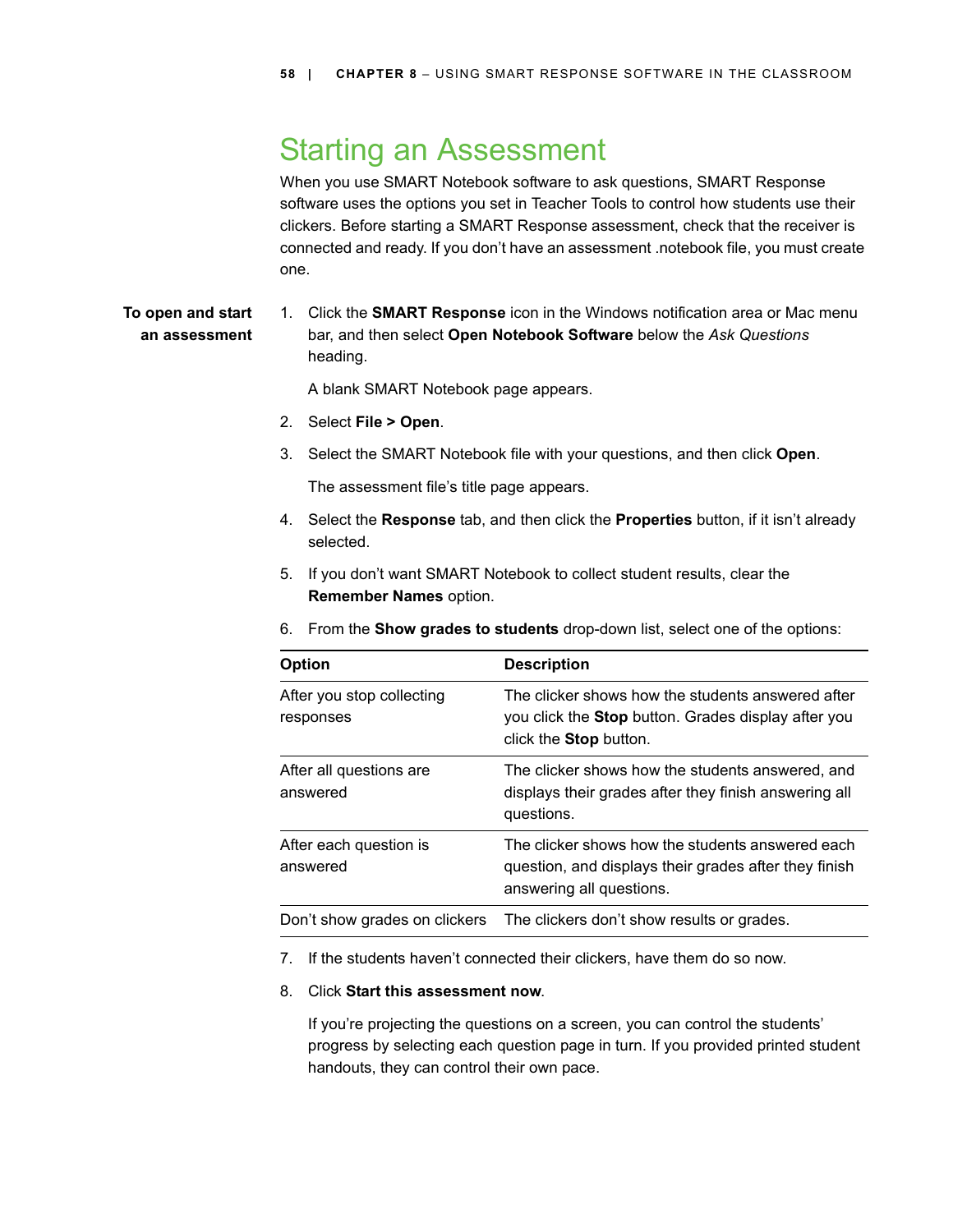# Starting an Assessment

When you use SMART Notebook software to ask questions, SMART Response software uses the options you set in Teacher Tools to control how students use their clickers. Before starting a SMART Response assessment, check that the receiver is connected and ready. If you don't have an assessment .notebook file, you must create one.

**To open and start an assessment** 1. Click the **SMART Response** icon in the Windows notification area or Mac menu bar, and then select **Open Notebook Software** below the *Ask Questions*  heading.

A blank SMART Notebook page appears.

- 2. Select **File > Open**.
- 3. Select the SMART Notebook file with your questions, and then click **Open**.

The assessment file's title page appears.

- 4. Select the **Response** tab, and then click the **Properties** button, if it isn't already selected.
- 5. If you don't want SMART Notebook to collect student results, clear the **Remember Names** option.

|  |  |  |  | 6. From the <b>Show grades to students</b> drop-down list, select one of the options: |  |  |
|--|--|--|--|---------------------------------------------------------------------------------------|--|--|
|--|--|--|--|---------------------------------------------------------------------------------------|--|--|

| <b>Option</b>                          | <b>Description</b>                                                                                                                    |
|----------------------------------------|---------------------------------------------------------------------------------------------------------------------------------------|
| After you stop collecting<br>responses | The clicker shows how the students answered after<br>you click the Stop button. Grades display after you<br>click the Stop button.    |
| After all questions are<br>answered    | The clicker shows how the students answered, and<br>displays their grades after they finish answering all<br>questions.               |
| After each question is<br>answered     | The clicker shows how the students answered each<br>question, and displays their grades after they finish<br>answering all questions. |
| Don't show grades on clickers          | The clickers don't show results or grades.                                                                                            |

- 7. If the students haven't connected their clickers, have them do so now.
- 8. Click **Start this assessment now**.

If you're projecting the questions on a screen, you can control the students' progress by selecting each question page in turn. If you provided printed student handouts, they can control their own pace.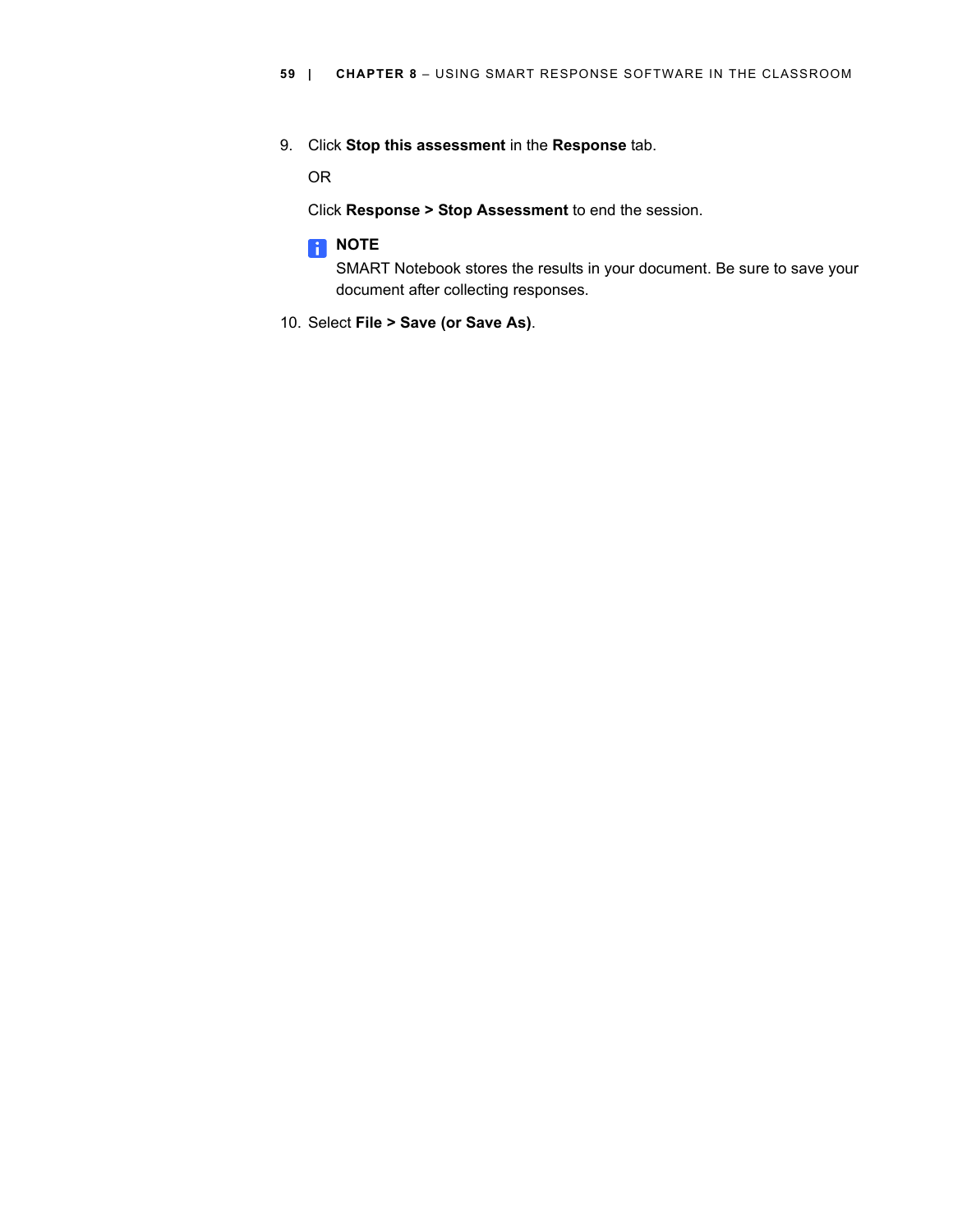9. Click **Stop this assessment** in the **Response** tab.

OR

Click **Response > Stop Assessment** to end the session.

### **NOTE**

SMART Notebook stores the results in your document. Be sure to save your document after collecting responses.

10. Select **File > Save (or Save As)**.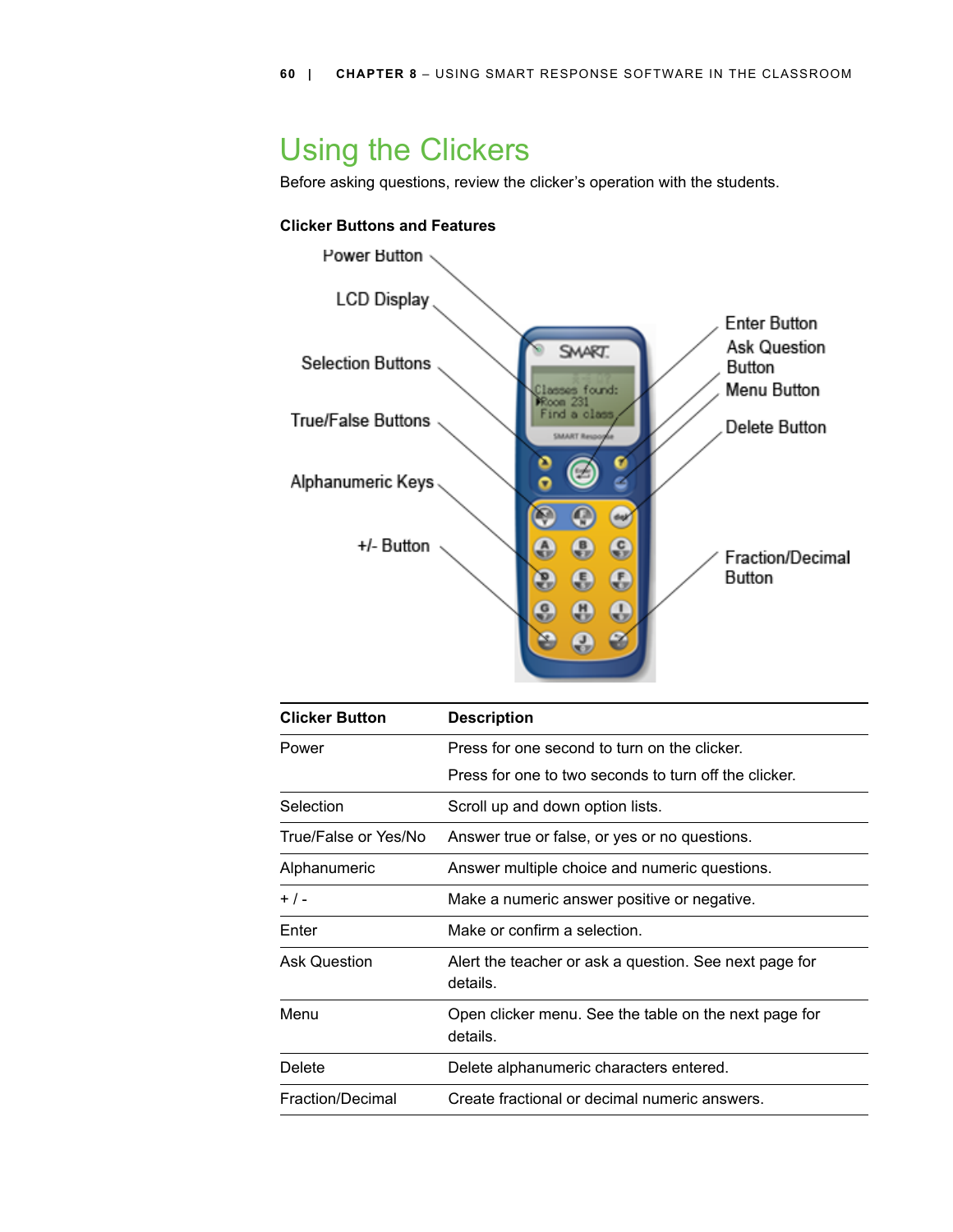# Using the Clickers

Before asking questions, review the clicker's operation with the students.

#### **Clicker Buttons and Features**



| Clicker Button          | <b>Description</b>                                                 |
|-------------------------|--------------------------------------------------------------------|
| Power                   | Press for one second to turn on the clicker.                       |
|                         | Press for one to two seconds to turn off the clicker.              |
| Selection               | Scroll up and down option lists.                                   |
| True/False or Yes/No    | Answer true or false, or yes or no questions.                      |
| Alphanumeric            | Answer multiple choice and numeric questions.                      |
| $+$ / -                 | Make a numeric answer positive or negative.                        |
| Enter                   | Make or confirm a selection.                                       |
| Ask Question            | Alert the teacher or ask a question. See next page for<br>details. |
| Menu                    | Open clicker menu. See the table on the next page for<br>details.  |
| Delete                  | Delete alphanumeric characters entered.                            |
| <b>Fraction/Decimal</b> | Create fractional or decimal numeric answers.                      |
|                         |                                                                    |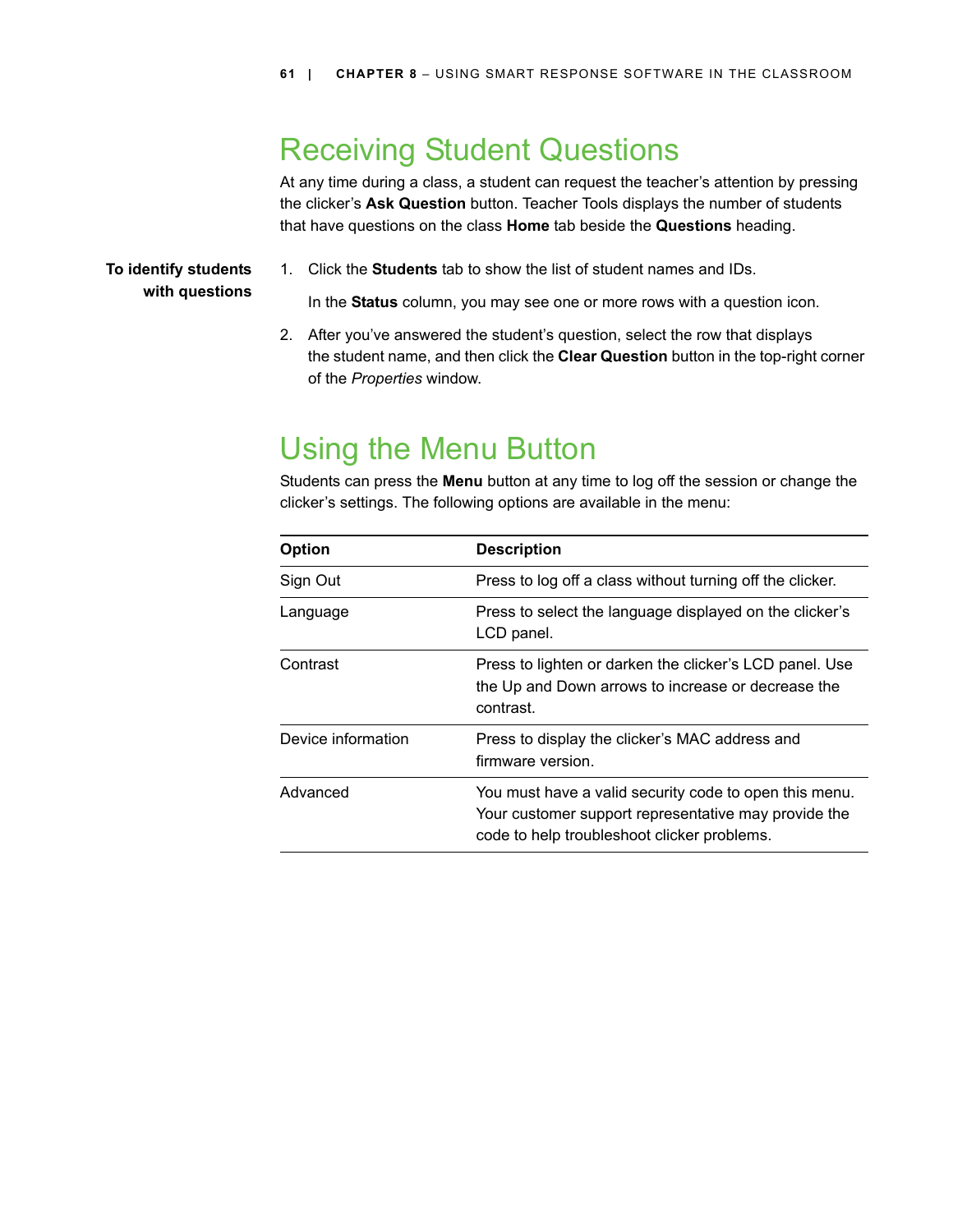# Receiving Student Questions

At any time during a class, a student can request the teacher's attention by pressing the clicker's **Ask Question** button. Teacher Tools displays the number of students that have questions on the class **Home** tab beside the **Questions** heading.

**To identify students with questions**

1. Click the **Students** tab to show the list of student names and IDs.

In the **Status** column, you may see one or more rows with a question icon.

2. After you've answered the student's question, select the row that displays the student name, and then click the **Clear Question** button in the top-right corner of the *Properties* window.

# Using the Menu Button

Students can press the **Menu** button at any time to log off the session or change the clicker's settings. The following options are available in the menu:

| <b>Option</b>      | <b>Description</b>                                                                                                                                            |
|--------------------|---------------------------------------------------------------------------------------------------------------------------------------------------------------|
| Sign Out           | Press to log off a class without turning off the clicker.                                                                                                     |
| Language           | Press to select the language displayed on the clicker's<br>LCD panel.                                                                                         |
| Contrast           | Press to lighten or darken the clicker's LCD panel. Use<br>the Up and Down arrows to increase or decrease the<br>contrast.                                    |
| Device information | Press to display the clicker's MAC address and<br>firmware version.                                                                                           |
| Advanced           | You must have a valid security code to open this menu.<br>Your customer support representative may provide the<br>code to help troubleshoot clicker problems. |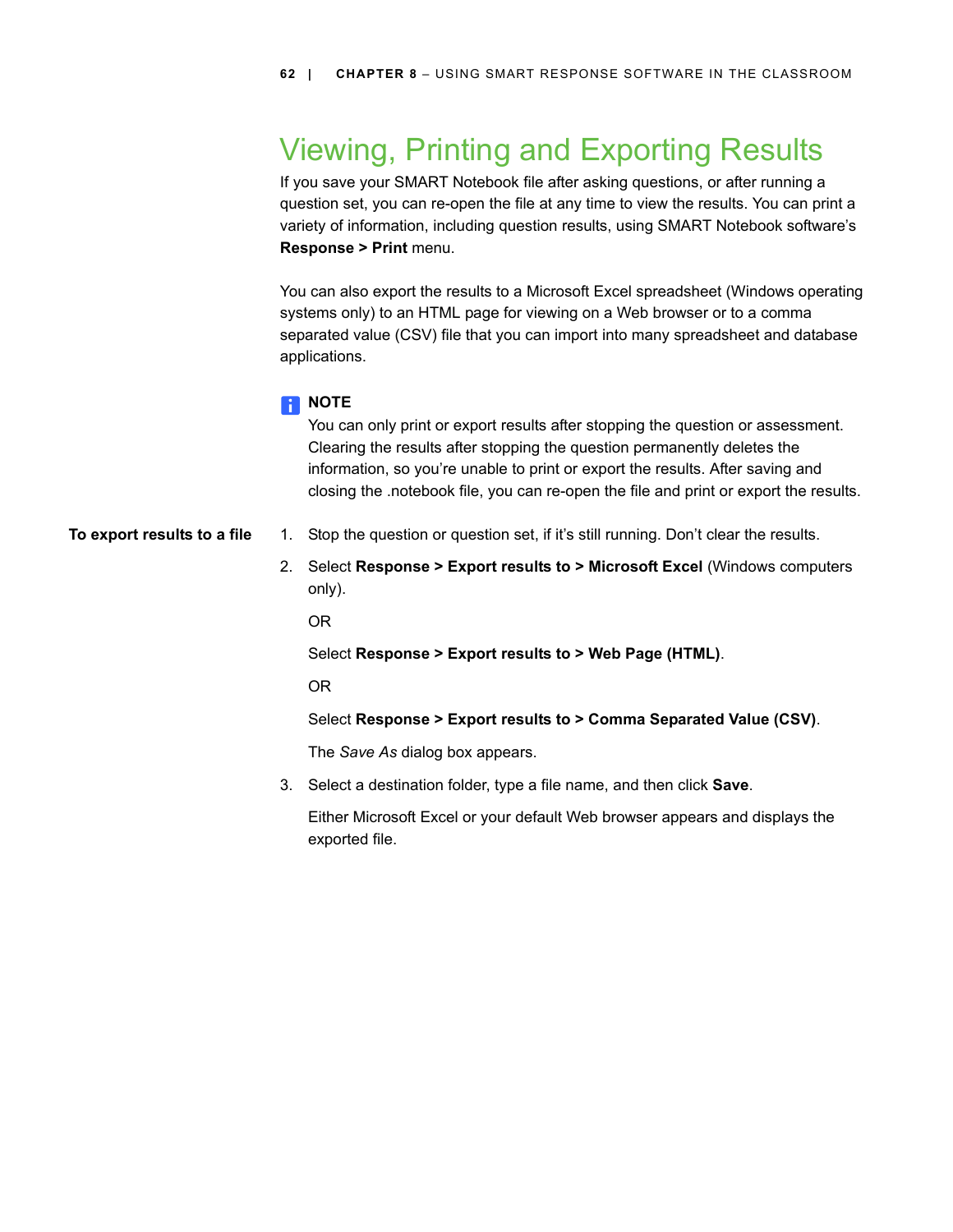# Viewing, Printing and Exporting Results

If you save your SMART Notebook file after asking questions, or after running a question set, you can re-open the file at any time to view the results. You can print a variety of information, including question results, using SMART Notebook software's **Response > Print** menu.

You can also export the results to a Microsoft Excel spreadsheet (Windows operating systems only) to an HTML page for viewing on a Web browser or to a comma separated value (CSV) file that you can import into many spreadsheet and database applications.

### **NOTE**

You can only print or export results after stopping the question or assessment. Clearing the results after stopping the question permanently deletes the information, so you're unable to print or export the results. After saving and closing the .notebook file, you can re-open the file and print or export the results.

- **To export results to a file** 1. Stop the question or question set, if it's still running. Don't clear the results.
	- 2. Select **Response > Export results to > Microsoft Excel** (Windows computers only).

OR

Select **Response > Export results to > Web Page (HTML)**.

OR

Select **Response > Export results to > Comma Separated Value (CSV)**.

The *Save As* dialog box appears.

3. Select a destination folder, type a file name, and then click **Save**.

Either Microsoft Excel or your default Web browser appears and displays the exported file.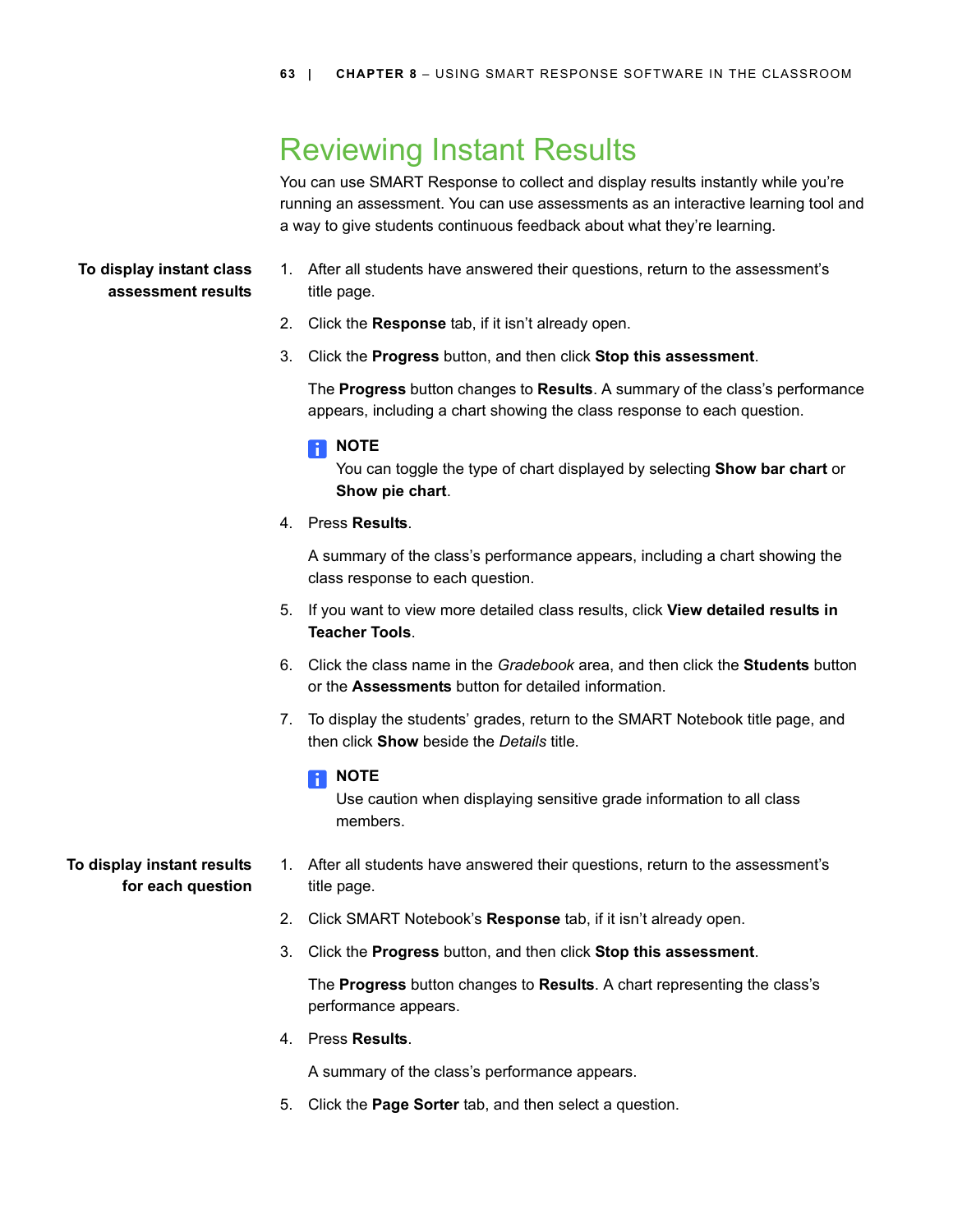### Reviewing Instant Results

You can use SMART Response to collect and display results instantly while you're running an assessment. You can use assessments as an interactive learning tool and a way to give students continuous feedback about what they're learning.

#### **To display instant class assessment results**

- 1. After all students have answered their questions, return to the assessment's title page.
- 2. Click the **Response** tab, if it isn't already open.
- 3. Click the **Progress** button, and then click **Stop this assessment**.

The **Progress** button changes to **Results**. A summary of the class's performance appears, including a chart showing the class response to each question.

#### **NOTE**

You can toggle the type of chart displayed by selecting **Show bar chart** or **Show pie chart**.

4. Press **Results**.

A summary of the class's performance appears, including a chart showing the class response to each question.

- 5. If you want to view more detailed class results, click **View detailed results in Teacher Tools**.
- 6. Click the class name in the *Gradebook* area, and then click the **Students** button or the **Assessments** button for detailed information.
- 7. To display the students' grades, return to the SMART Notebook title page, and then click **Show** beside the *Details* title.

#### **NOTE**

Use caution when displaying sensitive grade information to all class members.

#### **To display instant results for each question** 1. After all students have answered their questions, return to the assessment's title page.

- 2. Click SMART Notebook's **Response** tab, if it isn't already open.
- 3. Click the **Progress** button, and then click **Stop this assessment**.

The **Progress** button changes to **Results**. A chart representing the class's performance appears.

4. Press **Results**.

A summary of the class's performance appears.

5. Click the **Page Sorter** tab, and then select a question.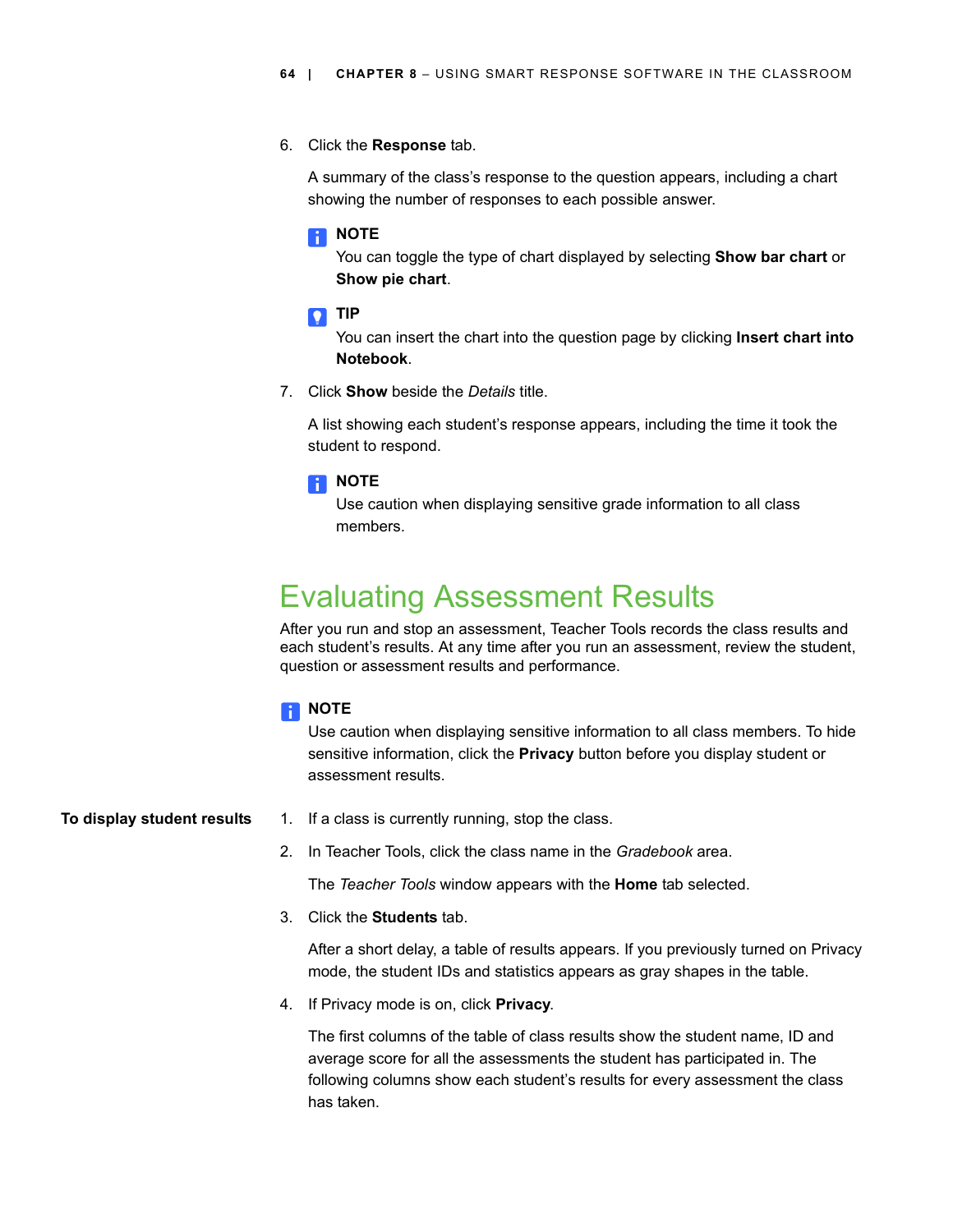6. Click the **Response** tab.

A summary of the class's response to the question appears, including a chart showing the number of responses to each possible answer.

**NOTE** 

You can toggle the type of chart displayed by selecting **Show bar chart** or **Show pie chart**.

```
D TIP
```
You can insert the chart into the question page by clicking **Insert chart into Notebook**.

7. Click **Show** beside the *Details* title.

A list showing each student's response appears, including the time it took the student to respond.

#### **NOTE**

Use caution when displaying sensitive grade information to all class members.

### Evaluating Assessment Results

After you run and stop an assessment, Teacher Tools records the class results and each student's results. At any time after you run an assessment, review the student, question or assessment results and performance.

#### **NOTE**

Use caution when displaying sensitive information to all class members. To hide sensitive information, click the **Privacy** button before you display student or assessment results.

- **To display student results** 1. If a class is currently running, stop the class.
	- 2. In Teacher Tools, click the class name in the *Gradebook* area.

The *Teacher Tools* window appears with the **Home** tab selected.

3. Click the **Students** tab.

After a short delay, a table of results appears. If you previously turned on Privacy mode, the student IDs and statistics appears as gray shapes in the table.

4. If Privacy mode is on, click **Privacy**.

The first columns of the table of class results show the student name, ID and average score for all the assessments the student has participated in. The following columns show each student's results for every assessment the class has taken.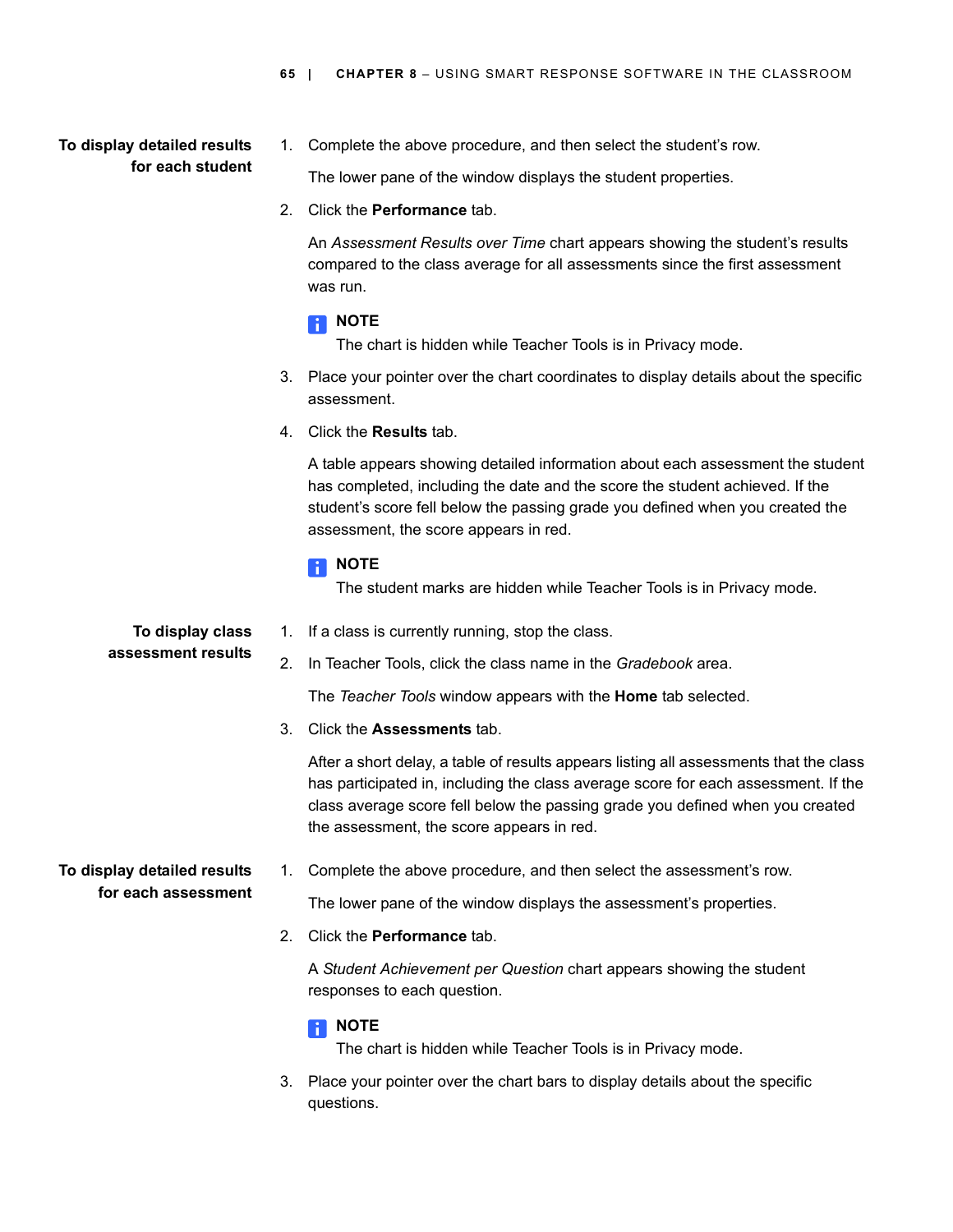**To display detailed results for each student**

1. Complete the above procedure, and then select the student's row.

The lower pane of the window displays the student properties.

2. Click the **Performance** tab.

An *Assessment Results over Time* chart appears showing the student's results compared to the class average for all assessments since the first assessment was run.

#### **NOTE**

The chart is hidden while Teacher Tools is in Privacy mode.

- 3. Place your pointer over the chart coordinates to display details about the specific assessment.
- 4. Click the **Results** tab.

A table appears showing detailed information about each assessment the student has completed, including the date and the score the student achieved. If the student's score fell below the passing grade you defined when you created the assessment, the score appears in red.

#### **NOTE**

The student marks are hidden while Teacher Tools is in Privacy mode.

- **To display class assessment results**
- 1. If a class is currently running, stop the class.
	- 2. In Teacher Tools, click the class name in the *Gradebook* area.

The *Teacher Tools* window appears with the **Home** tab selected.

3. Click the **Assessments** tab.

After a short delay, a table of results appears listing all assessments that the class has participated in, including the class average score for each assessment. If the class average score fell below the passing grade you defined when you created the assessment, the score appears in red.

**To display detailed results for each assessment** 1. Complete the above procedure, and then select the assessment's row.

The lower pane of the window displays the assessment's properties.

2. Click the **Performance** tab.

A *Student Achievement per Question* chart appears showing the student responses to each question.

#### **NOTE**

The chart is hidden while Teacher Tools is in Privacy mode.

3. Place your pointer over the chart bars to display details about the specific questions.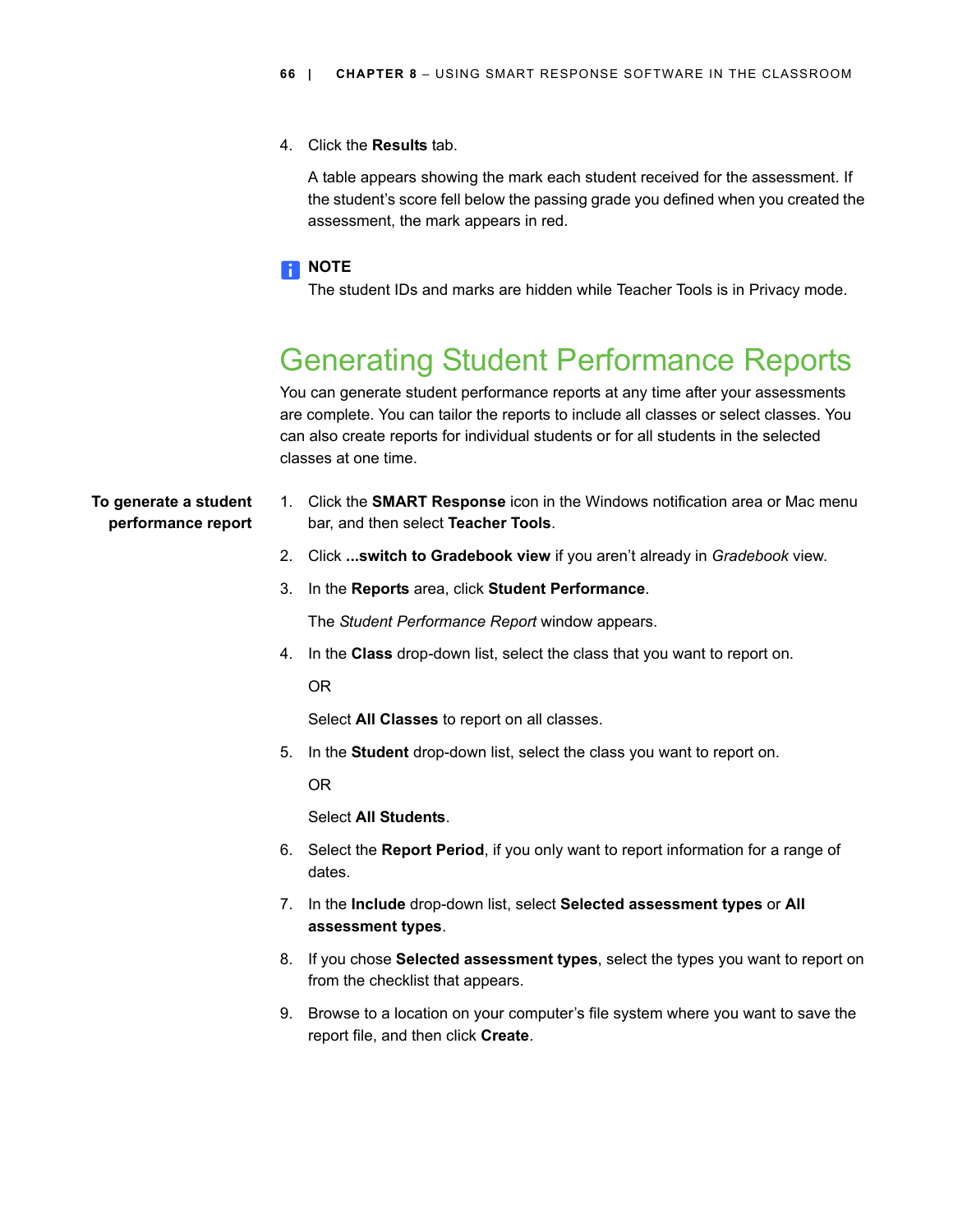4. Click the **Results** tab.

A table appears showing the mark each student received for the assessment. If the student's score fell below the passing grade you defined when you created the assessment, the mark appears in red.

#### **NOTE**

The student IDs and marks are hidden while Teacher Tools is in Privacy mode.

### Generating Student Performance Reports

You can generate student performance reports at any time after your assessments are complete. You can tailor the reports to include all classes or select classes. You can also create reports for individual students or for all students in the selected classes at one time.

- **To generate a student performance report** 1. Click the **SMART Response** icon in the Windows notification area or Mac menu bar, and then select **Teacher Tools**.
	- 2. Click **...switch to Gradebook view** if you aren't already in *Gradebook* view.
	- 3. In the **Reports** area, click **Student Performance**.

The *Student Performance Report* window appears.

4. In the **Class** drop-down list, select the class that you want to report on.

OR

Select **All Classes** to report on all classes.

5. In the **Student** drop-down list, select the class you want to report on.

OR

Select **All Students**.

- 6. Select the **Report Period**, if you only want to report information for a range of dates.
- 7. In the **Include** drop-down list, select **Selected assessment types** or **All assessment types**.
- 8. If you chose **Selected assessment types**, select the types you want to report on from the checklist that appears.
- 9. Browse to a location on your computer's file system where you want to save the report file, and then click **Create**.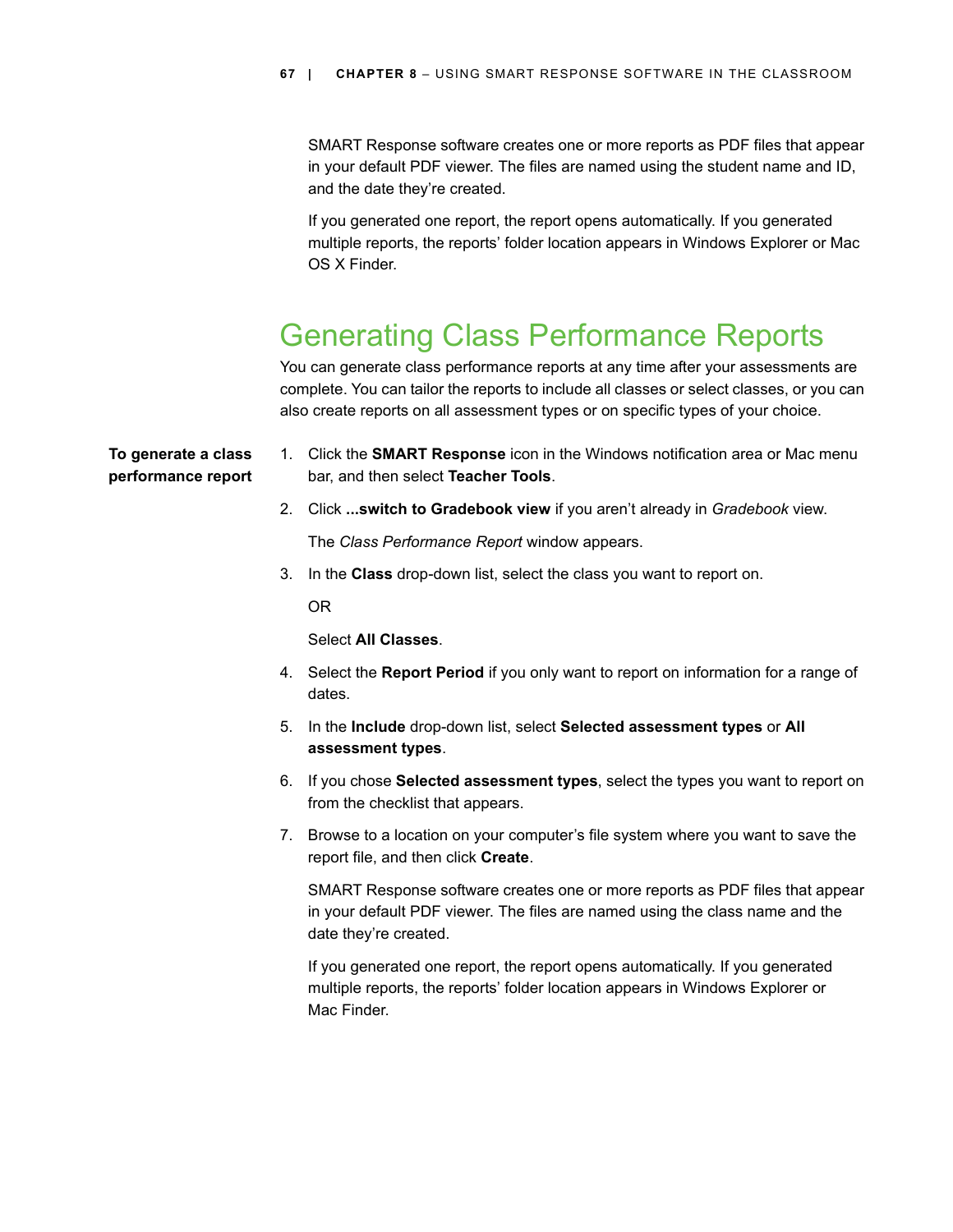SMART Response software creates one or more reports as PDF files that appear in your default PDF viewer. The files are named using the student name and ID, and the date they're created.

If you generated one report, the report opens automatically. If you generated multiple reports, the reports' folder location appears in Windows Explorer or Mac OS X Finder.

### Generating Class Performance Reports

You can generate class performance reports at any time after your assessments are complete. You can tailor the reports to include all classes or select classes, or you can also create reports on all assessment types or on specific types of your choice.

**To generate a class performance report** 1. Click the **SMART Response** icon in the Windows notification area or Mac menu bar, and then select **Teacher Tools**.

2. Click **...switch to Gradebook view** if you aren't already in *Gradebook* view.

The *Class Performance Report* window appears.

3. In the **Class** drop-down list, select the class you want to report on.

OR

Select **All Classes**.

- 4. Select the **Report Period** if you only want to report on information for a range of dates.
- 5. In the **Include** drop-down list, select **Selected assessment types** or **All assessment types**.
- 6. If you chose **Selected assessment types**, select the types you want to report on from the checklist that appears.
- 7. Browse to a location on your computer's file system where you want to save the report file, and then click **Create**.

SMART Response software creates one or more reports as PDF files that appear in your default PDF viewer. The files are named using the class name and the date they're created.

If you generated one report, the report opens automatically. If you generated multiple reports, the reports' folder location appears in Windows Explorer or Mac Finder.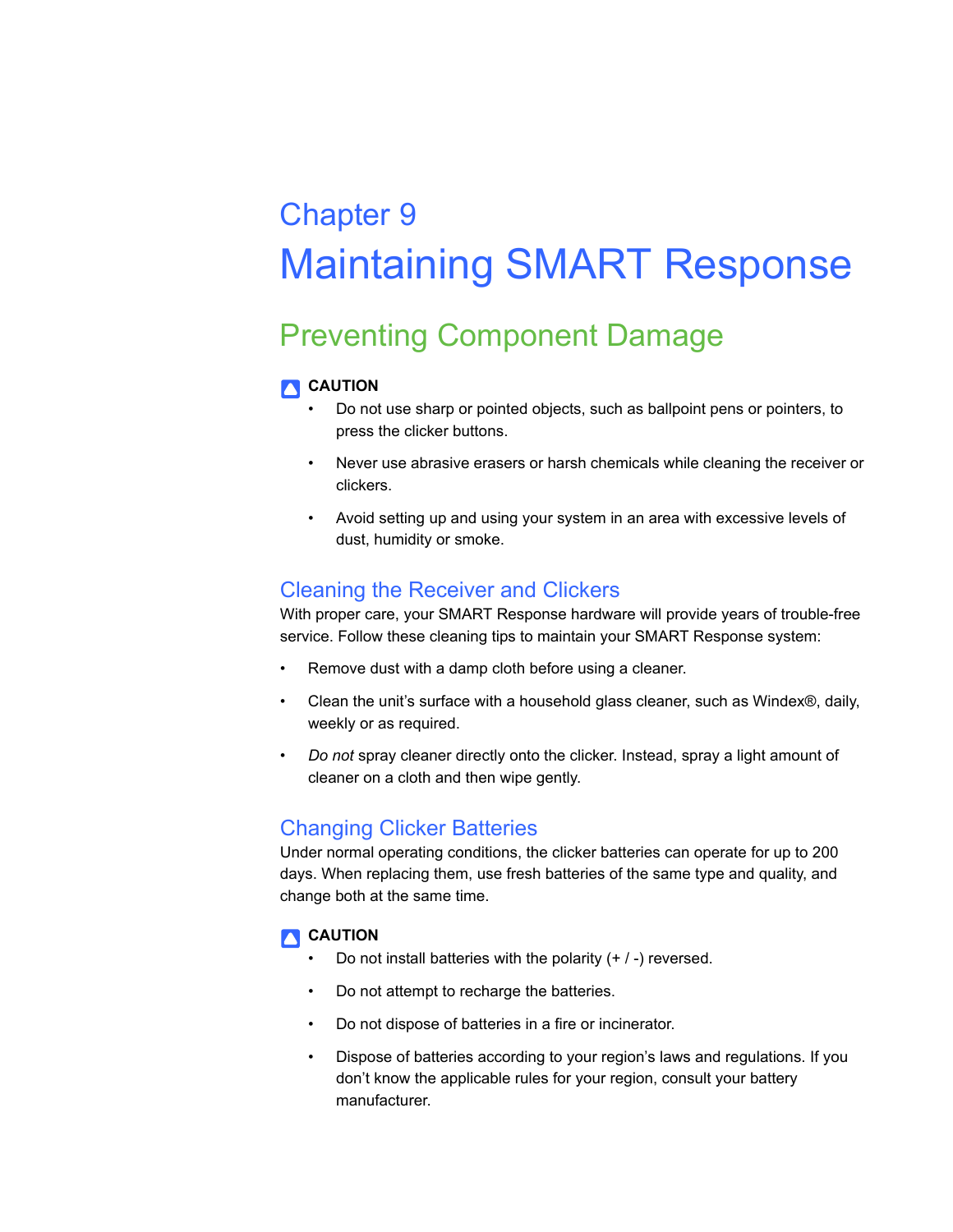## Chapter 9 Maintaining SMART Response

### Preventing Component Damage

#### **N** CAUTION

- Do not use sharp or pointed objects, such as ballpoint pens or pointers, to press the clicker buttons.
- Never use abrasive erasers or harsh chemicals while cleaning the receiver or clickers.
- Avoid setting up and using your system in an area with excessive levels of dust, humidity or smoke.

#### Cleaning the Receiver and Clickers

With proper care, your SMART Response hardware will provide years of trouble-free service. Follow these cleaning tips to maintain your SMART Response system:

- Remove dust with a damp cloth before using a cleaner.
- Clean the unit's surface with a household glass cleaner, such as Windex®, daily, weekly or as required.
- *Do not* spray cleaner directly onto the clicker. Instead, spray a light amount of cleaner on a cloth and then wipe gently.

### Changing Clicker Batteries

Under normal operating conditions, the clicker batteries can operate for up to 200 days. When replacing them, use fresh batteries of the same type and quality, and change both at the same time.

#### **N** CAUTION

- Do not install batteries with the polarity  $(+ / -)$  reversed.
- Do not attempt to recharge the batteries.
- Do not dispose of batteries in a fire or incinerator.
- Dispose of batteries according to your region's laws and regulations. If you don't know the applicable rules for your region, consult your battery manufacturer.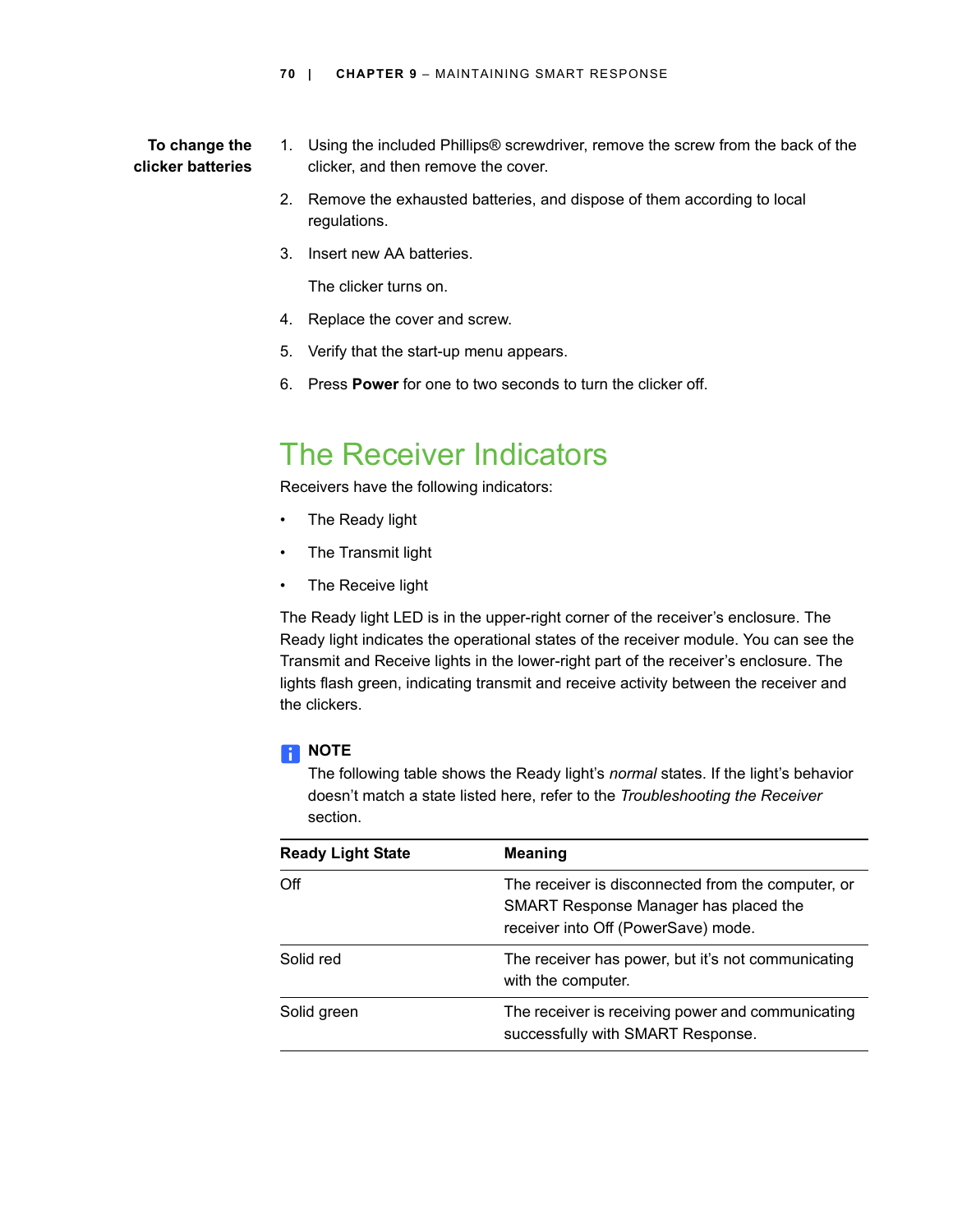**To change the clicker batteries** 1. Using the included Phillips® screwdriver, remove the screw from the back of the clicker, and then remove the cover.

- 2. Remove the exhausted batteries, and dispose of them according to local regulations.
- 3. Insert new AA batteries.

The clicker turns on.

- 4. Replace the cover and screw.
- 5. Verify that the start-up menu appears.
- 6. Press **Power** for one to two seconds to turn the clicker off.

### The Receiver Indicators

Receivers have the following indicators:

- The Ready light
- The Transmit light
- The Receive light

The Ready light LED is in the upper-right corner of the receiver's enclosure. The Ready light indicates the operational states of the receiver module. You can see the Transmit and Receive lights in the lower-right part of the receiver's enclosure. The lights flash green, indicating transmit and receive activity between the receiver and the clickers.

#### **NOTE**

The following table shows the Ready light's *normal* states. If the light's behavior doesn't match a state listed here, refer to the *Troubleshooting the Receiver*  section.

| <b>Ready Light State</b> | <b>Meaning</b>                                                                                                                     |
|--------------------------|------------------------------------------------------------------------------------------------------------------------------------|
| Off                      | The receiver is disconnected from the computer, or<br>SMART Response Manager has placed the<br>receiver into Off (PowerSave) mode. |
| Solid red                | The receiver has power, but it's not communicating<br>with the computer.                                                           |
| Solid green              | The receiver is receiving power and communicating<br>successfully with SMART Response.                                             |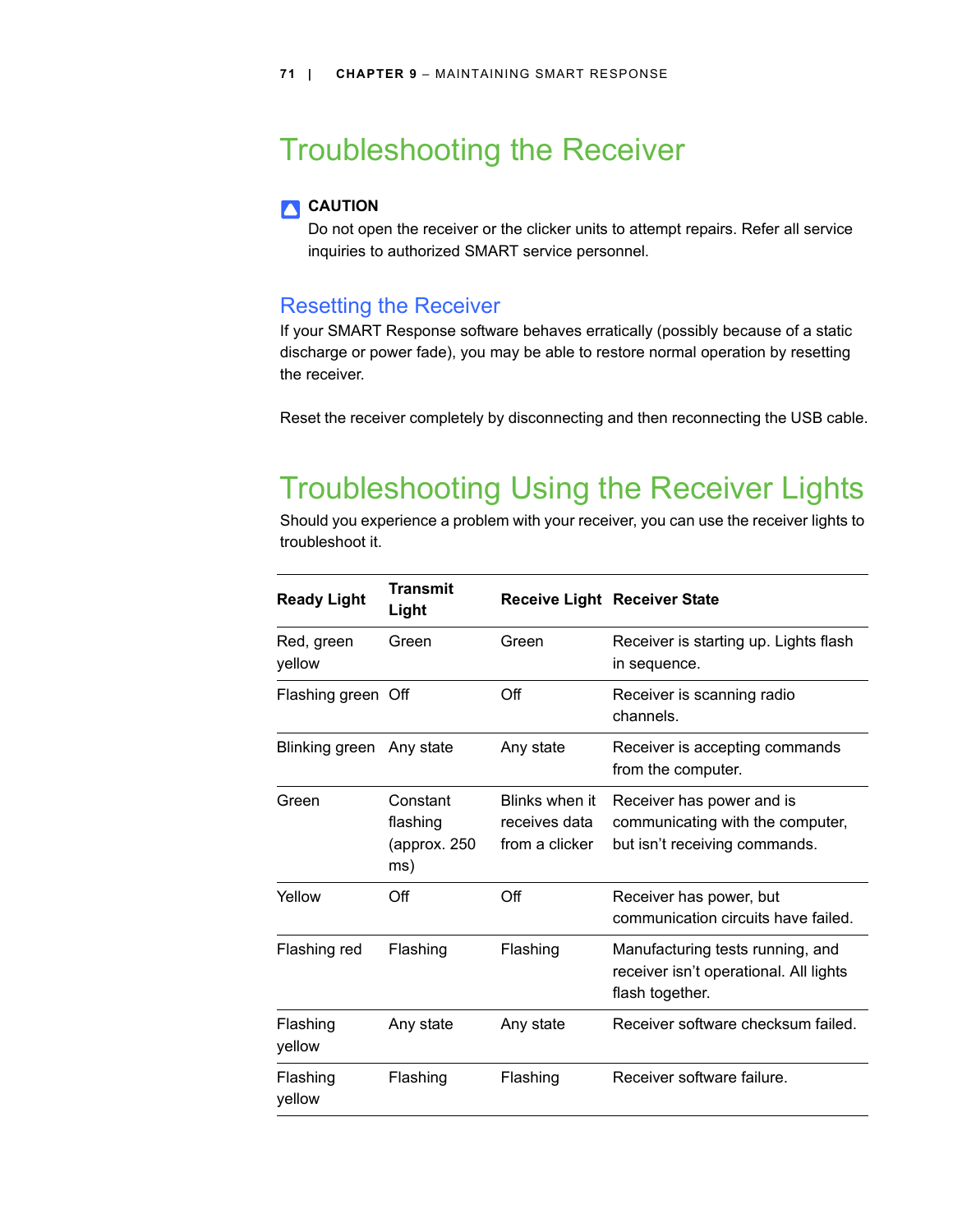### Troubleshooting the Receiver

#### **CAUTION**

Do not open the receiver or the clicker units to attempt repairs. Refer all service inquiries to authorized SMART service personnel.

#### Resetting the Receiver

If your SMART Response software behaves erratically (possibly because of a static discharge or power fade), you may be able to restore normal operation by resetting the receiver.

Reset the receiver completely by disconnecting and then reconnecting the USB cable.

### Troubleshooting Using the Receiver Lights

Should you experience a problem with your receiver, you can use the receiver lights to troubleshoot it.

| <b>Ready Light</b>       | <b>Transmit</b><br>Light                      |                                                   | <b>Receive Light Receiver State</b>                                                            |  |
|--------------------------|-----------------------------------------------|---------------------------------------------------|------------------------------------------------------------------------------------------------|--|
| Red, green<br>yellow     | Green                                         | Green                                             | Receiver is starting up. Lights flash<br>in sequence.                                          |  |
| Flashing green Off       |                                               | Off                                               | Receiver is scanning radio<br>channels.                                                        |  |
| Blinking green Any state |                                               | Any state                                         | Receiver is accepting commands<br>from the computer.                                           |  |
| Green                    | Constant<br>flashing<br>(approx. $250$<br>ms) | Blinks when it<br>receives data<br>from a clicker | Receiver has power and is<br>communicating with the computer,<br>but isn't receiving commands. |  |
| Yellow                   | Off                                           | Off                                               | Receiver has power, but<br>communication circuits have failed.                                 |  |
| Flashing red             | Flashing                                      | Flashing                                          | Manufacturing tests running, and<br>receiver isn't operational. All lights<br>flash together.  |  |
| Flashing<br>yellow       | Any state                                     | Any state                                         | Receiver software checksum failed.                                                             |  |
| Flashing<br>yellow       | Flashing                                      | Flashing                                          | Receiver software failure.                                                                     |  |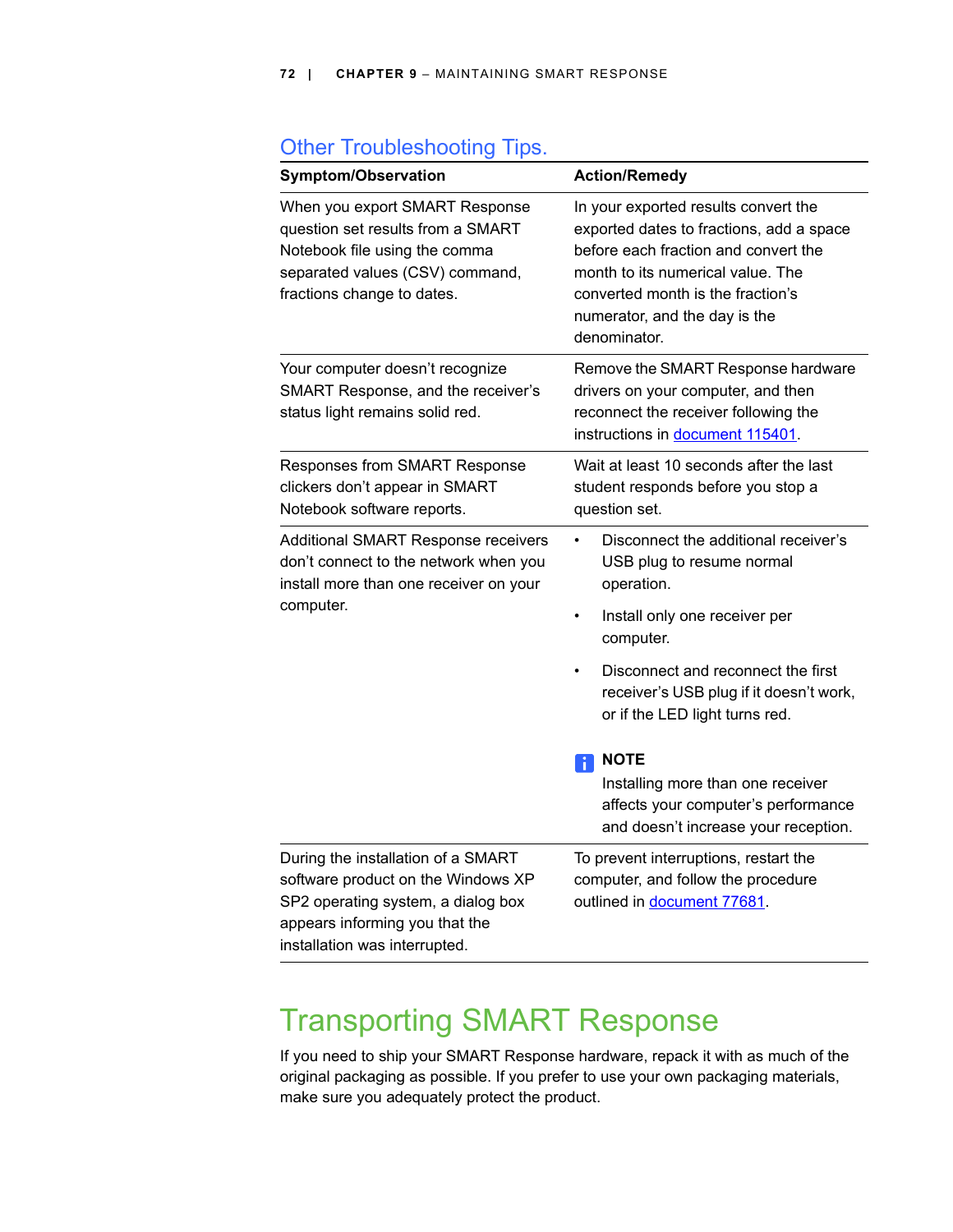|  | <b>Other Troubleshooting Tips.</b> |  |
|--|------------------------------------|--|
|  |                                    |  |

| <b>Symptom/Observation</b>                                                                                                                                                        | <b>Action/Remedy</b>                                                                                                                                                                                                                                |  |
|-----------------------------------------------------------------------------------------------------------------------------------------------------------------------------------|-----------------------------------------------------------------------------------------------------------------------------------------------------------------------------------------------------------------------------------------------------|--|
| When you export SMART Response<br>question set results from a SMART<br>Notebook file using the comma<br>separated values (CSV) command,<br>fractions change to dates.             | In your exported results convert the<br>exported dates to fractions, add a space<br>before each fraction and convert the<br>month to its numerical value. The<br>converted month is the fraction's<br>numerator, and the day is the<br>denominator. |  |
| Your computer doesn't recognize<br>SMART Response, and the receiver's<br>status light remains solid red.                                                                          | Remove the SMART Response hardware<br>drivers on your computer, and then<br>reconnect the receiver following the<br>instructions in document 115401.                                                                                                |  |
| Responses from SMART Response<br>clickers don't appear in SMART<br>Notebook software reports.                                                                                     | Wait at least 10 seconds after the last<br>student responds before you stop a<br>question set.                                                                                                                                                      |  |
| Additional SMART Response receivers<br>don't connect to the network when you<br>install more than one receiver on your<br>computer.                                               | Disconnect the additional receiver's<br>USB plug to resume normal<br>operation.<br>Install only one receiver per<br>computer.                                                                                                                       |  |
|                                                                                                                                                                                   | Disconnect and reconnect the first<br>receiver's USB plug if it doesn't work,<br>or if the LED light turns red.                                                                                                                                     |  |
|                                                                                                                                                                                   | <b>NOTE</b><br>ĩ.<br>Installing more than one receiver<br>affects your computer's performance<br>and doesn't increase your reception.                                                                                                               |  |
| During the installation of a SMART<br>software product on the Windows XP<br>SP2 operating system, a dialog box<br>appears informing you that the<br>installation was interrupted. | To prevent interruptions, restart the<br>computer, and follow the procedure<br>outlined in document 77681.                                                                                                                                          |  |

### Transporting SMART Response

If you need to ship your SMART Response hardware, repack it with as much of the original packaging as possible. If you prefer to use your own packaging materials, make sure you adequately protect the product.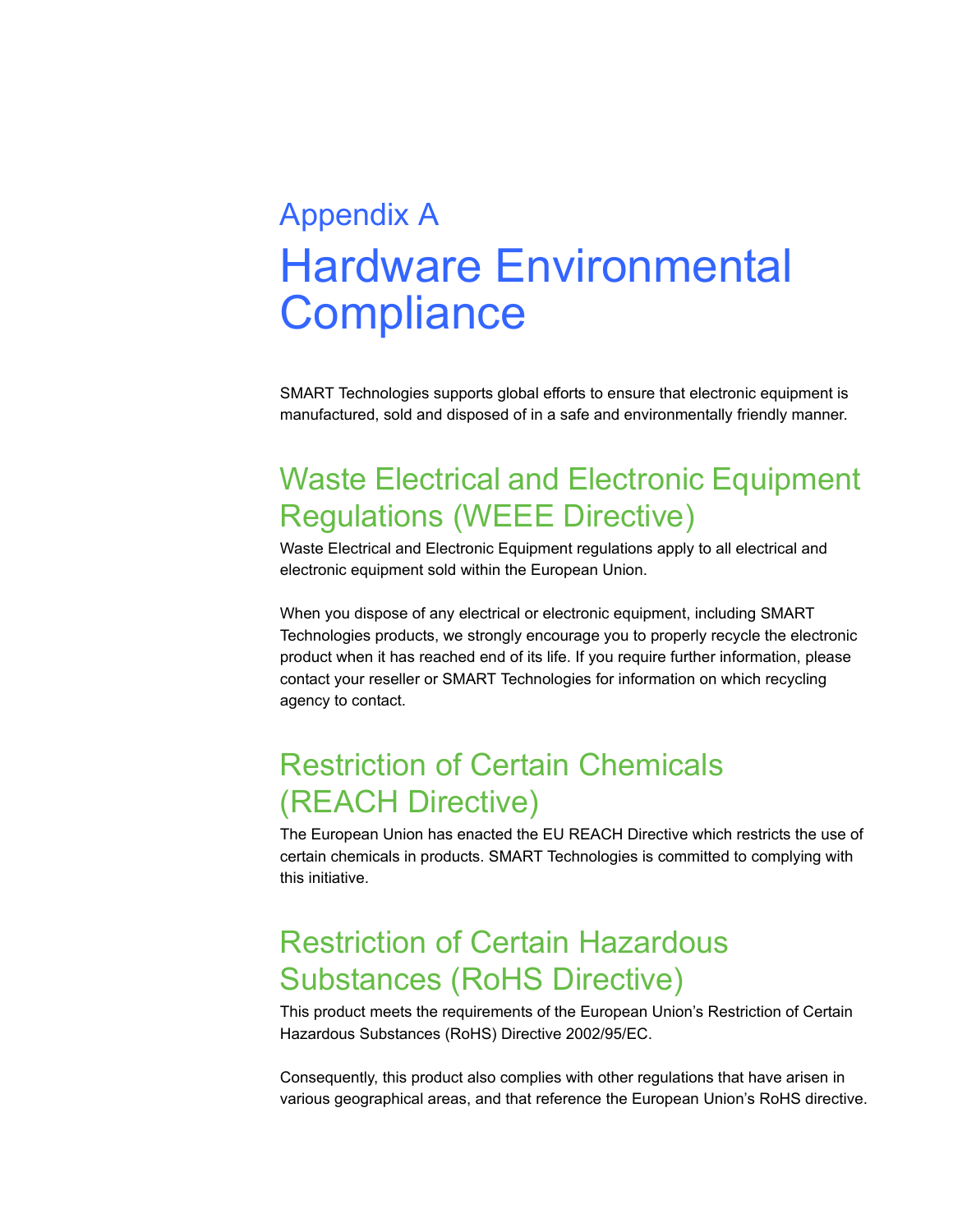# Appendix A Hardware Environmental **Compliance**

SMART Technologies supports global efforts to ensure that electronic equipment is manufactured, sold and disposed of in a safe and environmentally friendly manner.

### Waste Electrical and Electronic Equipment Regulations (WEEE Directive)

Waste Electrical and Electronic Equipment regulations apply to all electrical and electronic equipment sold within the European Union.

When you dispose of any electrical or electronic equipment, including SMART Technologies products, we strongly encourage you to properly recycle the electronic product when it has reached end of its life. If you require further information, please contact your reseller or SMART Technologies for information on which recycling agency to contact.

### Restriction of Certain Chemicals (REACH Directive)

The European Union has enacted the EU REACH Directive which restricts the use of certain chemicals in products. SMART Technologies is committed to complying with this initiative.

### Restriction of Certain Hazardous Substances (RoHS Directive)

This product meets the requirements of the European Union's Restriction of Certain Hazardous Substances (RoHS) Directive 2002/95/EC.

Consequently, this product also complies with other regulations that have arisen in various geographical areas, and that reference the European Union's RoHS directive.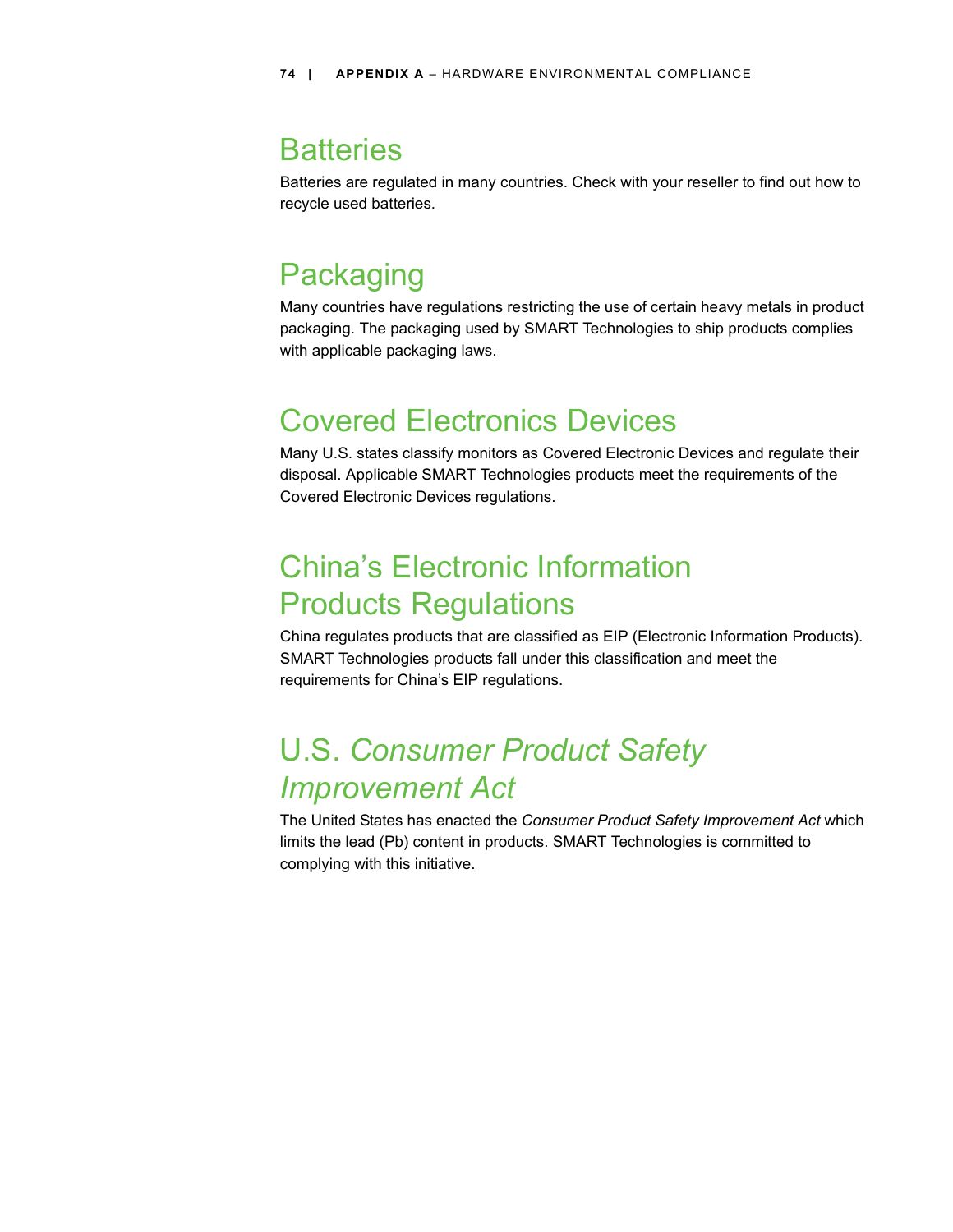### **Batteries**

Batteries are regulated in many countries. Check with your reseller to find out how to recycle used batteries.

### **Packaging**

Many countries have regulations restricting the use of certain heavy metals in product packaging. The packaging used by SMART Technologies to ship products complies with applicable packaging laws.

### Covered Electronics Devices

Many U.S. states classify monitors as Covered Electronic Devices and regulate their disposal. Applicable SMART Technologies products meet the requirements of the Covered Electronic Devices regulations.

### China's Electronic Information Products Regulations

China regulates products that are classified as EIP (Electronic Information Products). SMART Technologies products fall under this classification and meet the requirements for China's EIP regulations.

### U.S. *Consumer Product Safety Improvement Act*

The United States has enacted the *Consumer Product Safety Improvement Act* which limits the lead (Pb) content in products. SMART Technologies is committed to complying with this initiative.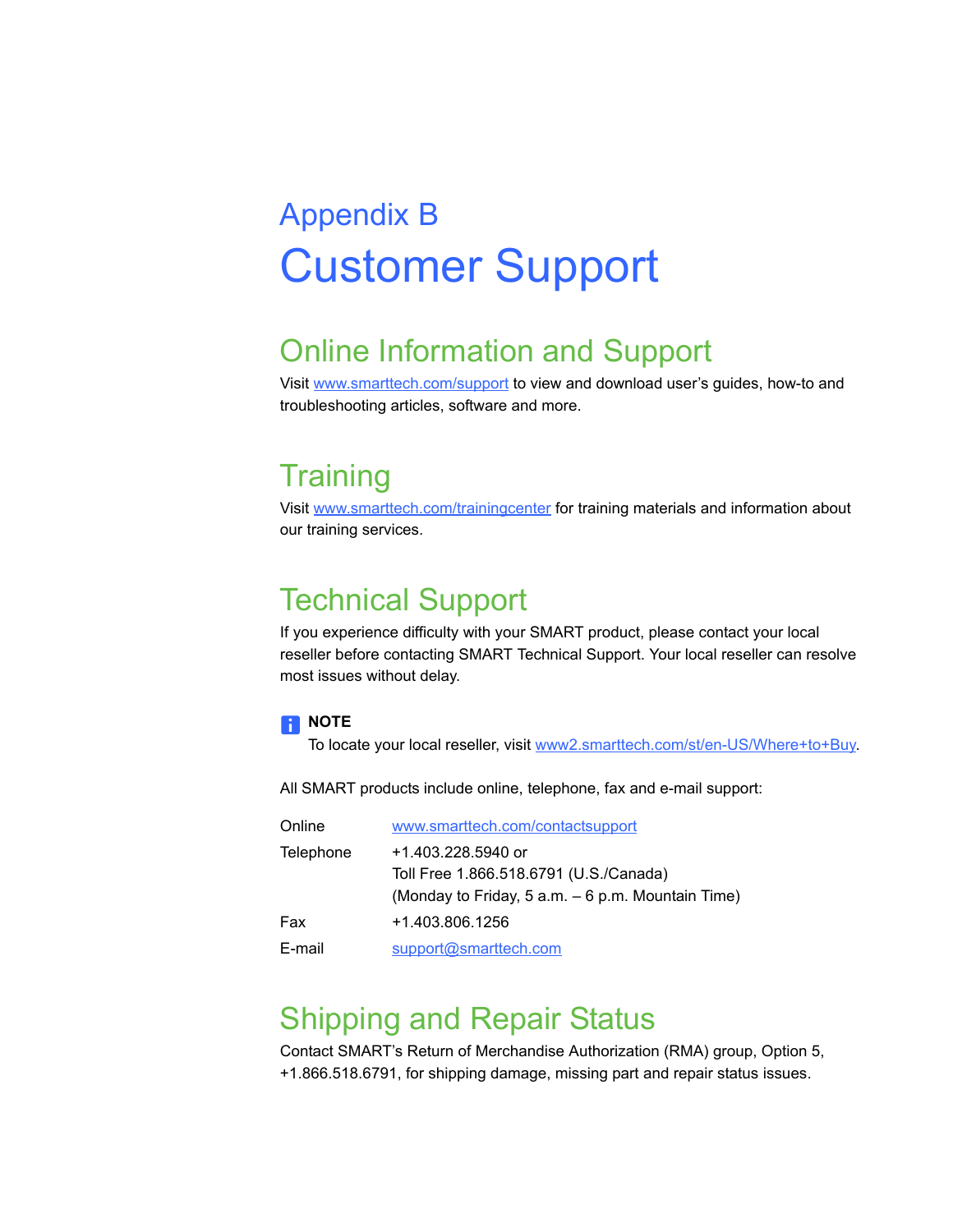## Appendix B Customer Support

### Online Information and Support

Visit [www.smarttech.com/support](http://www.smarttech.com/support) to view and download user's guides, how-to and troubleshooting articles, software and more.

### **Training**

Visit [www.smarttech.com/trainingcenter](http://www.smarttech.com/trainingcenter) for training materials and information about our training services.

### Technical Support

If you experience difficulty with your SMART product, please contact your local reseller before contacting SMART Technical Support. Your local reseller can resolve most issues without delay.



To locate your local reseller, visit [www2.smarttech.com/st/en-US/Where+to+Buy.](http://www2.smarttech.com/st/en-US/Where+to+Buy/)

All SMART products include online, telephone, fax and e-mail support:

| Online    | www.smarttech.com/contactsupport                  |
|-----------|---------------------------------------------------|
| Telephone | +1.403.228.5940 or                                |
|           | Toll Free 1.866.518.6791 (U.S./Canada)            |
|           | (Monday to Friday, 5 a.m. - 6 p.m. Mountain Time) |
| Fax       | +1.403.806.1256                                   |
| E-mail    | support@smarttech.com                             |

### Shipping and Repair Status

Contact SMART's Return of Merchandise Authorization (RMA) group, Option 5, +1.866.518.6791, for shipping damage, missing part and repair status issues.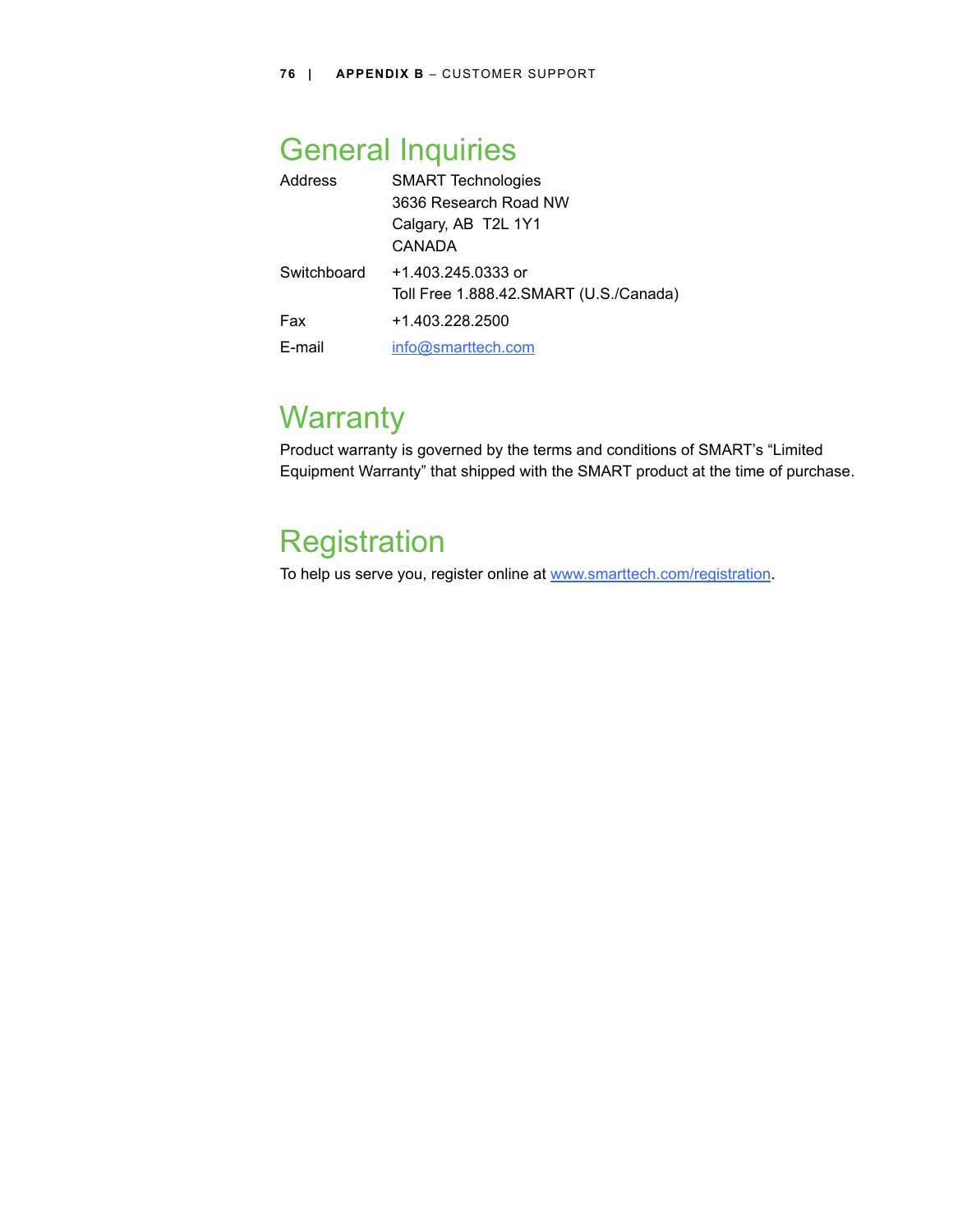### General Inquiries

| Address     | <b>SMART Technologies</b>              |
|-------------|----------------------------------------|
|             | 3636 Research Road NW                  |
|             | Calgary, AB T2L 1Y1                    |
|             | CANADA                                 |
| Switchboard | +1.403.245.0333 or                     |
|             | Toll Free 1.888.42.SMART (U.S./Canada) |
| Fax         | +1.403.228.2500                        |
| E-mail      | info@smarttech.com                     |

### **Warranty**

Product warranty is governed by the terms and conditions of SMART's "Limited Equipment Warranty" that shipped with the SMART product at the time of purchase.

## **Registration**

To help us serve you, register online at [www.smarttech.com/registration](http://www.smarttech.com/registration).